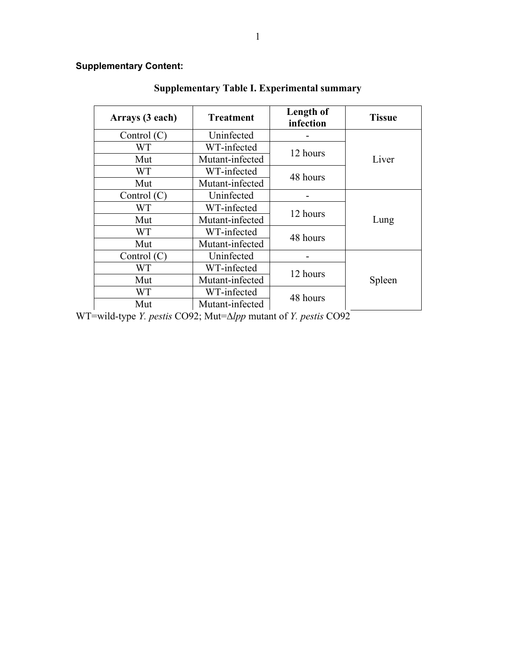## Supplementary Content:

| Arrays (3 each) | <b>Treatment</b> | Length of<br>infection | <b>Tissue</b> |
|-----------------|------------------|------------------------|---------------|
| Control $(C)$   | Uninfected       |                        |               |
| WТ              | WT-infected      | 12 hours               |               |
| Mut             | Mutant-infected  |                        | Liver         |
| WT              | WT-infected      | 48 hours               |               |
| Mut             | Mutant-infected  |                        |               |
| Control $(C)$   | Uninfected       |                        |               |
| <b>WT</b>       | WT-infected      | 12 hours               |               |
| Mut             | Mutant-infected  |                        | Lung          |
| WT.             | WT-infected      | 48 hours               |               |
| Mut             | Mutant-infected  |                        |               |
| Control $(C)$   | Uninfected       |                        |               |
| WТ              | WT-infected      | 12 hours               |               |
| Mut             | Mutant-infected  |                        | Spleen        |
| WT              | WT-infected      | 48 hours               |               |
| Mut             | Mutant-infected  |                        |               |

## Supplementary Table I. Experimental summary

WT=wild-type *Y. pestis* CO92; Mut=∆*lpp* mutant of *Y. pestis* CO92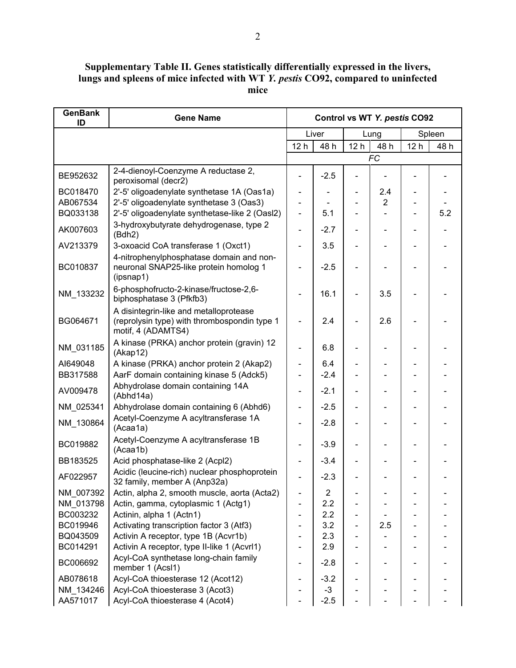Supplementary Table II. Genes statistically differentially expressed in the livers, lungs and spleens of mice infected with WT Y. pestis CO92, compared to uninfected mice

| <b>GenBank</b><br>ID | <b>Gene Name</b>                                                                                             |                 |        |                              | Control vs WT Y. pestis CO92 |                 |        |
|----------------------|--------------------------------------------------------------------------------------------------------------|-----------------|--------|------------------------------|------------------------------|-----------------|--------|
|                      |                                                                                                              |                 | Liver  |                              | Lung                         |                 | Spleen |
|                      |                                                                                                              | 12 <sub>h</sub> | 48 h   | 12 <sub>h</sub>              | 48 h                         | 12 <sub>h</sub> | 48 h   |
|                      |                                                                                                              |                 |        |                              | <b>FC</b>                    |                 |        |
| BE952632             | 2-4-dienoyl-Coenzyme A reductase 2,<br>peroxisomal (decr2)                                                   |                 | $-2.5$ |                              |                              |                 |        |
| BC018470             | 2'-5' oligoadenylate synthetase 1A (Oas1a)                                                                   |                 |        |                              | 2.4                          |                 |        |
| AB067534             | 2'-5' oligoadenylate synthetase 3 (Oas3)                                                                     |                 |        |                              | $\overline{2}$               |                 |        |
| BQ033138             | 2'-5' oligoadenylate synthetase-like 2 (Oasl2)                                                               |                 | 5.1    |                              |                              |                 | 5.2    |
| AK007603             | 3-hydroxybutyrate dehydrogenase, type 2<br>(Bdh2)                                                            |                 | $-2.7$ |                              |                              |                 |        |
| AV213379             | 3-oxoacid CoA transferase 1 (Oxct1)                                                                          |                 | 3.5    |                              |                              |                 |        |
| BC010837             | 4-nitrophenylphosphatase domain and non-<br>neuronal SNAP25-like protein homolog 1<br>(ipsnap1)              |                 | $-2.5$ |                              |                              |                 |        |
| NM_133232            | 6-phosphofructo-2-kinase/fructose-2,6-<br>biphosphatase 3 (Pfkfb3)                                           |                 | 16.1   |                              | 3.5                          |                 |        |
| BG064671             | A disintegrin-like and metalloprotease<br>(reprolysin type) with thrombospondin type 1<br>motif, 4 (ADAMTS4) |                 | 2.4    |                              | 2.6                          |                 |        |
| NM_031185            | A kinase (PRKA) anchor protein (gravin) 12<br>(Akap12)                                                       |                 | 6.8    |                              |                              |                 |        |
| AI649048             | A kinase (PRKA) anchor protein 2 (Akap2)                                                                     |                 | 6.4    |                              |                              |                 |        |
| BB317588             | AarF domain containing kinase 5 (Adck5)                                                                      |                 | $-2.4$ |                              |                              |                 |        |
| AV009478             | Abhydrolase domain containing 14A<br>(Abhd14a)                                                               |                 | $-2.1$ |                              |                              |                 |        |
| NM_025341            | Abhydrolase domain containing 6 (Abhd6)                                                                      |                 | $-2.5$ |                              |                              |                 |        |
| NM_130864            | Acetyl-Coenzyme A acyltransferase 1A<br>(Acaa1a)                                                             |                 | $-2.8$ | $\overline{a}$               |                              |                 |        |
| BC019882             | Acetyl-Coenzyme A acyltransferase 1B<br>(Acaa1b)                                                             |                 | $-3.9$ | $\overline{\phantom{0}}$     |                              |                 |        |
| BB183525             | Acid phosphatase-like 2 (Acpl2)                                                                              |                 | $-3.4$ |                              |                              |                 |        |
| AF022957             | Acidic (leucine-rich) nuclear phosphoprotein<br>32 family, member A (Anp32a)                                 |                 | $-2.3$ |                              |                              |                 |        |
| NM 007392            | Actin, alpha 2, smooth muscle, aorta (Acta2)                                                                 |                 | 2      |                              |                              |                 |        |
| NM 013798            | Actin, gamma, cytoplasmic 1 (Actg1)                                                                          |                 | 2.2    |                              |                              |                 |        |
| BC003232             | Actinin, alpha 1 (Actn1)                                                                                     |                 | 2.2    | $\blacksquare$               |                              |                 |        |
| BC019946             | Activating transcription factor 3 (Atf3)                                                                     |                 | 3.2    |                              | 2.5                          |                 |        |
| BQ043509             | Activin A receptor, type 1B (Acvr1b)                                                                         |                 | 2.3    |                              |                              |                 |        |
| BC014291             | Activin A receptor, type II-like 1 (Acvrl1)                                                                  |                 | 2.9    | $\overline{\phantom{a}}$     |                              |                 |        |
| BC006692             | Acyl-CoA synthetase long-chain family<br>member 1 (Acsl1)                                                    |                 | $-2.8$ | $\qquad \qquad \blacksquare$ |                              |                 |        |
| AB078618             | Acyl-CoA thioesterase 12 (Acot12)                                                                            |                 | $-3.2$ |                              |                              |                 |        |
| NM 134246            | Acyl-CoA thioesterase 3 (Acot3)                                                                              |                 | $-3$   |                              |                              |                 |        |
| AA571017             | Acyl-CoA thioesterase 4 (Acot4)                                                                              |                 | $-2.5$ |                              |                              |                 |        |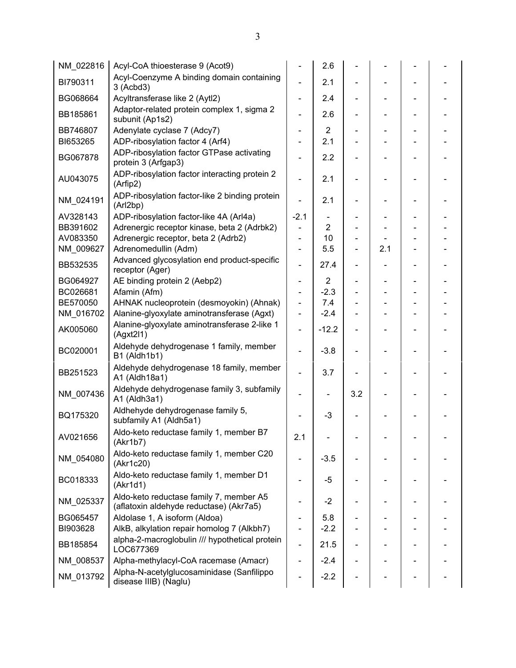| NM_022816 | Acyl-CoA thioesterase 9 (Acot9)                                                    |                              | 2.6            |                |     |  |
|-----------|------------------------------------------------------------------------------------|------------------------------|----------------|----------------|-----|--|
| BI790311  | Acyl-Coenzyme A binding domain containing<br>3 (Acbd3)                             |                              | 2.1            |                |     |  |
| BG068664  | Acyltransferase like 2 (Aytl2)                                                     | $\blacksquare$               | 2.4            | $\blacksquare$ |     |  |
| BB185861  | Adaptor-related protein complex 1, sigma 2<br>subunit (Ap1s2)                      |                              | 2.6            |                |     |  |
| BB746807  | Adenylate cyclase 7 (Adcy7)                                                        | Ξ.                           | $\overline{2}$ |                |     |  |
| BI653265  | ADP-ribosylation factor 4 (Arf4)                                                   |                              | 2.1            |                |     |  |
| BG067878  | ADP-ribosylation factor GTPase activating<br>protein 3 (Arfgap3)                   |                              | 2.2            |                |     |  |
| AU043075  | ADP-ribosylation factor interacting protein 2<br>(Arfip2)                          |                              | 2.1            |                |     |  |
| NM_024191 | ADP-ribosylation factor-like 2 binding protein<br>(Arl2bp)                         |                              | 2.1            |                |     |  |
| AV328143  | ADP-ribosylation factor-like 4A (Arl4a)                                            | $-2.1$                       |                |                |     |  |
| BB391602  | Adrenergic receptor kinase, beta 2 (Adrbk2)                                        | $\qquad \qquad \blacksquare$ | $\overline{2}$ |                |     |  |
| AV083350  | Adrenergic receptor, beta 2 (Adrb2)                                                | ÷,                           | 10             |                |     |  |
| NM_009627 | Adrenomedullin (Adm)                                                               | ÷,                           | 5.5            |                | 2.1 |  |
| BB532535  | Advanced glycosylation end product-specific<br>receptor (Ager)                     | -                            | 27.4           |                |     |  |
| BG064927  | AE binding protein 2 (Aebp2)                                                       |                              | $\overline{2}$ |                |     |  |
| BC026681  | Afamin (Afm)                                                                       | ÷,                           | $-2.3$         |                |     |  |
| BE570050  | AHNAK nucleoprotein (desmoyokin) (Ahnak)                                           | $\blacksquare$               | 7.4            |                |     |  |
| NM_016702 | Alanine-glyoxylate aminotransferase (Agxt)                                         | $\blacksquare$               | $-2.4$         |                |     |  |
| AK005060  | Alanine-glyoxylate aminotransferase 2-like 1<br>(Agxt211)                          |                              | $-12.2$        |                |     |  |
| BC020001  | Aldehyde dehydrogenase 1 family, member<br>B1 (Aldh1b1)                            | -                            | $-3.8$         |                |     |  |
| BB251523  | Aldehyde dehydrogenase 18 family, member<br>A1 (Aldh18a1)                          |                              | 3.7            |                |     |  |
| NM_007436 | Aldehyde dehydrogenase family 3, subfamily<br>A1 (Aldh3a1)                         |                              |                | 3.2            |     |  |
| BQ175320  | Aldhehyde dehydrogenase family 5,<br>subfamily A1 (Aldh5a1)                        |                              | $-3$           |                |     |  |
| AV021656  | Aldo-keto reductase family 1, member B7<br>(Akr1b7)                                | 2.1                          |                |                |     |  |
| NM_054080 | Aldo-keto reductase family 1, member C20<br>(Akr1c20)                              |                              | $-3.5$         |                |     |  |
| BC018333  | Aldo-keto reductase family 1, member D1<br>(Akr1d1)                                |                              | -5             |                |     |  |
| NM 025337 | Aldo-keto reductase family 7, member A5<br>(aflatoxin aldehyde reductase) (Akr7a5) |                              | -2             |                |     |  |
| BG065457  | Aldolase 1, A isoform (Aldoa)                                                      |                              | 5.8            |                |     |  |
| BI903628  | AlkB, alkylation repair homolog 7 (Alkbh7)                                         |                              | $-2.2$         |                |     |  |
| BB185854  | alpha-2-macroglobulin /// hypothetical protein<br>LOC677369                        |                              | 21.5           |                |     |  |
| NM_008537 | Alpha-methylacyl-CoA racemase (Amacr)                                              |                              | $-2.4$         |                |     |  |
| NM_013792 | Alpha-N-acetylglucosaminidase (Sanfilippo<br>disease IIIB) (Naglu)                 |                              | $-2.2$         |                |     |  |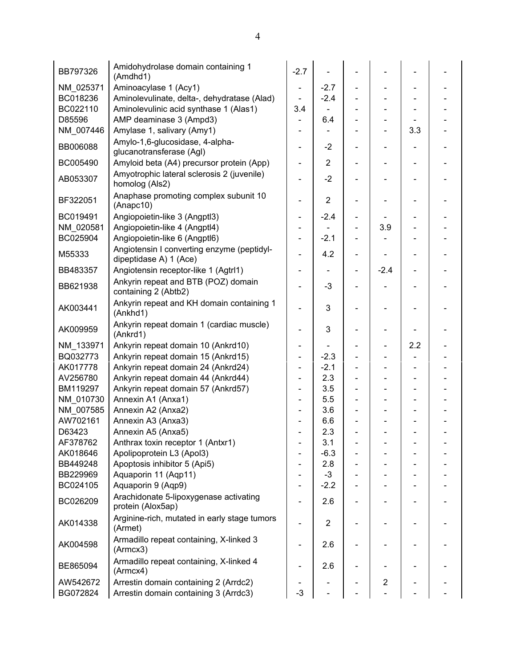| BB797326  | Amidohydrolase domain containing 1<br>(Amdhd1)                       | $-2.7$                       |                |                |                |     |  |
|-----------|----------------------------------------------------------------------|------------------------------|----------------|----------------|----------------|-----|--|
| NM 025371 | Aminoacylase 1 (Acy1)                                                | $\overline{\phantom{0}}$     | $-2.7$         |                |                |     |  |
| BC018236  | Aminolevulinate, delta-, dehydratase (Alad)                          |                              | $-2.4$         |                |                |     |  |
| BC022110  | Aminolevulinic acid synthase 1 (Alas1)                               | 3.4                          |                |                |                |     |  |
| D85596    | AMP deaminase 3 (Ampd3)                                              |                              | 6.4            |                |                |     |  |
| NM_007446 | Amylase 1, salivary (Amy1)                                           | Ξ.                           |                |                |                | 3.3 |  |
| BB006088  | Amylo-1,6-glucosidase, 4-alpha-<br>glucanotransferase (Agl)          | $\overline{\phantom{0}}$     | $-2$           |                |                |     |  |
| BC005490  | Amyloid beta (A4) precursor protein (App)                            |                              | $\overline{2}$ |                |                |     |  |
| AB053307  | Amyotrophic lateral sclerosis 2 (juvenile)<br>homolog (Als2)         | $\overline{\phantom{0}}$     | $-2$           |                |                |     |  |
| BF322051  | Anaphase promoting complex subunit 10<br>(Anapc10)                   |                              | $\overline{2}$ |                |                |     |  |
| BC019491  | Angiopoietin-like 3 (Angptl3)                                        | $\qquad \qquad \blacksquare$ | $-2.4$         |                |                |     |  |
| NM 020581 | Angiopoietin-like 4 (Angptl4)                                        | -                            |                |                | 3.9            |     |  |
| BC025904  | Angiopoietin-like 6 (Angptl6)                                        | -                            | $-2.1$         |                |                |     |  |
| M55333    | Angiotensin I converting enzyme (peptidyl-<br>dipeptidase A) 1 (Ace) | -                            | 4.2            |                |                |     |  |
| BB483357  | Angiotensin receptor-like 1 (Agtrl1)                                 | ÷,                           |                | $\blacksquare$ | $-2.4$         |     |  |
| BB621938  | Ankyrin repeat and BTB (POZ) domain<br>containing 2 (Abtb2)          |                              | $-3$           |                |                |     |  |
| AK003441  | Ankyrin repeat and KH domain containing 1<br>(Ankhd1)                |                              | 3              |                |                |     |  |
| AK009959  | Ankyrin repeat domain 1 (cardiac muscle)<br>(Ankrd1)                 |                              | 3              |                |                |     |  |
| NM 133971 | Ankyrin repeat domain 10 (Ankrd10)                                   | -                            |                |                |                | 2.2 |  |
| BQ032773  | Ankyrin repeat domain 15 (Ankrd15)                                   | ÷,                           | $-2.3$         |                |                |     |  |
| AK017778  | Ankyrin repeat domain 24 (Ankrd24)                                   | $\overline{\phantom{0}}$     | $-2.1$         |                |                |     |  |
| AV256780  | Ankyrin repeat domain 44 (Ankrd44)                                   |                              | 2.3            |                |                |     |  |
| BM119297  | Ankyrin repeat domain 57 (Ankrd57)                                   |                              | 3.5            |                |                |     |  |
| NM 010730 | Annexin A1 (Anxa1)                                                   |                              | 5.5            |                |                |     |  |
| NM_007585 | Annexin A2 (Anxa2)                                                   |                              | 3.6            |                |                |     |  |
| AW702161  | Annexin A3 (Anxa3)                                                   |                              | 6.6            |                |                |     |  |
| D63423    | Annexin A5 (Anxa5)                                                   |                              | 2.3            |                |                |     |  |
| AF378762  | Anthrax toxin receptor 1 (Antxr1)                                    |                              | 3.1            |                |                |     |  |
| AK018646  | Apolipoprotein L3 (Apol3)                                            |                              | $-6.3$         |                |                |     |  |
| BB449248  | Apoptosis inhibitor 5 (Api5)                                         |                              | 2.8            |                |                |     |  |
| BB229969  | Aquaporin 11 (Aqp11)                                                 |                              | $-3$           |                |                |     |  |
| BC024105  | Aquaporin 9 (Aqp9)                                                   |                              | $-2.2$         |                |                |     |  |
| BC026209  | Arachidonate 5-lipoxygenase activating<br>protein (Alox5ap)          | ÷,                           | 2.6            |                |                |     |  |
| AK014338  | Arginine-rich, mutated in early stage tumors<br>(Armet)              | $\overline{a}$               | $\overline{2}$ |                |                |     |  |
| AK004598  | Armadillo repeat containing, X-linked 3<br>(Armcx3)                  |                              | 2.6            |                |                |     |  |
| BE865094  | Armadillo repeat containing, X-linked 4<br>(Armcx4)                  |                              | 2.6            |                |                |     |  |
| AW542672  | Arrestin domain containing 2 (Arrdc2)                                |                              |                |                | $\overline{c}$ |     |  |
| BG072824  | Arrestin domain containing 3 (Arrdc3)                                | $-3$                         |                |                |                |     |  |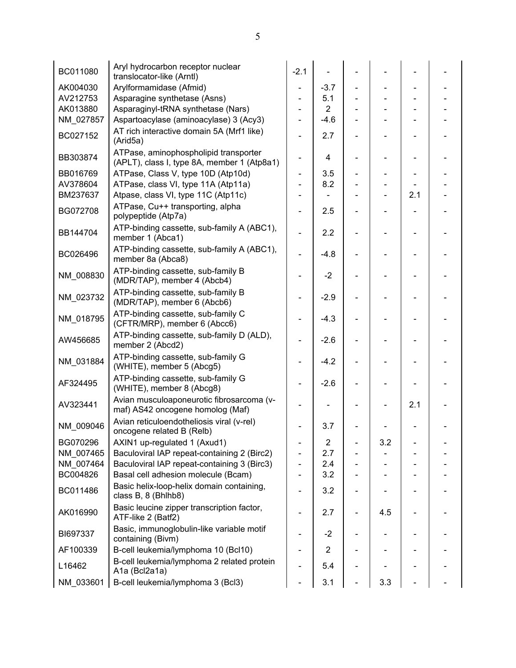| BC011080  | Aryl hydrocarbon receptor nuclear<br>translocator-like (Arntl)                       | $-2.1$                       |                         |     |                          |  |
|-----------|--------------------------------------------------------------------------------------|------------------------------|-------------------------|-----|--------------------------|--|
| AK004030  | Arylformamidase (Afmid)                                                              | $\overline{\phantom{a}}$     | $-3.7$                  |     |                          |  |
| AV212753  | Asparagine synthetase (Asns)                                                         |                              | 5.1                     |     |                          |  |
| AK013880  | Asparaginyl-tRNA synthetase (Nars)                                                   |                              | $\overline{2}$          |     |                          |  |
| NM_027857 | Aspartoacylase (aminoacylase) 3 (Acy3)                                               | $\blacksquare$               | $-4.6$                  |     |                          |  |
| BC027152  | AT rich interactive domain 5A (Mrf1 like)<br>(Arid5a)                                |                              | 2.7                     |     |                          |  |
| BB303874  | ATPase, aminophospholipid transporter<br>(APLT), class I, type 8A, member 1 (Atp8a1) | $\overline{\phantom{a}}$     | $\overline{4}$          |     |                          |  |
| BB016769  | ATPase, Class V, type 10D (Atp10d)                                                   | $\qquad \qquad \blacksquare$ | 3.5                     |     |                          |  |
| AV378604  | ATPase, class VI, type 11A (Atp11a)                                                  | $\blacksquare$               | 8.2                     |     |                          |  |
| BM237637  | Atpase, class VI, type 11C (Atp11c)                                                  |                              |                         |     | 2.1                      |  |
| BG072708  | ATPase, Cu++ transporting, alpha<br>polypeptide (Atp7a)                              |                              | 2.5                     |     |                          |  |
| BB144704  | ATP-binding cassette, sub-family A (ABC1),<br>member 1 (Abca1)                       |                              | 2.2                     |     |                          |  |
| BC026496  | ATP-binding cassette, sub-family A (ABC1),<br>member 8a (Abca8)                      |                              | $-4.8$                  |     |                          |  |
| NM 008830 | ATP-binding cassette, sub-family B<br>(MDR/TAP), member 4 (Abcb4)                    | $\overline{\phantom{a}}$     | $-2$                    |     | $\overline{\phantom{0}}$ |  |
| NM_023732 | ATP-binding cassette, sub-family B<br>(MDR/TAP), member 6 (Abcb6)                    |                              | $-2.9$                  |     |                          |  |
| NM_018795 | ATP-binding cassette, sub-family C<br>(CFTR/MRP), member 6 (Abcc6)                   |                              | $-4.3$                  |     |                          |  |
| AW456685  | ATP-binding cassette, sub-family D (ALD),<br>member 2 (Abcd2)                        |                              | $-2.6$                  |     |                          |  |
| NM_031884 | ATP-binding cassette, sub-family G<br>(WHITE), member 5 (Abcg5)                      |                              | $-4.2$                  |     | $\overline{a}$           |  |
| AF324495  | ATP-binding cassette, sub-family G<br>(WHITE), member 8 (Abcg8)                      |                              | $-2.6$                  |     |                          |  |
| AV323441  | Avian musculoaponeurotic fibrosarcoma (v-<br>maf) AS42 oncogene homolog (Maf)        |                              |                         |     | 2.1                      |  |
| NM_009046 | Avian reticuloendotheliosis viral (v-rel)<br>oncogene related B (Relb)               |                              | 3.7                     |     |                          |  |
| BG070296  | AXIN1 up-regulated 1 (Axud1)                                                         |                              | $\overline{\mathbf{c}}$ | 3.2 |                          |  |
| NM_007465 | Baculoviral IAP repeat-containing 2 (Birc2)                                          |                              | 2.7                     |     |                          |  |
| NM_007464 | Baculoviral IAP repeat-containing 3 (Birc3)                                          | $\overline{\phantom{a}}$     | 2.4                     |     |                          |  |
| BC004826  | Basal cell adhesion molecule (Bcam)                                                  |                              | 3.2                     |     |                          |  |
| BC011486  | Basic helix-loop-helix domain containing,<br>class B, 8 (Bhlhb8)                     |                              | 3.2                     |     |                          |  |
| AK016990  | Basic leucine zipper transcription factor,<br>ATF-like 2 (Batf2)                     |                              | 2.7                     | 4.5 |                          |  |
| BI697337  | Basic, immunoglobulin-like variable motif<br>containing (Bivm)                       |                              | $-2$                    |     |                          |  |
| AF100339  | B-cell leukemia/lymphoma 10 (Bcl10)                                                  |                              | $\overline{2}$          |     |                          |  |
| L16462    | B-cell leukemia/lymphoma 2 related protein<br>A1a (Bcl2a1a)                          |                              | 5.4                     |     |                          |  |
| NM 033601 | B-cell leukemia/lymphoma 3 (Bcl3)                                                    |                              | 3.1                     | 3.3 |                          |  |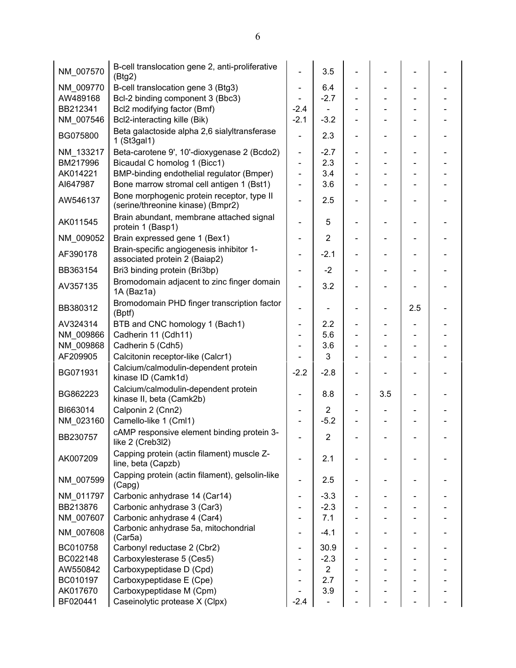| NM_007570 | B-cell translocation gene 2, anti-proliferative<br>(Btg2)                       |                              | 3.5            |                |     |                          |  |
|-----------|---------------------------------------------------------------------------------|------------------------------|----------------|----------------|-----|--------------------------|--|
| NM 009770 | B-cell translocation gene 3 (Btg3)                                              |                              | 6.4            |                |     |                          |  |
| AW489168  | Bcl-2 binding component 3 (Bbc3)                                                |                              | $-2.7$         |                |     |                          |  |
| BB212341  | Bcl2 modifying factor (Bmf)                                                     | $-2.4$                       |                |                |     |                          |  |
| NM_007546 | Bcl2-interacting kille (Bik)                                                    | $-2.1$                       | $-3.2$         |                |     |                          |  |
| BG075800  | Beta galactoside alpha 2,6 sialyltransferase<br>1 (St3gal1)                     | $\overline{\phantom{0}}$     | 2.3            | $\blacksquare$ |     | -                        |  |
| NM_133217 | Beta-carotene 9', 10'-dioxygenase 2 (Bcdo2)                                     | ÷,                           | $-2.7$         | $\blacksquare$ |     |                          |  |
| BM217996  | Bicaudal C homolog 1 (Bicc1)                                                    | ÷,                           | 2.3            |                |     |                          |  |
| AK014221  | BMP-binding endothelial regulator (Bmper)                                       | L,                           | 3.4            |                |     |                          |  |
| AI647987  | Bone marrow stromal cell antigen 1 (Bst1)                                       |                              | 3.6            |                |     |                          |  |
| AW546137  | Bone morphogenic protein receptor, type II<br>(serine/threonine kinase) (Bmpr2) |                              | 2.5            |                |     |                          |  |
| AK011545  | Brain abundant, membrane attached signal<br>protein 1 (Basp1)                   |                              | 5              |                |     |                          |  |
| NM_009052 | Brain expressed gene 1 (Bex1)                                                   | -                            | $\overline{2}$ |                |     |                          |  |
| AF390178  | Brain-specific angiogenesis inhibitor 1-<br>associated protein 2 (Baiap2)       |                              | $-2.1$         |                |     |                          |  |
| BB363154  | Bri3 binding protein (Bri3bp)                                                   | $\qquad \qquad \blacksquare$ | $-2$           |                |     |                          |  |
| AV357135  | Bromodomain adjacent to zinc finger domain                                      | L.                           | 3.2            |                |     |                          |  |
|           | 1A (Baz1a)                                                                      |                              |                |                |     |                          |  |
| BB380312  | Bromodomain PHD finger transcription factor<br>(Bptf)                           | $\qquad \qquad \blacksquare$ |                | $\blacksquare$ |     | 2.5                      |  |
| AV324314  | BTB and CNC homology 1 (Bach1)                                                  | ÷,                           | 2.2            |                |     |                          |  |
| NM 009866 | Cadherin 11 (Cdh11)                                                             |                              | 5.6            |                |     |                          |  |
| NM 009868 | Cadherin 5 (Cdh5)                                                               |                              | 3.6            |                |     |                          |  |
| AF209905  | Calcitonin receptor-like (Calcr1)                                               |                              | 3              |                |     |                          |  |
| BG071931  | Calcium/calmodulin-dependent protein<br>kinase ID (Camk1d)                      | $-2.2$                       | $-2.8$         |                |     |                          |  |
| BG862223  | Calcium/calmodulin-dependent protein<br>kinase II, beta (Camk2b)                | $\qquad \qquad$              | 8.8            | $\blacksquare$ | 3.5 | $\overline{\phantom{0}}$ |  |
| BI663014  | Calponin 2 (Cnn2)                                                               |                              | $\overline{2}$ |                |     |                          |  |
| NM_023160 | Camello-like 1 (Cml1)                                                           |                              | $-5.2$         |                |     |                          |  |
| BB230757  | cAMP responsive element binding protein 3-<br>like 2 (Creb3l2)                  |                              | $\mathbf 2$    |                |     |                          |  |
| AK007209  | Capping protein (actin filament) muscle Z-<br>line, beta (Capzb)                | $\overline{\phantom{0}}$     | 2.1            |                |     |                          |  |
| NM_007599 | Capping protein (actin filament), gelsolin-like<br>(Capg)                       | ÷,                           | 2.5            | $\blacksquare$ |     |                          |  |
| NM_011797 | Carbonic anhydrase 14 (Car14)                                                   | $\overline{\phantom{0}}$     | $-3.3$         |                |     |                          |  |
| BB213876  | Carbonic anhydrase 3 (Car3)                                                     |                              | $-2.3$         |                |     |                          |  |
| NM_007607 | Carbonic anhydrase 4 (Car4)                                                     |                              | 7.1            |                |     |                          |  |
| NM_007608 | Carbonic anhydrase 5a, mitochondrial<br>(Car5a)                                 |                              | $-4.1$         |                |     |                          |  |
| BC010758  | Carbonyl reductase 2 (Cbr2)                                                     |                              | 30.9           |                |     |                          |  |
| BC022148  | Carboxylesterase 5 (Ces5)                                                       |                              | $-2.3$         |                |     |                          |  |
| AW550842  | Carboxypeptidase D (Cpd)                                                        |                              | $\overline{2}$ |                |     |                          |  |
| BC010197  | Carboxypeptidase E (Cpe)                                                        |                              | 2.7            |                |     |                          |  |
| AK017670  | Carboxypeptidase M (Cpm)                                                        |                              | 3.9            |                |     |                          |  |
| BF020441  | Caseinolytic protease X (Clpx)                                                  | $-2.4$                       |                |                |     |                          |  |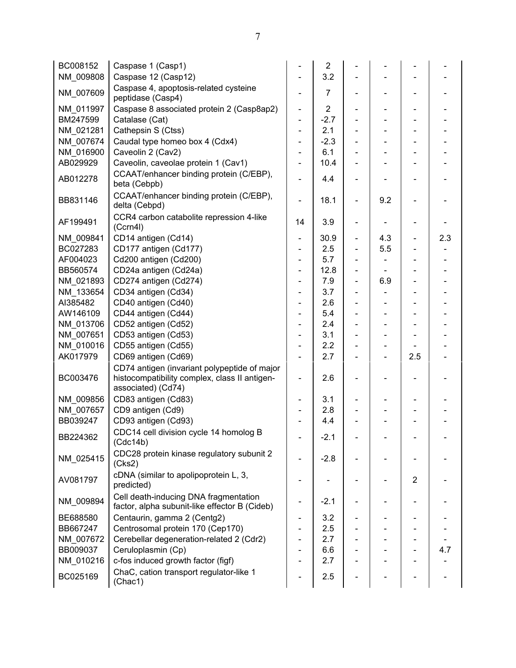| BC008152  | Caspase 1 (Casp1)                                                                                                   |                              | $\overline{2}$ |                          |                          |                          |     |
|-----------|---------------------------------------------------------------------------------------------------------------------|------------------------------|----------------|--------------------------|--------------------------|--------------------------|-----|
| NM_009808 | Caspase 12 (Casp12)                                                                                                 |                              | 3.2            |                          |                          |                          |     |
| NM_007609 | Caspase 4, apoptosis-related cysteine<br>peptidase (Casp4)                                                          | $\overline{\phantom{0}}$     | $\overline{7}$ | $\blacksquare$           | $\overline{\phantom{0}}$ |                          |     |
| NM 011997 | Caspase 8 associated protein 2 (Casp8ap2)                                                                           | $\overline{\phantom{0}}$     | $\overline{2}$ |                          |                          |                          |     |
| BM247599  | Catalase (Cat)                                                                                                      | ÷,                           | $-2.7$         |                          |                          |                          |     |
| NM 021281 | Cathepsin S (Ctss)                                                                                                  | ÷,                           | 2.1            |                          |                          |                          |     |
| NM 007674 | Caudal type homeo box 4 (Cdx4)                                                                                      | ÷,                           | $-2.3$         |                          |                          |                          |     |
| NM 016900 | Caveolin 2 (Cav2)                                                                                                   |                              | 6.1            |                          |                          |                          |     |
| AB029929  | Caveolin, caveolae protein 1 (Cav1)                                                                                 |                              | 10.4           |                          |                          |                          |     |
| AB012278  | CCAAT/enhancer binding protein (C/EBP),<br>beta (Cebpb)                                                             | $\overline{\phantom{0}}$     | 4.4            | $\overline{\phantom{a}}$ |                          |                          |     |
| BB831146  | CCAAT/enhancer binding protein (C/EBP),<br>delta (Cebpd)                                                            | ÷,                           | 18.1           | $\overline{\phantom{a}}$ | 9.2                      |                          |     |
| AF199491  | CCR4 carbon catabolite repression 4-like<br>(Ccrn4I)                                                                | 14                           | 3.9            | $\blacksquare$           |                          |                          |     |
| NM 009841 | CD14 antigen (Cd14)                                                                                                 | $\overline{\phantom{0}}$     | 30.9           | $\overline{\phantom{a}}$ | 4.3                      | $\overline{\phantom{a}}$ | 2.3 |
| BC027283  | CD177 antigen (Cd177)                                                                                               |                              | 2.5            |                          | 5.5                      |                          |     |
| AF004023  | Cd200 antigen (Cd200)                                                                                               |                              | 5.7            |                          |                          |                          |     |
| BB560574  | CD24a antigen (Cd24a)                                                                                               |                              | 12.8           |                          |                          |                          |     |
| NM_021893 | CD274 antigen (Cd274)                                                                                               |                              | 7.9            |                          | 6.9                      |                          |     |
| NM_133654 | CD34 antigen (Cd34)                                                                                                 |                              | 3.7            |                          |                          |                          |     |
| AI385482  | CD40 antigen (Cd40)                                                                                                 |                              | 2.6            | $\blacksquare$           |                          |                          |     |
| AW146109  | CD44 antigen (Cd44)                                                                                                 |                              | 5.4            |                          |                          |                          |     |
| NM_013706 | CD52 antigen (Cd52)                                                                                                 |                              | 2.4            |                          |                          |                          |     |
| NM 007651 | CD53 antigen (Cd53)                                                                                                 |                              | 3.1            |                          |                          |                          |     |
| NM 010016 | CD55 antigen (Cd55)                                                                                                 | $\qquad \qquad \blacksquare$ | 2.2            |                          |                          |                          |     |
| AK017979  | CD69 antigen (Cd69)                                                                                                 |                              | 2.7            |                          | $\overline{\phantom{0}}$ | 2.5                      |     |
| BC003476  | CD74 antigen (invariant polypeptide of major<br>histocompatibility complex, class II antigen-<br>associated) (Cd74) | -                            | 2.6            |                          |                          |                          |     |
| NM_009856 | CD83 antigen (Cd83)                                                                                                 | $\qquad \qquad \blacksquare$ | 3.1            | $\overline{\phantom{a}}$ |                          |                          |     |
| NM 007657 | CD9 antigen (Cd9)                                                                                                   |                              | 2.8            |                          |                          |                          |     |
| BB039247  | CD93 antigen (Cd93)                                                                                                 |                              | 4.4            |                          |                          |                          |     |
| BB224362  | CDC14 cell division cycle 14 homolog B<br>(Cdc14b)                                                                  |                              | $-2.1$         |                          |                          |                          |     |
| NM 025415 | CDC28 protein kinase regulatory subunit 2<br>(Cks2)                                                                 |                              | $-2.8$         |                          |                          |                          |     |
| AV081797  | cDNA (similar to apolipoprotein L, 3,<br>predicted)                                                                 |                              |                |                          |                          | $\overline{2}$           |     |
| NM 009894 | Cell death-inducing DNA fragmentation<br>factor, alpha subunit-like effector B (Cideb)                              |                              | $-2.1$         |                          |                          |                          |     |
| BE688580  | Centaurin, gamma 2 (Centg2)                                                                                         |                              | 3.2            |                          |                          |                          |     |
| BB667247  | Centrosomal protein 170 (Cep170)                                                                                    |                              | 2.5            |                          |                          |                          |     |
| NM 007672 | Cerebellar degeneration-related 2 (Cdr2)                                                                            |                              | 2.7            |                          |                          |                          |     |
| BB009037  | Ceruloplasmin (Cp)                                                                                                  |                              | 6.6            |                          |                          |                          | 4.7 |
| NM_010216 | c-fos induced growth factor (figf)                                                                                  |                              | 2.7            |                          |                          |                          |     |
| BC025169  | ChaC, cation transport regulator-like 1<br>(Chac1)                                                                  |                              | 2.5            |                          |                          |                          |     |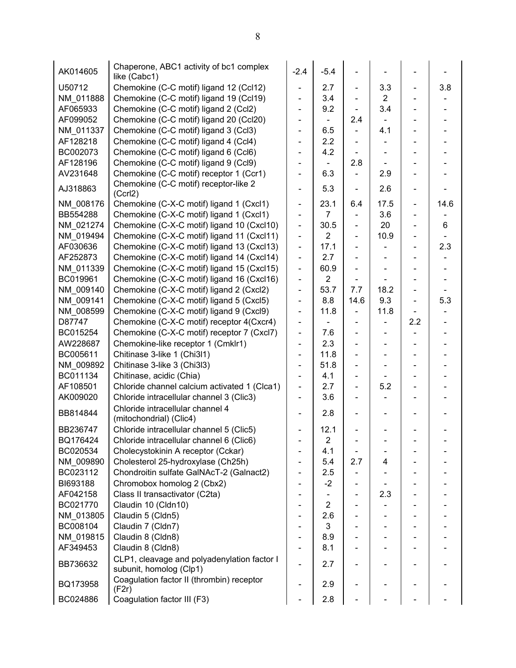| AK014605  | Chaperone, ABC1 activity of bc1 complex<br>like (Cabc1)                | $-2.4$                       | $-5.4$                   |                          |                          |                              |      |
|-----------|------------------------------------------------------------------------|------------------------------|--------------------------|--------------------------|--------------------------|------------------------------|------|
| U50712    | Chemokine (C-C motif) ligand 12 (Ccl12)                                | $\overline{\phantom{0}}$     | 2.7                      | $\overline{\phantom{0}}$ | 3.3                      | $\overline{\phantom{a}}$     | 3.8  |
| NM_011888 | Chemokine (C-C motif) ligand 19 (Ccl19)                                | $\overline{\phantom{0}}$     | 3.4                      | $\overline{\phantom{0}}$ | $\overline{2}$           |                              |      |
| AF065933  | Chemokine (C-C motif) ligand 2 (Ccl2)                                  |                              | 9.2                      |                          | 3.4                      | $\overline{\phantom{a}}$     |      |
| AF099052  | Chemokine (C-C motif) ligand 20 (Ccl20)                                | ÷,                           | $\blacksquare$           | 2.4                      |                          | $\overline{\phantom{a}}$     |      |
| NM_011337 | Chemokine (C-C motif) ligand 3 (Ccl3)                                  | ÷,                           | 6.5                      |                          | 4.1                      |                              |      |
| AF128218  | Chemokine (C-C motif) ligand 4 (Ccl4)                                  | $\overline{\phantom{0}}$     | 2.2                      | $\overline{\phantom{0}}$ |                          | $\blacksquare$               |      |
| BC002073  | Chemokine (C-C motif) ligand 6 (Ccl6)                                  | $\overline{\phantom{0}}$     | 4.2                      |                          |                          |                              |      |
| AF128196  | Chemokine (C-C motif) ligand 9 (Ccl9)                                  | ÷,                           |                          | 2.8                      |                          | $\overline{\phantom{a}}$     |      |
| AV231648  | Chemokine (C-C motif) receptor 1 (Ccr1)                                | $\overline{\phantom{0}}$     | 6.3                      |                          | 2.9                      |                              |      |
|           | Chemokine (C-C motif) receptor-like 2                                  |                              |                          |                          |                          |                              |      |
| AJ318863  | (Ccr12)                                                                | $\overline{\phantom{0}}$     | 5.3                      |                          | 2.6                      | $\overline{\phantom{a}}$     |      |
| NM_008176 | Chemokine (C-X-C motif) ligand 1 (Cxcl1)                               | ÷,                           | 23.1                     | 6.4                      | 17.5                     | $\overline{\phantom{a}}$     | 14.6 |
| BB554288  | Chemokine (C-X-C motif) ligand 1 (Cxcl1)                               | $\overline{\phantom{0}}$     | 7                        |                          | 3.6                      | $\frac{1}{2}$                |      |
| NM 021274 | Chemokine (C-X-C motif) ligand 10 (Cxcl10)                             | $\overline{\phantom{0}}$     | 30.5                     | $\overline{\phantom{0}}$ | 20                       | $\overline{\phantom{a}}$     | 6    |
| NM 019494 | Chemokine (C-X-C motif) ligand 11 (Cxcl11)                             | $\blacksquare$               | $\overline{2}$           | $\overline{\phantom{0}}$ | 10.9                     | $\overline{\phantom{a}}$     |      |
| AF030636  | Chemokine (C-X-C motif) ligand 13 (Cxcl13)                             | $\blacksquare$               | 17.1                     | $\overline{\phantom{0}}$ |                          | $\overline{\phantom{a}}$     | 2.3  |
| AF252873  | Chemokine (C-X-C motif) ligand 14 (Cxcl14)                             | $\overline{\phantom{0}}$     | 2.7                      | $\overline{\phantom{0}}$ |                          | $\overline{\phantom{a}}$     |      |
| NM 011339 | Chemokine (C-X-C motif) ligand 15 (Cxcl15)                             | $\overline{\phantom{0}}$     | 60.9                     |                          |                          | $\qquad \qquad \blacksquare$ |      |
| BC019961  | Chemokine (C-X-C motif) ligand 16 (Cxcl16)                             | ÷,                           | $\overline{2}$           |                          |                          | $\blacksquare$               |      |
| NM 009140 | Chemokine (C-X-C motif) ligand 2 (Cxcl2)                               | ÷,                           | 53.7                     | 7.7                      | 18.2                     | $\overline{\phantom{a}}$     |      |
| NM 009141 | Chemokine (C-X-C motif) ligand 5 (Cxcl5)                               | $\overline{\phantom{0}}$     | 8.8                      | 14.6                     | 9.3                      | $\blacksquare$               | 5.3  |
| NM 008599 | Chemokine (C-X-C motif) ligand 9 (Cxcl9)                               | ÷,                           | 11.8                     |                          | 11.8                     |                              |      |
| D87747    | Chemokine (C-X-C motif) receptor 4(Cxcr4)                              | $\blacksquare$               | $\overline{\phantom{a}}$ | -                        |                          | 2.2                          |      |
| BC015254  | Chemokine (C-X-C motif) receptor 7 (Cxcl7)                             | $\blacksquare$               | 7.6                      | $\overline{\phantom{0}}$ |                          |                              |      |
| AW228687  | Chemokine-like receptor 1 (Cmklr1)                                     | $\overline{\phantom{0}}$     | 2.3                      | $\blacksquare$           |                          | $\overline{\phantom{0}}$     |      |
| BC005611  | Chitinase 3-like 1 (Chi3l1)                                            | ÷,                           | 11.8                     | $\overline{\phantom{0}}$ |                          |                              |      |
| NM 009892 | Chitinase 3-like 3 (Chi3l3)                                            | $\overline{\phantom{0}}$     | 51.8                     | $\blacksquare$           | $\overline{\phantom{a}}$ | $\frac{1}{2}$                |      |
| BC011134  | Chitinase, acidic (Chia)                                               |                              | 4.1                      | -                        |                          |                              |      |
| AF108501  | Chloride channel calcium activated 1 (Clca1)                           | $\overline{\phantom{0}}$     | 2.7                      | $\blacksquare$           | 5.2                      | $\overline{\phantom{0}}$     |      |
| AK009020  | Chloride intracellular channel 3 (Clic3)                               | ÷,                           | 3.6                      | $\overline{\phantom{0}}$ |                          |                              |      |
| BB814844  | Chloride intracellular channel 4<br>(mitochondrial) (Clic4)            | $\qquad \qquad \blacksquare$ | 2.8                      | -                        |                          | $\qquad \qquad \blacksquare$ |      |
| BB236747  | Chloride intracellular channel 5 (Clic5)                               |                              | 12.1                     |                          |                          |                              |      |
| BQ176424  | Chloride intracellular channel 6 (Clic6)                               |                              | $\overline{2}$           |                          |                          |                              |      |
| BC020534  | Cholecystokinin A receptor (Cckar)                                     |                              | 4.1                      |                          |                          |                              |      |
| NM_009890 | Cholesterol 25-hydroxylase (Ch25h)                                     | $\qquad \qquad \blacksquare$ | 5.4                      | 2.7                      | 4                        |                              |      |
| BC023112  | Chondroitin sulfate GalNAcT-2 (Galnact2)                               | $\overline{\phantom{0}}$     | 2.5                      |                          |                          |                              |      |
| BI693188  | Chromobox homolog 2 (Cbx2)                                             |                              | $-2$                     |                          |                          |                              |      |
| AF042158  | Class II transactivator (C2ta)                                         |                              |                          |                          | 2.3                      |                              |      |
| BC021770  | Claudin 10 (Cldn10)                                                    |                              | 2                        | -                        |                          |                              |      |
|           | Claudin 5 (Cldn5)                                                      |                              |                          |                          |                          |                              |      |
| NM_013805 |                                                                        |                              | 2.6<br>3                 | -                        |                          |                              |      |
| BC008104  | Claudin 7 (Cldn7)                                                      |                              |                          |                          |                          |                              |      |
| NM_019815 | Claudin 8 (Cldn8)                                                      |                              | 8.9                      |                          |                          |                              |      |
| AF349453  | Claudin 8 (Cldn8)                                                      |                              | 8.1                      |                          |                          |                              |      |
| BB736632  | CLP1, cleavage and polyadenylation factor I<br>subunit, homolog (Clp1) |                              | 2.7                      |                          |                          |                              |      |
| BQ173958  | Coagulation factor II (thrombin) receptor<br>(F2r)                     |                              | 2.9                      |                          |                          |                              |      |
| BC024886  | Coagulation factor III (F3)                                            |                              | 2.8                      |                          |                          |                              |      |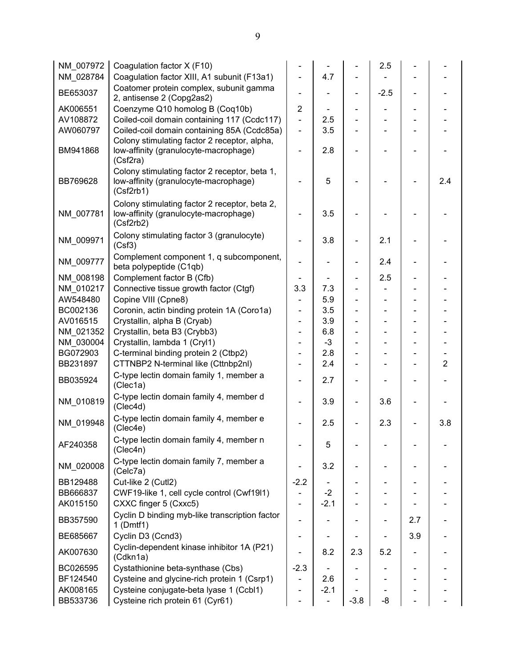| NM 007972 | Coagulation factor X (F10)                                                                          |                |                          |                          | 2.5                          |                          |                |
|-----------|-----------------------------------------------------------------------------------------------------|----------------|--------------------------|--------------------------|------------------------------|--------------------------|----------------|
| NM 028784 | Coagulation factor XIII, A1 subunit (F13a1)                                                         |                | 4.7                      |                          |                              |                          |                |
| BE653037  | Coatomer protein complex, subunit gamma<br>2, antisense 2 (Copg2as2)                                |                |                          | $\overline{\phantom{a}}$ | $-2.5$                       | $\overline{\phantom{0}}$ |                |
| AK006551  | Coenzyme Q10 homolog B (Coq10b)                                                                     | $\overline{2}$ |                          |                          |                              |                          |                |
| AV108872  | Coiled-coil domain containing 117 (Ccdc117)                                                         | $\overline{a}$ | 2.5                      |                          |                              |                          |                |
| AW060797  | Coiled-coil domain containing 85A (Ccdc85a)                                                         |                | 3.5                      |                          |                              |                          |                |
|           | Colony stimulating factor 2 receptor, alpha,                                                        |                |                          |                          |                              |                          |                |
| BM941868  | low-affinity (granulocyte-macrophage)<br>(Csf2ra)                                                   |                | 2.8                      |                          |                              |                          |                |
| BB769628  | Colony stimulating factor 2 receptor, beta 1,<br>low-affinity (granulocyte-macrophage)<br>(Csf2rb1) |                | 5                        |                          |                              |                          | 2.4            |
| NM_007781 | Colony stimulating factor 2 receptor, beta 2,<br>low-affinity (granulocyte-macrophage)<br>(Csf2rb2) |                | 3.5                      |                          |                              |                          |                |
| NM 009971 | Colony stimulating factor 3 (granulocyte)<br>(Csf3)                                                 |                | 3.8                      |                          | 2.1                          |                          |                |
| NM 009777 | Complement component 1, q subcomponent,<br>beta polypeptide (C1qb)                                  |                |                          |                          | 2.4                          |                          |                |
| NM 008198 | Complement factor B (Cfb)                                                                           |                |                          | $\blacksquare$           | 2.5                          |                          |                |
| NM 010217 | Connective tissue growth factor (Ctgf)                                                              | 3.3            | 7.3                      |                          |                              |                          |                |
| AW548480  | Copine VIII (Cpne8)                                                                                 |                | 5.9                      |                          |                              |                          |                |
| BC002136  | Coronin, actin binding protein 1A (Coro1a)                                                          |                | 3.5                      |                          |                              |                          |                |
| AV016515  | Crystallin, alpha B (Cryab)                                                                         |                | 3.9                      |                          | $\overline{\phantom{0}}$     |                          |                |
| NM 021352 | Crystallin, beta B3 (Crybb3)                                                                        |                | 6.8                      |                          |                              |                          |                |
| NM 030004 | Crystallin, lambda 1 (Cryl1)                                                                        |                | $-3$                     |                          |                              |                          |                |
| BG072903  | C-terminal binding protein 2 (Ctbp2)                                                                |                | 2.8                      |                          |                              |                          |                |
| BB231897  | CTTNBP2 N-terminal like (Cttnbp2nl)                                                                 |                | 2.4                      | $\overline{\phantom{a}}$ | $\qquad \qquad \blacksquare$ |                          | $\overline{2}$ |
|           | C-type lectin domain family 1, member a                                                             |                |                          |                          |                              |                          |                |
| BB035924  | (Clec1a)                                                                                            |                | 2.7                      | $\overline{\phantom{a}}$ |                              |                          |                |
| NM_010819 | C-type lectin domain family 4, member d<br>(Clec4d)                                                 |                | 3.9                      | $\overline{\phantom{a}}$ | 3.6                          |                          |                |
| NM_019948 | C-type lectin domain family 4, member e<br>(Clec4e)                                                 |                | 2.5                      |                          | 2.3                          |                          | 3.8            |
| AF240358  | C-type lectin domain family 4, member n<br>(Clec4n)                                                 |                | 5                        |                          |                              |                          |                |
| NM_020008 | C-type lectin domain family 7, member a<br>(Celc7a)                                                 |                | 3.2                      |                          |                              |                          |                |
| BB129488  | Cut-like 2 (Cutl2)                                                                                  | $-2.2$         |                          |                          |                              |                          |                |
| BB666837  | CWF19-like 1, cell cycle control (Cwf19l1)                                                          |                | $-2$                     |                          |                              |                          |                |
| AK015150  | CXXC finger 5 (Cxxc5)                                                                               |                | $-2.1$                   |                          |                              |                          |                |
|           | Cyclin D binding myb-like transcription factor                                                      |                |                          |                          |                              |                          |                |
| BB357590  | $1$ (Dmtf1)                                                                                         |                |                          |                          |                              | 2.7                      |                |
| BE685667  | Cyclin D3 (Ccnd3)                                                                                   |                |                          |                          |                              | 3.9                      |                |
| AK007630  | Cyclin-dependent kinase inhibitor 1A (P21)<br>(Cdkn1a)                                              |                | 8.2                      | 2.3                      | 5.2                          |                          |                |
| BC026595  | Cystathionine beta-synthase (Cbs)                                                                   | $-2.3$         |                          |                          |                              |                          |                |
| BF124540  | Cysteine and glycine-rich protein 1 (Csrp1)                                                         |                | 2.6                      |                          |                              |                          |                |
| AK008165  | Cysteine conjugate-beta lyase 1 (Ccbl1)                                                             |                | $-2.1$                   |                          |                              |                          |                |
| BB533736  | Cysteine rich protein 61 (Cyr61)                                                                    |                | $\overline{\phantom{0}}$ | $-3.8$                   | -8                           |                          |                |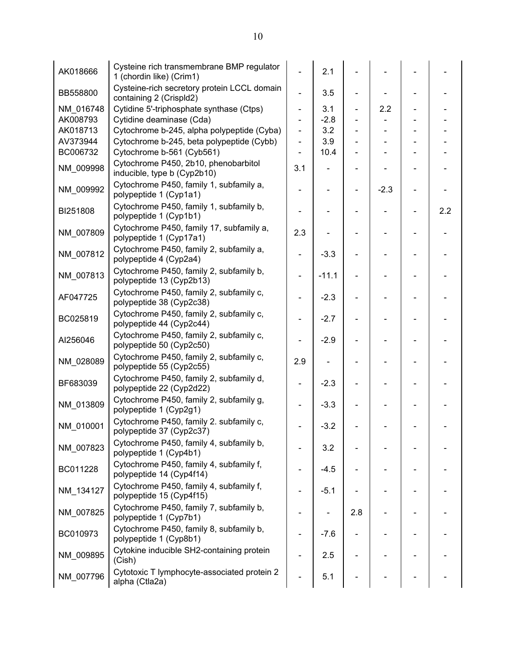| AK018666  | Cysteine rich transmembrane BMP regulator<br>1 (chordin like) (Crim1)  |                              | 2.1     |                |                              |     |
|-----------|------------------------------------------------------------------------|------------------------------|---------|----------------|------------------------------|-----|
| BB558800  | Cysteine-rich secretory protein LCCL domain<br>containing 2 (Crispld2) |                              | 3.5     |                |                              |     |
| NM_016748 | Cytidine 5'-triphosphate synthase (Ctps)                               | ÷,                           | 3.1     | $\blacksquare$ | 2.2                          |     |
| AK008793  | Cytidine deaminase (Cda)                                               |                              | $-2.8$  |                |                              |     |
| AK018713  | Cytochrome b-245, alpha polypeptide (Cyba)                             | $\qquad \qquad \blacksquare$ | 3.2     |                | $\qquad \qquad \blacksquare$ |     |
| AV373944  | Cytochrome b-245, beta polypeptide (Cybb)                              | $\blacksquare$               | 3.9     | $\blacksquare$ | $\qquad \qquad \blacksquare$ |     |
| BC006732  | Cytochrome b-561 (Cyb561)                                              |                              | 10.4    | $\blacksquare$ |                              |     |
| NM_009998 | Cytochrome P450, 2b10, phenobarbitol<br>inducible, type b (Cyp2b10)    | 3.1                          |         | -              |                              |     |
| NM_009992 | Cytochrome P450, family 1, subfamily a,<br>polypeptide 1 (Cyp1a1)      |                              |         |                | $-2.3$                       |     |
| BI251808  | Cytochrome P450, family 1, subfamily b,<br>polypeptide 1 (Cyp1b1)      |                              |         |                |                              | 2.2 |
| NM_007809 | Cytochrome P450, family 17, subfamily a,<br>polypeptide 1 (Cyp17a1)    | 2.3                          |         |                |                              |     |
| NM_007812 | Cytochrome P450, family 2, subfamily a,<br>polypeptide 4 (Cyp2a4)      |                              | $-3.3$  |                |                              |     |
| NM_007813 | Cytochrome P450, family 2, subfamily b,<br>polypeptide 13 (Cyp2b13)    |                              | $-11.1$ |                |                              |     |
| AF047725  | Cytochrome P450, family 2, subfamily c,<br>polypeptide 38 (Cyp2c38)    |                              | $-2.3$  |                |                              |     |
| BC025819  | Cytochrome P450, family 2, subfamily c,<br>polypeptide 44 (Cyp2c44)    |                              | $-2.7$  |                |                              |     |
| AI256046  | Cytochrome P450, family 2, subfamily c,<br>polypeptide 50 (Cyp2c50)    |                              | $-2.9$  |                |                              |     |
| NM_028089 | Cytochrome P450, family 2, subfamily c,<br>polypeptide 55 (Cyp2c55)    | 2.9                          |         |                |                              |     |
| BF683039  | Cytochrome P450, family 2, subfamily d,<br>polypeptide 22 (Cyp2d22)    |                              | $-2.3$  |                |                              |     |
| NM_013809 | Cytochrome P450, family 2, subfamily g,<br>polypeptide 1 (Cyp2g1)      |                              | $-3.3$  |                |                              |     |
| NM_010001 | Cytochrome P450, family 2. subfamily c,<br>polypeptide 37 (Cyp2c37)    |                              | $-3.2$  |                |                              |     |
| NM_007823 | Cytochrome P450, family 4, subfamily b,<br>polypeptide 1 (Cyp4b1)      |                              | 3.2     |                |                              |     |
| BC011228  | Cytochrome P450, family 4, subfamily f,<br>polypeptide 14 (Cyp4f14)    |                              | $-4.5$  |                |                              |     |
| NM_134127 | Cytochrome P450, family 4, subfamily f,<br>polypeptide 15 (Cyp4f15)    |                              | $-5.1$  |                |                              |     |
| NM 007825 | Cytochrome P450, family 7, subfamily b,<br>polypeptide 1 (Cyp7b1)      |                              |         | 2.8            |                              |     |
| BC010973  | Cytochrome P450, family 8, subfamily b,<br>polypeptide 1 (Cyp8b1)      |                              | $-7.6$  |                |                              |     |
| NM_009895 | Cytokine inducible SH2-containing protein<br>(Cish)                    |                              | 2.5     |                |                              |     |
| NM_007796 | Cytotoxic T lymphocyte-associated protein 2<br>alpha (Ctla2a)          |                              | 5.1     |                |                              |     |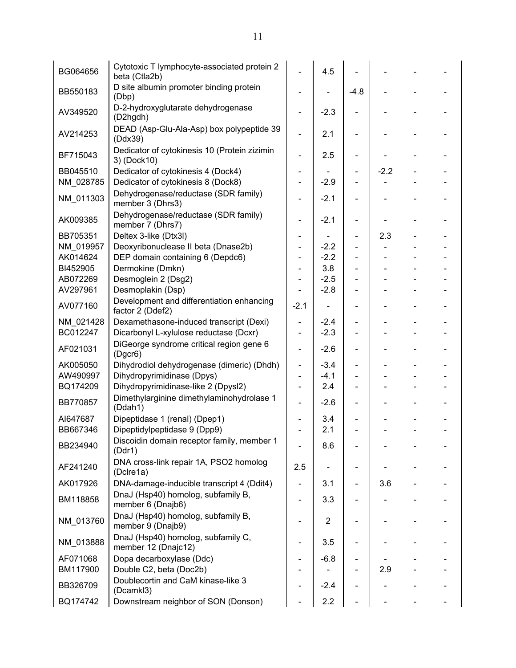| BG064656  | Cytotoxic T lymphocyte-associated protein 2<br>beta (Ctla2b)  |                          | 4.5                          |                          |        |                          |  |
|-----------|---------------------------------------------------------------|--------------------------|------------------------------|--------------------------|--------|--------------------------|--|
| BB550183  | D site albumin promoter binding protein<br>(Dbp)              |                          |                              | $-4.8$                   |        |                          |  |
| AV349520  | D-2-hydroxyglutarate dehydrogenase<br>(D2hgdh)                |                          | $-2.3$                       |                          |        |                          |  |
| AV214253  | DEAD (Asp-Glu-Ala-Asp) box polypeptide 39<br>(Ddx39)          |                          | 2.1                          |                          |        |                          |  |
| BF715043  | Dedicator of cytokinesis 10 (Protein zizimin<br>3) (Dock10)   |                          | 2.5                          |                          |        |                          |  |
| BB045510  | Dedicator of cytokinesis 4 (Dock4)                            |                          |                              | -                        | $-2.2$ |                          |  |
| NM_028785 | Dedicator of cytokinesis 8 (Dock8)                            |                          | $-2.9$                       |                          |        |                          |  |
| NM_011303 | Dehydrogenase/reductase (SDR family)<br>member 3 (Dhrs3)      |                          | $-2.1$                       |                          |        |                          |  |
| AK009385  | Dehydrogenase/reductase (SDR family)<br>member 7 (Dhrs7)      |                          | $-2.1$                       |                          |        | -                        |  |
| BB705351  | Deltex 3-like (Dtx3l)                                         |                          |                              | -                        | 2.3    |                          |  |
| NM 019957 | Deoxyribonuclease II beta (Dnase2b)                           |                          | $-2.2$                       |                          |        |                          |  |
| AK014624  | DEP domain containing 6 (Depdc6)                              |                          | $-2.2$                       | $\overline{\phantom{0}}$ |        |                          |  |
| BI452905  | Dermokine (Dmkn)                                              |                          | 3.8                          | $\overline{\phantom{0}}$ |        |                          |  |
| AB072269  | Desmoglein 2 (Dsg2)                                           |                          | $-2.5$                       |                          |        |                          |  |
| AV297961  | Desmoplakin (Dsp)                                             |                          | $-2.8$                       |                          |        |                          |  |
| AV077160  | Development and differentiation enhancing<br>factor 2 (Ddef2) | $-2.1$                   | $\qquad \qquad \blacksquare$ | ۳                        |        | -                        |  |
| NM_021428 | Dexamethasone-induced transcript (Dexi)                       |                          | $-2.4$                       |                          |        |                          |  |
| BC012247  | Dicarbonyl L-xylulose reductase (Dcxr)                        | $\blacksquare$           | $-2.3$                       |                          |        |                          |  |
| AF021031  | DiGeorge syndrome critical region gene 6<br>(Dgcr6)           | $\blacksquare$           | $-2.6$                       | -                        |        |                          |  |
| AK005050  | Dihydrodiol dehydrogenase (dimeric) (Dhdh)                    | $\blacksquare$           | $-3.4$                       |                          |        |                          |  |
| AW490997  | Dihydropyrimidinase (Dpys)                                    | $\blacksquare$           | $-4.1$                       |                          |        |                          |  |
| BQ174209  | Dihydropyrimidinase-like 2 (Dpysl2)                           | $\blacksquare$           | 2.4                          |                          |        | $\overline{\phantom{0}}$ |  |
| BB770857  | Dimethylarginine dimethylaminohydrolase 1<br>(Ddah1)          |                          | $-2.6$                       |                          |        |                          |  |
| AI647687  | Dipeptidase 1 (renal) (Dpep1)                                 |                          | 3.4                          |                          |        |                          |  |
| BB667346  | Dipeptidylpeptidase 9 (Dpp9)                                  |                          | 2.1                          |                          |        |                          |  |
| BB234940  | Discoidin domain receptor family, member 1<br>(Ddr1)          |                          | 8.6                          |                          |        |                          |  |
| AF241240  | DNA cross-link repair 1A, PSO2 homolog<br>(Dclre1a)           | 2.5                      |                              |                          |        |                          |  |
| AK017926  | DNA-damage-inducible transcript 4 (Ddit4)                     | $\overline{\phantom{0}}$ | 3.1                          | $\overline{\phantom{0}}$ | 3.6    |                          |  |
| BM118858  | DnaJ (Hsp40) homolog, subfamily B,<br>member 6 (Dnajb6)       | $\overline{\phantom{0}}$ | 3.3                          |                          |        |                          |  |
| NM 013760 | DnaJ (Hsp40) homolog, subfamily B,<br>member 9 (Dnajb9)       |                          | $\overline{2}$               |                          |        |                          |  |
| NM 013888 | DnaJ (Hsp40) homolog, subfamily C,<br>member 12 (Dnajc12)     |                          | 3.5                          |                          |        |                          |  |
| AF071068  | Dopa decarboxylase (Ddc)                                      | -                        | $-6.8$                       |                          |        |                          |  |
| BM117900  | Double C2, beta (Doc2b)                                       | Ξ.                       |                              |                          | 2.9    |                          |  |
| BB326709  | Doublecortin and CaM kinase-like 3<br>(Dcamkl3)               |                          | $-2.4$                       |                          |        |                          |  |
| BQ174742  | Downstream neighbor of SON (Donson)                           |                          | 2.2                          |                          |        |                          |  |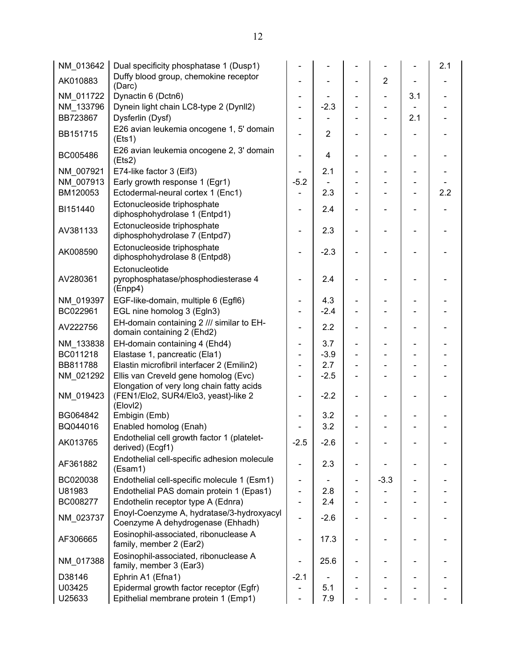| NM_013642 | Dual specificity phosphatase 1 (Dusp1)                                                        |                              |                |                |                          | 2.1 |
|-----------|-----------------------------------------------------------------------------------------------|------------------------------|----------------|----------------|--------------------------|-----|
| AK010883  | Duffy blood group, chemokine receptor<br>(Darc)                                               |                              |                | $\overline{2}$ |                          |     |
| NM 011722 | Dynactin 6 (Dctn6)                                                                            |                              |                |                | 3.1                      |     |
| NM 133796 | Dynein light chain LC8-type 2 (Dynll2)                                                        |                              | $-2.3$         |                |                          |     |
| BB723867  | Dysferlin (Dysf)                                                                              |                              |                |                | 2.1                      |     |
| BB151715  | E26 avian leukemia oncogene 1, 5' domain<br>(Et <sub>51</sub> )                               |                              | $\overline{2}$ |                |                          |     |
| BC005486  | E26 avian leukemia oncogene 2, 3' domain<br>(Ets2)                                            |                              | 4              |                |                          |     |
| NM 007921 | E74-like factor 3 (Eif3)                                                                      |                              | 2.1            |                |                          |     |
| NM 007913 | Early growth response 1 (Egr1)                                                                | $-5.2$                       |                |                |                          |     |
| BM120053  | Ectodermal-neural cortex 1 (Enc1)                                                             |                              | 2.3            |                |                          | 2.2 |
| BI151440  | Ectonucleoside triphosphate<br>diphosphohydrolase 1 (Entpd1)                                  |                              | 2.4            |                |                          |     |
| AV381133  | Ectonucleoside triphosphate<br>diphosphohydrolase 7 (Entpd7)                                  |                              | 2.3            |                |                          |     |
| AK008590  | Ectonucleoside triphosphate<br>diphosphohydrolase 8 (Entpd8)                                  |                              | $-2.3$         |                |                          |     |
| AV280361  | Ectonucleotide<br>pyrophosphatase/phosphodiesterase 4                                         |                              | 2.4            |                |                          |     |
|           | (Enpp4)                                                                                       |                              |                |                |                          |     |
| NM 019397 | EGF-like-domain, multiple 6 (Egfl6)                                                           |                              | 4.3            |                |                          |     |
| BC022961  | EGL nine homolog 3 (Egln3)                                                                    |                              | $-2.4$         |                |                          |     |
| AV222756  | EH-domain containing 2 /// similar to EH-<br>domain containing 2 (Ehd2)                       |                              | 2.2            |                |                          |     |
| NM_133838 | EH-domain containing 4 (Ehd4)                                                                 | $\qquad \qquad \blacksquare$ | 3.7            |                |                          |     |
| BC011218  | Elastase 1, pancreatic (Ela1)                                                                 |                              | $-3.9$         |                |                          |     |
| BB811788  | Elastin microfibril interfacer 2 (Emilin2)                                                    |                              | 2.7            |                |                          |     |
| NM_021292 | Ellis van Creveld gene homolog (Evc)                                                          | Ξ.                           | $-2.5$         |                | $\overline{\phantom{0}}$ |     |
| NM 019423 | Elongation of very long chain fatty acids<br>(FEN1/Elo2, SUR4/Elo3, yeast)-like 2<br>(ElovI2) | $\overline{\phantom{0}}$     | $-2.2$         |                |                          |     |
| BG064842  | Embigin (Emb)                                                                                 |                              | 3.2            |                |                          |     |
| BQ044016  | Enabled homolog (Enah)                                                                        |                              | 3.2            |                |                          |     |
| AK013765  | Endothelial cell growth factor 1 (platelet-<br>derived) (Ecgf1)                               | $-2.5$                       | $-2.6$         |                |                          |     |
| AF361882  | Endothelial cell-specific adhesion molecule<br>(Esam1)                                        |                              | 2.3            |                |                          |     |
| BC020038  | Endothelial cell-specific molecule 1 (Esm1)                                                   | $\overline{\phantom{0}}$     |                | $-3.3$         |                          |     |
| U81983    | Endothelial PAS domain protein 1 (Epas1)                                                      |                              | 2.8            |                |                          |     |
| BC008277  | Endothelin receptor type A (Ednra)                                                            |                              | 2.4            |                |                          |     |
| NM_023737 | Enoyl-Coenzyme A, hydratase/3-hydroxyacyl<br>Coenzyme A dehydrogenase (Ehhadh)                | $\overline{\phantom{0}}$     | $-2.6$         |                |                          |     |
| AF306665  | Eosinophil-associated, ribonuclease A<br>family, member 2 (Ear2)                              |                              | 17.3           |                |                          |     |
| NM_017388 | Eosinophil-associated, ribonuclease A<br>family, member 3 (Ear3)                              |                              | 25.6           |                |                          |     |
| D38146    | Ephrin A1 (Efna1)                                                                             | $-2.1$                       |                |                |                          |     |
| U03425    | Epidermal growth factor receptor (Egfr)                                                       |                              | 5.1            |                |                          |     |
| U25633    | Epithelial membrane protein 1 (Emp1)                                                          |                              | 7.9            |                |                          |     |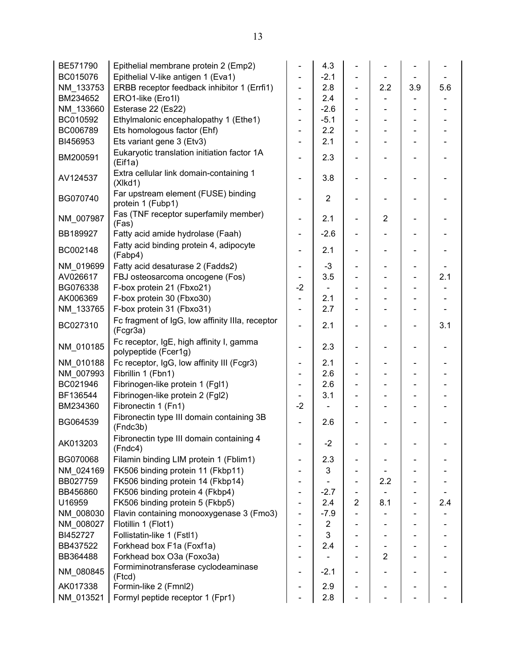| $-2.1$<br>BC015076<br>Epithelial V-like antigen 1 (Eva1)<br>ERBB receptor feedback inhibitor 1 (Errfi1)<br>2.8<br>2.2<br>3.9<br>NM_133753<br>÷,<br>$\blacksquare$<br>2.4<br>BM234652<br>ERO1-like (Ero1l)<br>$-2.6$<br>NM 133660<br>Esterase 22 (Es22)<br>$\blacksquare$<br>$\overline{\phantom{a}}$<br>$\qquad \qquad \blacksquare$<br>Ethylmalonic encephalopathy 1 (Ethe1)<br>BC010592<br>$-5.1$<br>$\overline{\phantom{0}}$<br>$\overline{\phantom{0}}$<br>Ets homologous factor (Ehf)<br>BC006789<br>2.2<br>÷,<br>2.1<br>BI456953<br>Ets variant gene 3 (Etv3)<br>Eukaryotic translation initiation factor 1A<br>2.3<br>BM200591<br>÷,<br>(Eif1a)<br>Extra cellular link domain-containing 1<br>3.8<br>AV124537<br>(Xlkd1)<br>Far upstream element (FUSE) binding<br>$\overline{2}$<br>BG070740<br>$\qquad \qquad \blacksquare$<br>protein 1 (Fubp1)<br>Fas (TNF receptor superfamily member)<br>NM_007987<br>$\overline{2}$<br>2.1<br>÷,<br>$\overline{\phantom{a}}$<br>(Fas)<br>BB189927<br>Fatty acid amide hydrolase (Faah)<br>$-2.6$<br>$\overline{\phantom{0}}$<br>÷,<br>Fatty acid binding protein 4, adipocyte<br>BC002148<br>2.1<br>$\overline{\phantom{0}}$<br>$\overline{\phantom{0}}$<br>$\overline{\phantom{a}}$<br>(Fabp4)<br>$-3$<br>NM 019699<br>Fatty acid desaturase 2 (Fadds2)<br>$\overline{\phantom{0}}$<br>AV026617<br>FBJ osteosarcoma oncogene (Fos)<br>3.5<br>$-2$<br>BG076338<br>F-box protein 21 (Fbxo21)<br>2.1<br>AK006369<br>F-box protein 30 (Fbxo30)<br>$\blacksquare$<br>F-box protein 31 (Fbxo31)<br>NM_133765<br>2.7<br>$\blacksquare$<br>Fc fragment of IgG, low affinity IIIa, receptor<br>BC027310<br>2.1<br>$\blacksquare$<br>(Fcgr3a)<br>Fc receptor, IgE, high affinity I, gamma<br>NM_010185<br>2.3<br>$\overline{\phantom{0}}$<br>$\blacksquare$<br>-<br>$\overline{\phantom{a}}$<br>polypeptide (Fcer1g)<br>NM 010188<br>Fc receptor, IgG, Iow affinity III (Fcgr3)<br>2.1<br>÷,<br>$\overline{\phantom{0}}$ | 5.6 |
|---------------------------------------------------------------------------------------------------------------------------------------------------------------------------------------------------------------------------------------------------------------------------------------------------------------------------------------------------------------------------------------------------------------------------------------------------------------------------------------------------------------------------------------------------------------------------------------------------------------------------------------------------------------------------------------------------------------------------------------------------------------------------------------------------------------------------------------------------------------------------------------------------------------------------------------------------------------------------------------------------------------------------------------------------------------------------------------------------------------------------------------------------------------------------------------------------------------------------------------------------------------------------------------------------------------------------------------------------------------------------------------------------------------------------------------------------------------------------------------------------------------------------------------------------------------------------------------------------------------------------------------------------------------------------------------------------------------------------------------------------------------------------------------------------------------------------------------------------------------------------------------------------------------------------------------------------------------|-----|
|                                                                                                                                                                                                                                                                                                                                                                                                                                                                                                                                                                                                                                                                                                                                                                                                                                                                                                                                                                                                                                                                                                                                                                                                                                                                                                                                                                                                                                                                                                                                                                                                                                                                                                                                                                                                                                                                                                                                                               |     |
|                                                                                                                                                                                                                                                                                                                                                                                                                                                                                                                                                                                                                                                                                                                                                                                                                                                                                                                                                                                                                                                                                                                                                                                                                                                                                                                                                                                                                                                                                                                                                                                                                                                                                                                                                                                                                                                                                                                                                               |     |
|                                                                                                                                                                                                                                                                                                                                                                                                                                                                                                                                                                                                                                                                                                                                                                                                                                                                                                                                                                                                                                                                                                                                                                                                                                                                                                                                                                                                                                                                                                                                                                                                                                                                                                                                                                                                                                                                                                                                                               |     |
|                                                                                                                                                                                                                                                                                                                                                                                                                                                                                                                                                                                                                                                                                                                                                                                                                                                                                                                                                                                                                                                                                                                                                                                                                                                                                                                                                                                                                                                                                                                                                                                                                                                                                                                                                                                                                                                                                                                                                               |     |
|                                                                                                                                                                                                                                                                                                                                                                                                                                                                                                                                                                                                                                                                                                                                                                                                                                                                                                                                                                                                                                                                                                                                                                                                                                                                                                                                                                                                                                                                                                                                                                                                                                                                                                                                                                                                                                                                                                                                                               |     |
|                                                                                                                                                                                                                                                                                                                                                                                                                                                                                                                                                                                                                                                                                                                                                                                                                                                                                                                                                                                                                                                                                                                                                                                                                                                                                                                                                                                                                                                                                                                                                                                                                                                                                                                                                                                                                                                                                                                                                               |     |
|                                                                                                                                                                                                                                                                                                                                                                                                                                                                                                                                                                                                                                                                                                                                                                                                                                                                                                                                                                                                                                                                                                                                                                                                                                                                                                                                                                                                                                                                                                                                                                                                                                                                                                                                                                                                                                                                                                                                                               |     |
|                                                                                                                                                                                                                                                                                                                                                                                                                                                                                                                                                                                                                                                                                                                                                                                                                                                                                                                                                                                                                                                                                                                                                                                                                                                                                                                                                                                                                                                                                                                                                                                                                                                                                                                                                                                                                                                                                                                                                               |     |
|                                                                                                                                                                                                                                                                                                                                                                                                                                                                                                                                                                                                                                                                                                                                                                                                                                                                                                                                                                                                                                                                                                                                                                                                                                                                                                                                                                                                                                                                                                                                                                                                                                                                                                                                                                                                                                                                                                                                                               |     |
|                                                                                                                                                                                                                                                                                                                                                                                                                                                                                                                                                                                                                                                                                                                                                                                                                                                                                                                                                                                                                                                                                                                                                                                                                                                                                                                                                                                                                                                                                                                                                                                                                                                                                                                                                                                                                                                                                                                                                               |     |
|                                                                                                                                                                                                                                                                                                                                                                                                                                                                                                                                                                                                                                                                                                                                                                                                                                                                                                                                                                                                                                                                                                                                                                                                                                                                                                                                                                                                                                                                                                                                                                                                                                                                                                                                                                                                                                                                                                                                                               |     |
|                                                                                                                                                                                                                                                                                                                                                                                                                                                                                                                                                                                                                                                                                                                                                                                                                                                                                                                                                                                                                                                                                                                                                                                                                                                                                                                                                                                                                                                                                                                                                                                                                                                                                                                                                                                                                                                                                                                                                               |     |
|                                                                                                                                                                                                                                                                                                                                                                                                                                                                                                                                                                                                                                                                                                                                                                                                                                                                                                                                                                                                                                                                                                                                                                                                                                                                                                                                                                                                                                                                                                                                                                                                                                                                                                                                                                                                                                                                                                                                                               |     |
|                                                                                                                                                                                                                                                                                                                                                                                                                                                                                                                                                                                                                                                                                                                                                                                                                                                                                                                                                                                                                                                                                                                                                                                                                                                                                                                                                                                                                                                                                                                                                                                                                                                                                                                                                                                                                                                                                                                                                               |     |
|                                                                                                                                                                                                                                                                                                                                                                                                                                                                                                                                                                                                                                                                                                                                                                                                                                                                                                                                                                                                                                                                                                                                                                                                                                                                                                                                                                                                                                                                                                                                                                                                                                                                                                                                                                                                                                                                                                                                                               | 2.1 |
|                                                                                                                                                                                                                                                                                                                                                                                                                                                                                                                                                                                                                                                                                                                                                                                                                                                                                                                                                                                                                                                                                                                                                                                                                                                                                                                                                                                                                                                                                                                                                                                                                                                                                                                                                                                                                                                                                                                                                               |     |
|                                                                                                                                                                                                                                                                                                                                                                                                                                                                                                                                                                                                                                                                                                                                                                                                                                                                                                                                                                                                                                                                                                                                                                                                                                                                                                                                                                                                                                                                                                                                                                                                                                                                                                                                                                                                                                                                                                                                                               |     |
|                                                                                                                                                                                                                                                                                                                                                                                                                                                                                                                                                                                                                                                                                                                                                                                                                                                                                                                                                                                                                                                                                                                                                                                                                                                                                                                                                                                                                                                                                                                                                                                                                                                                                                                                                                                                                                                                                                                                                               |     |
|                                                                                                                                                                                                                                                                                                                                                                                                                                                                                                                                                                                                                                                                                                                                                                                                                                                                                                                                                                                                                                                                                                                                                                                                                                                                                                                                                                                                                                                                                                                                                                                                                                                                                                                                                                                                                                                                                                                                                               | 3.1 |
|                                                                                                                                                                                                                                                                                                                                                                                                                                                                                                                                                                                                                                                                                                                                                                                                                                                                                                                                                                                                                                                                                                                                                                                                                                                                                                                                                                                                                                                                                                                                                                                                                                                                                                                                                                                                                                                                                                                                                               |     |
|                                                                                                                                                                                                                                                                                                                                                                                                                                                                                                                                                                                                                                                                                                                                                                                                                                                                                                                                                                                                                                                                                                                                                                                                                                                                                                                                                                                                                                                                                                                                                                                                                                                                                                                                                                                                                                                                                                                                                               |     |
| Fibrillin 1 (Fbn1)<br>2.6<br>NM 007993                                                                                                                                                                                                                                                                                                                                                                                                                                                                                                                                                                                                                                                                                                                                                                                                                                                                                                                                                                                                                                                                                                                                                                                                                                                                                                                                                                                                                                                                                                                                                                                                                                                                                                                                                                                                                                                                                                                        |     |
| BC021946<br>Fibrinogen-like protein 1 (FgI1)<br>2.6<br>$\blacksquare$                                                                                                                                                                                                                                                                                                                                                                                                                                                                                                                                                                                                                                                                                                                                                                                                                                                                                                                                                                                                                                                                                                                                                                                                                                                                                                                                                                                                                                                                                                                                                                                                                                                                                                                                                                                                                                                                                         |     |
| 3.1<br>BF136544<br>Fibrinogen-like protein 2 (Fgl2)                                                                                                                                                                                                                                                                                                                                                                                                                                                                                                                                                                                                                                                                                                                                                                                                                                                                                                                                                                                                                                                                                                                                                                                                                                                                                                                                                                                                                                                                                                                                                                                                                                                                                                                                                                                                                                                                                                           |     |
| Fibronectin 1 (Fn1)<br>$-2$<br>BM234360                                                                                                                                                                                                                                                                                                                                                                                                                                                                                                                                                                                                                                                                                                                                                                                                                                                                                                                                                                                                                                                                                                                                                                                                                                                                                                                                                                                                                                                                                                                                                                                                                                                                                                                                                                                                                                                                                                                       |     |
| Fibronectin type III domain containing 3B<br>BG064539<br>2.6<br>(Fndc3b)                                                                                                                                                                                                                                                                                                                                                                                                                                                                                                                                                                                                                                                                                                                                                                                                                                                                                                                                                                                                                                                                                                                                                                                                                                                                                                                                                                                                                                                                                                                                                                                                                                                                                                                                                                                                                                                                                      |     |
| Fibronectin type III domain containing 4<br>AK013203<br>$-2$<br>(Endc4)                                                                                                                                                                                                                                                                                                                                                                                                                                                                                                                                                                                                                                                                                                                                                                                                                                                                                                                                                                                                                                                                                                                                                                                                                                                                                                                                                                                                                                                                                                                                                                                                                                                                                                                                                                                                                                                                                       |     |
| Filamin binding LIM protein 1 (Fblim1)<br>BG070068<br>2.3                                                                                                                                                                                                                                                                                                                                                                                                                                                                                                                                                                                                                                                                                                                                                                                                                                                                                                                                                                                                                                                                                                                                                                                                                                                                                                                                                                                                                                                                                                                                                                                                                                                                                                                                                                                                                                                                                                     |     |
| FK506 binding protein 11 (Fkbp11)<br>3<br>NM 024169                                                                                                                                                                                                                                                                                                                                                                                                                                                                                                                                                                                                                                                                                                                                                                                                                                                                                                                                                                                                                                                                                                                                                                                                                                                                                                                                                                                                                                                                                                                                                                                                                                                                                                                                                                                                                                                                                                           |     |
| FK506 binding protein 14 (Fkbp14)<br>BB027759<br>2.2                                                                                                                                                                                                                                                                                                                                                                                                                                                                                                                                                                                                                                                                                                                                                                                                                                                                                                                                                                                                                                                                                                                                                                                                                                                                                                                                                                                                                                                                                                                                                                                                                                                                                                                                                                                                                                                                                                          |     |
| FK506 binding protein 4 (Fkbp4)<br>BB456860<br>$-2.7$<br>$\overline{\phantom{0}}$                                                                                                                                                                                                                                                                                                                                                                                                                                                                                                                                                                                                                                                                                                                                                                                                                                                                                                                                                                                                                                                                                                                                                                                                                                                                                                                                                                                                                                                                                                                                                                                                                                                                                                                                                                                                                                                                             |     |
| FK506 binding protein 5 (Fkbp5)<br>2.4<br>$\overline{2}$<br>U16959<br>8.1                                                                                                                                                                                                                                                                                                                                                                                                                                                                                                                                                                                                                                                                                                                                                                                                                                                                                                                                                                                                                                                                                                                                                                                                                                                                                                                                                                                                                                                                                                                                                                                                                                                                                                                                                                                                                                                                                     | 2.4 |
| NM_008030<br>Flavin containing monooxygenase 3 (Fmo3)<br>$-7.9$                                                                                                                                                                                                                                                                                                                                                                                                                                                                                                                                                                                                                                                                                                                                                                                                                                                                                                                                                                                                                                                                                                                                                                                                                                                                                                                                                                                                                                                                                                                                                                                                                                                                                                                                                                                                                                                                                               |     |
| $\overline{2}$<br>NM_008027<br>Flotillin 1 (Flot1)                                                                                                                                                                                                                                                                                                                                                                                                                                                                                                                                                                                                                                                                                                                                                                                                                                                                                                                                                                                                                                                                                                                                                                                                                                                                                                                                                                                                                                                                                                                                                                                                                                                                                                                                                                                                                                                                                                            |     |
| 3<br>BI452727<br>Follistatin-like 1 (Fstl1)                                                                                                                                                                                                                                                                                                                                                                                                                                                                                                                                                                                                                                                                                                                                                                                                                                                                                                                                                                                                                                                                                                                                                                                                                                                                                                                                                                                                                                                                                                                                                                                                                                                                                                                                                                                                                                                                                                                   |     |
| Forkhead box F1a (Foxf1a)<br>BB437522<br>2.4                                                                                                                                                                                                                                                                                                                                                                                                                                                                                                                                                                                                                                                                                                                                                                                                                                                                                                                                                                                                                                                                                                                                                                                                                                                                                                                                                                                                                                                                                                                                                                                                                                                                                                                                                                                                                                                                                                                  |     |
| Forkhead box O3a (Foxo3a)<br>$\overline{2}$<br>BB364488                                                                                                                                                                                                                                                                                                                                                                                                                                                                                                                                                                                                                                                                                                                                                                                                                                                                                                                                                                                                                                                                                                                                                                                                                                                                                                                                                                                                                                                                                                                                                                                                                                                                                                                                                                                                                                                                                                       |     |
| Formiminotransferase cyclodeaminase<br>NM_080845<br>$-2.1$<br>(Ftcd)                                                                                                                                                                                                                                                                                                                                                                                                                                                                                                                                                                                                                                                                                                                                                                                                                                                                                                                                                                                                                                                                                                                                                                                                                                                                                                                                                                                                                                                                                                                                                                                                                                                                                                                                                                                                                                                                                          |     |
| AK017338<br>Formin-like 2 (Fmnl2)<br>2.9                                                                                                                                                                                                                                                                                                                                                                                                                                                                                                                                                                                                                                                                                                                                                                                                                                                                                                                                                                                                                                                                                                                                                                                                                                                                                                                                                                                                                                                                                                                                                                                                                                                                                                                                                                                                                                                                                                                      |     |
| NM_013521<br>Formyl peptide receptor 1 (Fpr1)<br>2.8                                                                                                                                                                                                                                                                                                                                                                                                                                                                                                                                                                                                                                                                                                                                                                                                                                                                                                                                                                                                                                                                                                                                                                                                                                                                                                                                                                                                                                                                                                                                                                                                                                                                                                                                                                                                                                                                                                          |     |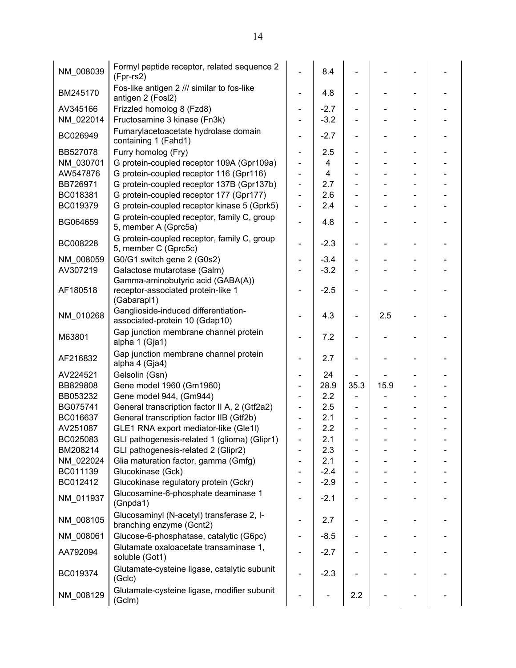| NM_008039 | Formyl peptide receptor, related sequence 2<br>(Fpr-rs2)               |                              | 8.4    |      |      |  |
|-----------|------------------------------------------------------------------------|------------------------------|--------|------|------|--|
| BM245170  | Fos-like antigen 2 /// similar to fos-like<br>antigen 2 (Fosl2)        | $\blacksquare$               | 4.8    |      |      |  |
| AV345166  | Frizzled homolog 8 (Fzd8)                                              | $\overline{\phantom{a}}$     | $-2.7$ |      |      |  |
| NM_022014 | Fructosamine 3 kinase (Fn3k)                                           | $\overline{\phantom{a}}$     | $-3.2$ |      |      |  |
| BC026949  | Fumarylacetoacetate hydrolase domain<br>containing 1 (Fahd1)           | $\qquad \qquad \blacksquare$ | $-2.7$ |      |      |  |
| BB527078  | Furry homolog (Fry)                                                    | $\overline{\phantom{a}}$     | 2.5    |      |      |  |
| NM 030701 | G protein-coupled receptor 109A (Gpr109a)                              | $\blacksquare$               | 4      |      |      |  |
| AW547876  | G protein-coupled receptor 116 (Gpr116)                                | $\blacksquare$               | 4      |      |      |  |
| BB726971  | G protein-coupled receptor 137B (Gpr137b)                              | $\blacksquare$               | 2.7    |      |      |  |
| BC018381  | G protein-coupled receptor 177 (Gpr177)                                | $\blacksquare$               | 2.6    |      |      |  |
| BC019379  | G protein-coupled receptor kinase 5 (Gprk5)                            | $\blacksquare$               | 2.4    |      |      |  |
| BG064659  | G protein-coupled receptor, family C, group<br>5, member A (Gprc5a)    | $\overline{a}$               | 4.8    |      |      |  |
| BC008228  | G protein-coupled receptor, family C, group<br>5, member C (Gprc5c)    | ÷                            | $-2.3$ |      |      |  |
| NM 008059 | G0/G1 switch gene 2 (G0s2)                                             | $\blacksquare$               | $-3.4$ |      |      |  |
| AV307219  | Galactose mutarotase (Galm)                                            |                              | $-3.2$ |      |      |  |
|           | Gamma-aminobutyric acid (GABA(A))                                      |                              |        |      |      |  |
| AF180518  | receptor-associated protein-like 1<br>(Gabarapl1)                      |                              | $-2.5$ |      |      |  |
| NM_010268 | Ganglioside-induced differentiation-<br>associated-protein 10 (Gdap10) |                              | 4.3    |      | 2.5  |  |
| M63801    | Gap junction membrane channel protein<br>alpha 1 (Gja1)                |                              | 7.2    |      |      |  |
| AF216832  | Gap junction membrane channel protein<br>alpha 4 (Gja4)                | $\overline{\phantom{a}}$     | 2.7    |      |      |  |
| AV224521  | Gelsolin (Gsn)                                                         | $\overline{\phantom{a}}$     | 24     |      |      |  |
| BB829808  | Gene model 1960 (Gm1960)                                               | $\overline{\phantom{a}}$     | 28.9   | 35.3 | 15.9 |  |
| BB053232  | Gene model 944, (Gm944)                                                |                              | 2.2    |      |      |  |
| BG075741  | General transcription factor II A, 2 (Gtf2a2)                          |                              | 2.5    |      |      |  |
| BC016637  | General transcription factor IIB (Gtf2b)                               |                              | 2.1    |      |      |  |
| AV251087  | GLE1 RNA export mediator-like (Gle1l)                                  | $\overline{\phantom{a}}$     | 2.2    |      |      |  |
| BC025083  | GLI pathogenesis-related 1 (glioma) (Glipr1)                           |                              | 2.1    |      |      |  |
| BM208214  | GLI pathogenesis-related 2 (Glipr2)                                    |                              | 2.3    |      |      |  |
| NM_022024 | Glia maturation factor, gamma (Gmfg)                                   | $\overline{\phantom{a}}$     | 2.1    |      |      |  |
| BC011139  | Glucokinase (Gck)                                                      |                              | $-2.4$ |      |      |  |
| BC012412  | Glucokinase regulatory protein (Gckr)                                  |                              | $-2.9$ |      |      |  |
| NM_011937 | Glucosamine-6-phosphate deaminase 1<br>(Gnpda1)                        | $\qquad \qquad \blacksquare$ | $-2.1$ |      |      |  |
| NM_008105 | Glucosaminyl (N-acetyl) transferase 2, I-<br>branching enzyme (Gcnt2)  | $\qquad \qquad \blacksquare$ | 2.7    |      |      |  |
| NM_008061 | Glucose-6-phosphatase, catalytic (G6pc)                                | $\overline{\phantom{a}}$     | $-8.5$ |      |      |  |
| AA792094  | Glutamate oxaloacetate transaminase 1,<br>soluble (Got1)               |                              | $-2.7$ |      |      |  |
| BC019374  | Glutamate-cysteine ligase, catalytic subunit<br>(Gclc)                 |                              | $-2.3$ |      |      |  |
| NM_008129 | Glutamate-cysteine ligase, modifier subunit<br>(Gclm)                  |                              |        | 2.2  |      |  |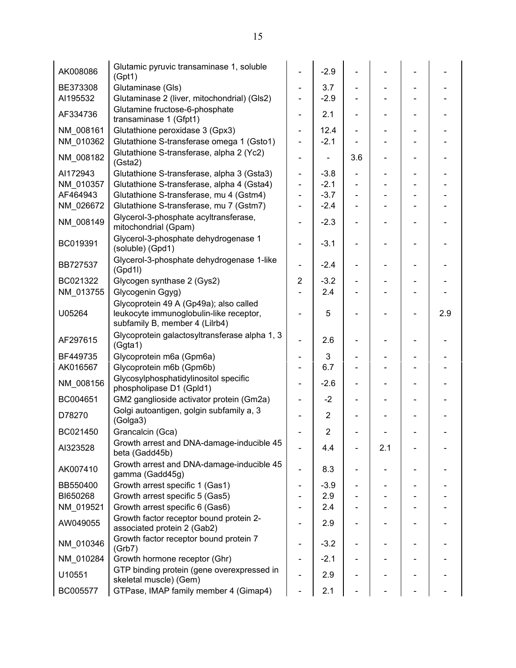| AK008086  | Glutamic pyruvic transaminase 1, soluble<br>(Gpt1)                                                                  |                              | $-2.9$         |     |     |     |
|-----------|---------------------------------------------------------------------------------------------------------------------|------------------------------|----------------|-----|-----|-----|
| BE373308  | Glutaminase (Gls)                                                                                                   | ÷                            | 3.7            |     |     |     |
| AI195532  | Glutaminase 2 (liver, mitochondrial) (Gls2)                                                                         |                              | $-2.9$         |     |     |     |
| AF334736  | Glutamine fructose-6-phosphate<br>transaminase 1 (Gfpt1)                                                            | $\overline{\phantom{a}}$     | 2.1            |     |     |     |
| NM 008161 | Glutathione peroxidase 3 (Gpx3)                                                                                     | ÷,                           | 12.4           |     |     |     |
| NM_010362 | Glutathione S-transferase omega 1 (Gsto1)                                                                           | ÷,                           | $-2.1$         |     |     |     |
| NM 008182 | Glutathione S-transferase, alpha 2 (Yc2)<br>(Gsta2)                                                                 | $\blacksquare$               |                | 3.6 |     |     |
| AI172943  | Glutathione S-transferase, alpha 3 (Gsta3)                                                                          | ÷,                           | $-3.8$         |     |     |     |
| NM 010357 | Glutathione S-transferase, alpha 4 (Gsta4)                                                                          | ÷,                           | $-2.1$         |     |     |     |
| AF464943  | Glutathione S-transferase, mu 4 (Gstm4)                                                                             | $\blacksquare$               | $-3.7$         |     |     |     |
| NM_026672 | Glutathione S-transferase, mu 7 (Gstm7)                                                                             | $\blacksquare$               | $-2.4$         |     |     |     |
| NM 008149 | Glycerol-3-phosphate acyltransferase,<br>mitochondrial (Gpam)                                                       | ÷,                           | $-2.3$         |     |     |     |
| BC019391  | Glycerol-3-phosphate dehydrogenase 1<br>(soluble) (Gpd1)                                                            | $\blacksquare$               | $-3.1$         |     |     |     |
| BB727537  | Glycerol-3-phosphate dehydrogenase 1-like<br>(Gpd1I)                                                                | $\qquad \qquad \blacksquare$ | $-2.4$         |     |     |     |
| BC021322  | Glycogen synthase 2 (Gys2)                                                                                          | $\overline{2}$               | $-3.2$         |     |     |     |
| NM_013755 | Glycogenin Ggyg)                                                                                                    |                              | 2.4            |     |     |     |
| U05264    | Glycoprotein 49 A (Gp49a); also called<br>leukocyte immunoglobulin-like receptor,<br>subfamily B, member 4 (Lilrb4) |                              | 5              |     |     | 2.9 |
| AF297615  | Glycoprotein galactosyltransferase alpha 1, 3<br>(Ggta1)                                                            | $\overline{\phantom{0}}$     | 2.6            |     |     |     |
| BF449735  | Glycoprotein m6a (Gpm6a)                                                                                            | -                            | 3              |     |     |     |
| AK016567  | Glycoprotein m6b (Gpm6b)                                                                                            | $\qquad \qquad \blacksquare$ | 6.7            |     |     |     |
| NM_008156 | Glycosylphosphatidylinositol specific<br>phospholipase D1 (Gpld1)                                                   | $\overline{\phantom{0}}$     | $-2.6$         |     |     |     |
| BC004651  | GM2 ganglioside activator protein (Gm2a)                                                                            | $\overline{\phantom{0}}$     | $-2$           |     |     |     |
| D78270    | Golgi autoantigen, golgin subfamily a, 3<br>(Golga3)                                                                |                              | $\overline{2}$ |     |     |     |
| BC021450  | Grancalcin (Gca)                                                                                                    |                              | $\overline{2}$ |     |     |     |
| AI323528  | Growth arrest and DNA-damage-inducible 45<br>beta (Gadd45b)                                                         |                              | 4.4            |     | 2.1 |     |
| AK007410  | Growth arrest and DNA-damage-inducible 45<br>gamma (Gadd45g)                                                        | $\overline{\phantom{0}}$     | 8.3            |     |     |     |
| BB550400  | Growth arrest specific 1 (Gas1)                                                                                     |                              | $-3.9$         |     |     |     |
| BI650268  | Growth arrest specific 5 (Gas5)                                                                                     |                              | 2.9            |     |     |     |
| NM 019521 | Growth arrest specific 6 (Gas6)                                                                                     |                              | 2.4            |     |     |     |
| AW049055  | Growth factor receptor bound protein 2-<br>associated protein 2 (Gab2)                                              |                              | 2.9            |     |     |     |
| NM 010346 | Growth factor receptor bound protein 7<br>(Grb7)                                                                    | $\qquad \qquad \blacksquare$ | $-3.2$         |     |     |     |
| NM 010284 | Growth hormone receptor (Ghr)                                                                                       | $\overline{\phantom{0}}$     | $-2.1$         |     |     |     |
| U10551    | GTP binding protein (gene overexpressed in<br>skeletal muscle) (Gem)                                                |                              | 2.9            |     |     |     |
| BC005577  | GTPase, IMAP family member 4 (Gimap4)                                                                               |                              | 2.1            |     |     |     |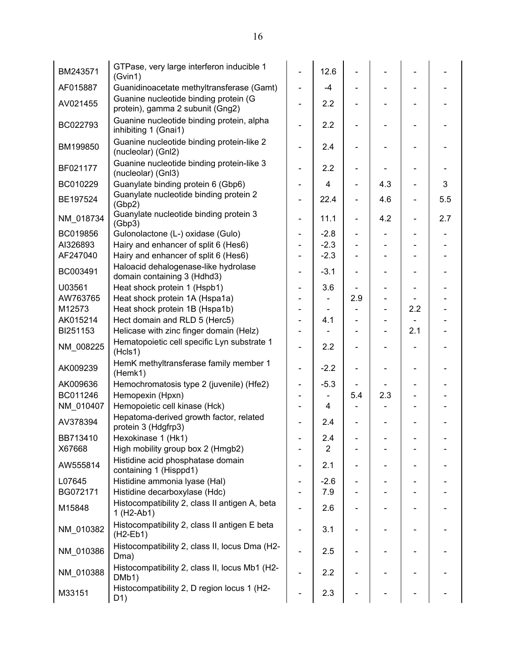| BM243571  | GTPase, very large interferon inducible 1<br>(Gvin1)                                   |                              | 12.6           |                          |     |                          |     |
|-----------|----------------------------------------------------------------------------------------|------------------------------|----------------|--------------------------|-----|--------------------------|-----|
| AF015887  | Guanidinoacetate methyltransferase (Gamt)                                              | $\blacksquare$               | $-4$           |                          |     |                          |     |
| AV021455  | Guanine nucleotide binding protein (G<br>protein), gamma 2 subunit (Gng2)              | $\overline{\phantom{0}}$     | 2.2            |                          |     |                          |     |
| BC022793  | Guanine nucleotide binding protein, alpha<br>inhibiting 1 (Gnai1)                      |                              | 2.2            |                          |     |                          |     |
| BM199850  | Guanine nucleotide binding protein-like 2<br>(nucleolar) (Gnl2)                        |                              | 2.4            |                          |     |                          |     |
| BF021177  | Guanine nucleotide binding protein-like 3<br>(nucleolar) (Gnl3)                        |                              | 2.2            |                          |     |                          |     |
| BC010229  | Guanylate binding protein 6 (Gbp6)                                                     |                              | $\overline{4}$ | $\overline{\phantom{0}}$ | 4.3 |                          | 3   |
| BE197524  | Guanylate nucleotide binding protein 2<br>(Gbp2)                                       |                              | 22.4           |                          | 4.6 | $\overline{\phantom{a}}$ | 5.5 |
| NM_018734 | Guanylate nucleotide binding protein 3<br>(Gbp3)                                       | $\qquad \qquad \blacksquare$ | 11.1           | $\overline{a}$           | 4.2 | $\blacksquare$           | 2.7 |
| BC019856  | Gulonolactone (L-) oxidase (Gulo)                                                      | $\overline{\phantom{0}}$     | $-2.8$         |                          |     |                          |     |
| AI326893  | Hairy and enhancer of split 6 (Hes6)                                                   | Ξ.                           | $-2.3$         |                          |     |                          |     |
| AF247040  | Hairy and enhancer of split 6 (Hes6)                                                   | Ξ.                           | $-2.3$         |                          |     |                          |     |
| BC003491  | Haloacid dehalogenase-like hydrolase<br>domain containing 3 (Hdhd3)                    |                              | $-3.1$         |                          |     |                          |     |
| U03561    | Heat shock protein 1 (Hspb1)                                                           |                              | 3.6            |                          |     | $\overline{\phantom{a}}$ |     |
| AW763765  | Heat shock protein 1A (Hspa1a)                                                         |                              |                | 2.9                      |     |                          |     |
| M12573    | Heat shock protein 1B (Hspa1b)                                                         |                              |                |                          |     | 2.2                      |     |
| AK015214  | Hect domain and RLD 5 (Herc5)                                                          |                              | 4.1            |                          |     |                          |     |
| BI251153  | Helicase with zinc finger domain (Helz)                                                |                              |                |                          |     | 2.1                      |     |
| NM_008225 | Hematopoietic cell specific Lyn substrate 1<br>(Hcls1)                                 |                              | 2.2            |                          |     |                          |     |
| AK009239  | HemK methyltransferase family member 1<br>(Hemk1)                                      |                              | $-2.2$         |                          |     |                          |     |
| AK009636  | Hemochromatosis type 2 (juvenile) (Hfe2)                                               |                              | $-5.3$         |                          |     |                          |     |
| BC011246  | Hemopexin (Hpxn)                                                                       |                              |                | 5.4                      | 2.3 |                          |     |
| NM 010407 | Hemopoietic cell kinase (Hck)                                                          |                              | 4              |                          |     |                          |     |
| AV378394  | Hepatoma-derived growth factor, related<br>protein 3 (Hdgfrp3)                         |                              | 2.4            |                          |     |                          |     |
| BB713410  | Hexokinase 1 (Hk1)                                                                     |                              | 2.4            |                          |     |                          |     |
| X67668    | High mobility group box 2 (Hmgb2)                                                      |                              | $\overline{2}$ |                          |     |                          |     |
| AW555814  | Histidine acid phosphatase domain<br>containing 1 (Hisppd1)                            |                              | 2.1            |                          |     |                          |     |
| L07645    | Histidine ammonia Iyase (Hal)                                                          |                              | $-2.6$         |                          |     |                          |     |
| BG072171  | Histidine decarboxylase (Hdc)                                                          |                              | 7.9            |                          |     |                          |     |
| M15848    | Histocompatibility 2, class II antigen A, beta<br>1 (H <sub>2</sub> -Ab <sub>1</sub> ) |                              | 2.6            |                          |     |                          |     |
| NM_010382 | Histocompatibility 2, class II antigen E beta<br>$(H2-Eb1)$                            |                              | 3.1            |                          |     |                          |     |
| NM 010386 | Histocompatibility 2, class II, locus Dma (H2-<br>Dma)                                 |                              | 2.5            |                          |     |                          |     |
| NM_010388 | Histocompatibility 2, class II, locus Mb1 (H2-<br>DMb1)                                |                              | 2.2            |                          |     |                          |     |
| M33151    | Histocompatibility 2, D region locus 1 (H2-<br>D <sub>1</sub> )                        |                              | 2.3            |                          |     |                          |     |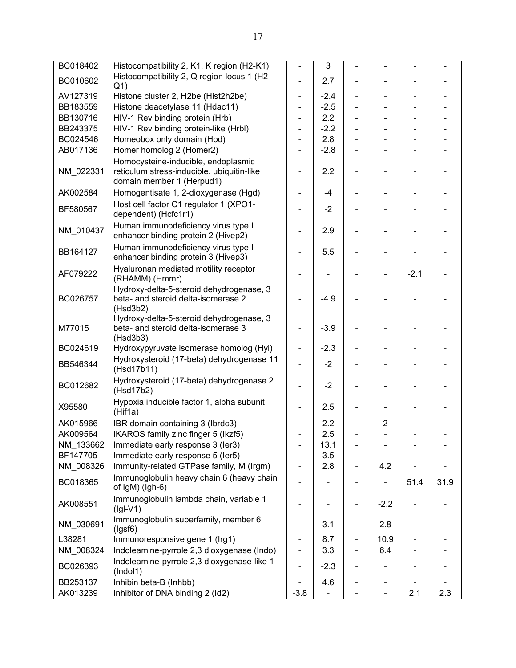| BC018402  | Histocompatibility 2, K1, K region (H2-K1)                                                                     |                              | 3      |                |                |        |      |
|-----------|----------------------------------------------------------------------------------------------------------------|------------------------------|--------|----------------|----------------|--------|------|
| BC010602  | Histocompatibility 2, Q region locus 1 (H2-<br>Q <sub>1</sub>                                                  | $\overline{\phantom{0}}$     | 2.7    |                |                |        |      |
| AV127319  | Histone cluster 2, H2be (Hist2h2be)                                                                            | ÷,                           | $-2.4$ | $\blacksquare$ |                |        |      |
| BB183559  | Histone deacetylase 11 (Hdac11)                                                                                | $\overline{\phantom{0}}$     | $-2.5$ |                |                |        |      |
| BB130716  | HIV-1 Rev binding protein (Hrb)                                                                                | ÷,                           | 2.2    |                |                |        |      |
| BB243375  | HIV-1 Rev binding protein-like (Hrbl)                                                                          |                              | $-2.2$ |                |                |        |      |
| BC024546  | Homeobox only domain (Hod)                                                                                     | $\qquad \qquad \blacksquare$ | 2.8    |                |                |        |      |
| AB017136  | Homer homolog 2 (Homer2)                                                                                       |                              | $-2.8$ |                |                |        |      |
| NM_022331 | Homocysteine-inducible, endoplasmic<br>reticulum stress-inducible, ubiquitin-like<br>domain member 1 (Herpud1) |                              | 2.2    |                |                |        |      |
| AK002584  | Homogentisate 1, 2-dioxygenase (Hgd)                                                                           |                              | -4     |                |                |        |      |
| BF580567  | Host cell factor C1 regulator 1 (XPO1-<br>dependent) (Hcfc1r1)                                                 | Ξ.                           | $-2$   |                |                |        |      |
| NM_010437 | Human immunodeficiency virus type I<br>enhancer binding protein 2 (Hivep2)                                     |                              | 2.9    |                |                |        |      |
| BB164127  | Human immunodeficiency virus type I<br>enhancer binding protein 3 (Hivep3)                                     |                              | 5.5    |                |                |        |      |
| AF079222  | Hyaluronan mediated motility receptor<br>(RHAMM) (Hmmr)                                                        |                              |        |                |                | $-2.1$ |      |
| BC026757  | Hydroxy-delta-5-steroid dehydrogenase, 3<br>beta- and steroid delta-isomerase 2<br>(Hsd3b2)                    |                              | $-4.9$ |                |                |        |      |
| M77015    | Hydroxy-delta-5-steroid dehydrogenase, 3<br>beta- and steroid delta-isomerase 3<br>(Hsd3b3)                    |                              | $-3.9$ |                |                |        |      |
| BC024619  | Hydroxypyruvate isomerase homolog (Hyi)                                                                        | ÷,                           | $-2.3$ |                |                |        |      |
| BB546344  | Hydroxysteroid (17-beta) dehydrogenase 11<br>(Hsd17b11)                                                        |                              | $-2$   |                |                |        |      |
| BC012682  | Hydroxysteroid (17-beta) dehydrogenase 2<br>(Hsd17b2)                                                          |                              | $-2$   |                |                |        |      |
| X95580    | Hypoxia inducible factor 1, alpha subunit<br>(Hif1a)                                                           |                              | 2.5    |                |                |        |      |
| AK015966  | IBR domain containing 3 (Ibrdc3)                                                                               |                              | 2.2    |                | $\overline{2}$ |        |      |
| AK009564  | IKAROS family zinc finger 5 (Ikzf5)                                                                            |                              | 2.5    |                |                |        |      |
| NM_133662 | Immediate early response 3 (ler3)                                                                              |                              | 13.1   |                |                |        |      |
| BF147705  | Immediate early response 5 (ler5)                                                                              |                              | 3.5    |                |                |        |      |
| NM_008326 | Immunity-related GTPase family, M (Irgm)                                                                       |                              | 2.8    |                | 4.2            |        |      |
| BC018365  | Immunoglobulin heavy chain 6 (heavy chain<br>of IgM) (Igh-6)                                                   |                              |        |                |                | 51.4   | 31.9 |
| AK008551  | Immunoglobulin lambda chain, variable 1<br>$(Igl-V1)$                                                          |                              |        |                | $-2.2$         |        |      |
| NM_030691 | Immunoglobulin superfamily, member 6<br>(lgsf6)                                                                |                              | 3.1    |                | 2.8            |        |      |
| L38281    | Immunoresponsive gene 1 (Irg1)                                                                                 |                              | 8.7    |                | 10.9           |        |      |
| NM_008324 | Indoleamine-pyrrole 2,3 dioxygenase (Indo)                                                                     |                              | 3.3    |                | 6.4            |        |      |
| BC026393  | Indoleamine-pyrrole 2,3 dioxygenase-like 1<br>(Indol1)                                                         |                              | $-2.3$ |                |                |        |      |
| BB253137  | Inhibin beta-B (Inhbb)                                                                                         |                              | 4.6    |                |                |        |      |
| AK013239  | Inhibitor of DNA binding 2 (Id2)                                                                               | $-3.8$                       |        |                |                | 2.1    | 2.3  |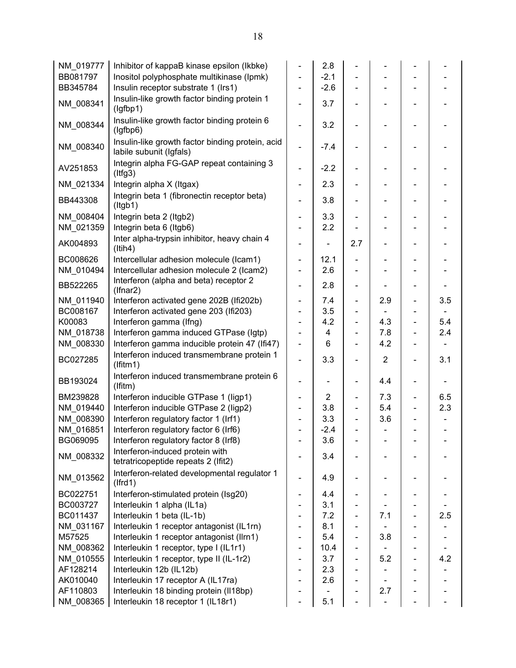| NM_019777 | Inhibitor of kappaB kinase epsilon (Ikbke)                                  |                              | 2.8            |                              |                |                              |     |
|-----------|-----------------------------------------------------------------------------|------------------------------|----------------|------------------------------|----------------|------------------------------|-----|
| BB081797  | Inositol polyphosphate multikinase (Ipmk)                                   |                              | $-2.1$         |                              |                |                              |     |
| BB345784  | Insulin receptor substrate 1 (Irs1)                                         | $\overline{\phantom{0}}$     | $-2.6$         |                              |                |                              |     |
|           | Insulin-like growth factor binding protein 1                                |                              |                |                              |                |                              |     |
| NM_008341 | (lgfbp1)                                                                    |                              | 3.7            |                              |                |                              |     |
| NM_008344 | Insulin-like growth factor binding protein 6<br>(lgfbp6)                    |                              | 3.2            |                              |                |                              |     |
| NM 008340 | Insulin-like growth factor binding protein, acid<br>labile subunit (Igfals) |                              | $-7.4$         |                              |                |                              |     |
| AV251853  | Integrin alpha FG-GAP repeat containing 3<br>(ltfg3)                        |                              | $-2.2$         |                              |                |                              |     |
| NM_021334 | Integrin alpha X (Itgax)                                                    | $\qquad \qquad \blacksquare$ | 2.3            |                              |                |                              |     |
| BB443308  | Integrin beta 1 (fibronectin receptor beta)<br>(ltgb1)                      |                              | 3.8            |                              |                |                              |     |
| NM 008404 | Integrin beta 2 (Itgb2)                                                     |                              | 3.3            | $\overline{\phantom{0}}$     |                |                              |     |
| NM_021359 | Integrin beta 6 (Itgb6)                                                     |                              | 2.2            |                              |                |                              |     |
| AK004893  | Inter alpha-trypsin inhibitor, heavy chain 4<br>(ltih4)                     |                              |                | 2.7                          |                |                              |     |
| BC008626  | Intercellular adhesion molecule (Icam1)                                     | $\overline{\phantom{0}}$     | 12.1           | -                            |                |                              |     |
| NM_010494 | Intercellular adhesion molecule 2 (Icam2)                                   |                              | 2.6            |                              |                |                              |     |
|           | Interferon (alpha and beta) receptor 2                                      |                              |                |                              |                |                              |     |
| BB522265  | $(If nar2)$                                                                 |                              | 2.8            | $\qquad \qquad \blacksquare$ |                |                              |     |
| NM_011940 | Interferon activated gene 202B (Ifi202b)                                    |                              | 7.4            | $\overline{\phantom{0}}$     | 2.9            |                              | 3.5 |
| BC008167  | Interferon activated gene 203 (Ifi203)                                      |                              | 3.5            |                              |                |                              |     |
| K00083    | Interferon gamma (Ifng)                                                     | $\overline{\phantom{0}}$     | 4.2            | $\overline{\phantom{0}}$     | 4.3            | $\overline{\phantom{0}}$     | 5.4 |
| NM_018738 | Interferon gamma induced GTPase (Igtp)                                      | $\qquad \qquad \blacksquare$ | 4              | $\overline{\phantom{0}}$     | 7.8            | $\overline{\phantom{a}}$     | 2.4 |
| NM_008330 | Interferon gamma inducible protein 47 (Ifi47)                               |                              | 6              |                              | 4.2            |                              |     |
| BC027285  | Interferon induced transmembrane protein 1<br>(If itm1)                     |                              | 3.3            |                              | $\overline{2}$ | $\qquad \qquad \blacksquare$ | 3.1 |
| BB193024  | Interferon induced transmembrane protein 6<br>(If itm)                      |                              |                | $\overline{\phantom{0}}$     | 4.4            |                              |     |
| BM239828  | Interferon inducible GTPase 1 (ligp1)                                       |                              | $\overline{2}$ | $\overline{\phantom{0}}$     | 7.3            | $\frac{1}{2}$                | 6.5 |
| NM 019440 | Interferon inducible GTPase 2 (ligp2)                                       |                              | 3.8            | $\qquad \qquad \blacksquare$ | 5.4            | $\blacksquare$               | 2.3 |
| NM 008390 | Interferon regulatory factor 1 (Irf1)                                       |                              | 3.3            | $\overline{\phantom{0}}$     | 3.6            |                              |     |
| NM 016851 | Interferon regulatory factor 6 (Irf6)                                       |                              | $-2.4$         |                              |                |                              |     |
| BG069095  | Interferon regulatory factor 8 (Irf8)                                       |                              | 3.6            |                              |                |                              |     |
| NM 008332 | Interferon-induced protein with<br>tetratricopeptide repeats 2 (Ifit2)      |                              | 3.4            |                              |                |                              |     |
| NM 013562 | Interferon-related developmental regulator 1<br>(Ifrd1)                     |                              | 4.9            |                              |                |                              |     |
| BC022751  | Interferon-stimulated protein (Isg20)                                       |                              | 4.4            |                              |                |                              |     |
| BC003727  | Interleukin 1 alpha (IL1a)                                                  |                              | 3.1            |                              |                |                              |     |
| BC011437  | Interleukin 1 beta (IL-1b)                                                  |                              | 7.2            |                              | 7.1            |                              | 2.5 |
| NM_031167 | Interleukin 1 receptor antagonist (IL1rn)                                   |                              | 8.1            |                              |                |                              |     |
| M57525    | Interleukin 1 receptor antagonist (Ilrn1)                                   |                              | 5.4            |                              | 3.8            |                              |     |
| NM 008362 | Interleukin 1 receptor, type I (IL1r1)                                      |                              | 10.4           |                              |                |                              |     |
| NM_010555 | Interleukin 1 receptor, type II (IL-1r2)                                    |                              | 3.7            | $\qquad \qquad \blacksquare$ | 5.2            | $\overline{\phantom{a}}$     | 4.2 |
| AF128214  | Interleukin 12b (IL12b)                                                     |                              | 2.3            |                              |                |                              |     |
| AK010040  | Interleukin 17 receptor A (IL17ra)                                          |                              | 2.6            |                              |                |                              |     |
| AF110803  | Interleukin 18 binding protein (II18bp)                                     |                              |                |                              | 2.7            |                              |     |
| NM_008365 | Interleukin 18 receptor 1 (IL18r1)                                          |                              | 5.1            |                              |                |                              |     |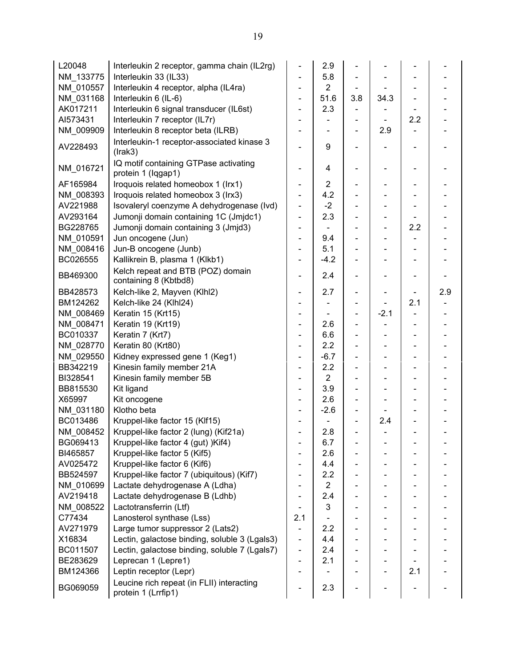| L20048    | Interleukin 2 receptor, gamma chain (IL2rg)                      |                              | 2.9            |     |                              |     |     |
|-----------|------------------------------------------------------------------|------------------------------|----------------|-----|------------------------------|-----|-----|
| NM 133775 | Interleukin 33 (IL33)                                            |                              | 5.8            |     |                              |     |     |
| NM 010557 | Interleukin 4 receptor, alpha (IL4ra)                            | $\qquad \qquad \blacksquare$ | $\overline{2}$ |     |                              |     |     |
| NM_031168 | Interleukin 6 (IL-6)                                             | $\overline{\phantom{0}}$     | 51.6           | 3.8 | 34.3                         |     |     |
| AK017211  | Interleukin 6 signal transducer (IL6st)                          |                              | 2.3            |     |                              |     |     |
| AI573431  | Interleukin 7 receptor (IL7r)                                    |                              |                |     |                              | 2.2 |     |
| NM_009909 | Interleukin 8 receptor beta (ILRB)                               |                              |                |     | 2.9                          |     |     |
| AV228493  | Interleukin-1 receptor-associated kinase 3<br>(Irak3)            |                              | 9              |     |                              |     |     |
| NM_016721 | IQ motif containing GTPase activating<br>protein 1 (Iqgap1)      | $\qquad \qquad \blacksquare$ | 4              |     | $\overline{\phantom{0}}$     |     |     |
| AF165984  | Iroquois related homeobox 1 (Irx1)                               | -                            | $\overline{2}$ |     |                              |     |     |
| NM 008393 | Iroquois related homeobox 3 (Irx3)                               | ÷,                           | 4.2            |     |                              |     |     |
| AV221988  | Isovaleryl coenzyme A dehydrogenase (Ivd)                        | ÷,                           | $-2$           |     |                              |     |     |
| AV293164  | Jumonji domain containing 1C (Jmjdc1)                            | ÷,                           | 2.3            |     | $\qquad \qquad \blacksquare$ |     |     |
| BG228765  | Jumonji domain containing 3 (Jmjd3)                              | ÷,                           |                |     |                              | 2.2 |     |
| NM_010591 | Jun oncogene (Jun)                                               | $\qquad \qquad \blacksquare$ | 9.4            |     |                              |     |     |
| NM 008416 | Jun-B oncogene (Junb)                                            | $\overline{\phantom{0}}$     | 5.1            |     |                              |     |     |
| BC026555  | Kallikrein B, plasma 1 (Klkb1)                                   | $\qquad \qquad \blacksquare$ | $-4.2$         |     |                              |     |     |
| BB469300  | Kelch repeat and BTB (POZ) domain<br>containing 8 (Kbtbd8)       | $\qquad \qquad \blacksquare$ | 2.4            |     |                              |     |     |
| BB428573  | Kelch-like 2, Mayven (Klhl2)                                     |                              | 2.7            |     |                              |     | 2.9 |
| BM124262  | Kelch-like 24 (Klhl24)                                           |                              |                |     |                              | 2.1 |     |
| NM 008469 | Keratin 15 (Krt15)                                               | $\overline{\phantom{0}}$     |                |     | $-2.1$                       |     |     |
| NM_008471 | Keratin 19 (Krt19)                                               | ÷,                           | 2.6            |     |                              |     |     |
| BC010337  | Keratin 7 (Krt7)                                                 |                              | 6.6            |     |                              |     |     |
| NM 028770 | Keratin 80 (Krt80)                                               |                              | 2.2            |     | $\qquad \qquad \blacksquare$ |     |     |
| NM_029550 | Kidney expressed gene 1 (Keg1)                                   |                              | $-6.7$         |     | -                            |     |     |
| BB342219  | Kinesin family member 21A                                        |                              | 2.2            |     |                              |     |     |
| BI328541  | Kinesin family member 5B                                         |                              | $\overline{2}$ |     |                              |     |     |
| BB815530  | Kit ligand                                                       | $\qquad \qquad \blacksquare$ | 3.9            |     |                              |     |     |
| X65997    | Kit oncogene                                                     |                              | 2.6            |     |                              |     |     |
| NM_031180 | Klotho beta                                                      |                              | $-2.6$         |     |                              |     |     |
| BC013486  | Kruppel-like factor 15 (Klf15)                                   |                              |                |     | 2.4                          |     |     |
| NM 008452 | Kruppel-like factor 2 (lung) (Kif21a)                            |                              | 2.8            | -   |                              |     |     |
| BG069413  | Kruppel-like factor 4 (gut) )Kif4)                               |                              | 6.7            |     |                              |     |     |
| BI465857  | Kruppel-like factor 5 (Kif5)                                     |                              | 2.6            |     |                              |     |     |
| AV025472  | Kruppel-like factor 6 (Kif6)                                     |                              | 4.4            |     |                              |     |     |
| BB524597  | Kruppel-like factor 7 (ubiquitous) (Kif7)                        |                              | 2.2            |     |                              |     |     |
| NM 010699 | Lactate dehydrogenase A (Ldha)                                   |                              | $\overline{2}$ |     |                              |     |     |
| AV219418  | Lactate dehydrogenase B (Ldhb)                                   |                              | 2.4            |     |                              |     |     |
| NM 008522 | Lactotransferrin (Ltf)                                           |                              | 3              |     |                              |     |     |
| C77434    | Lanosterol synthase (Lss)                                        | 2.1                          |                |     |                              |     |     |
| AV271979  | Large tumor suppressor 2 (Lats2)                                 |                              |                |     |                              |     |     |
|           |                                                                  |                              | 2.2            |     |                              |     |     |
| X16834    | Lectin, galactose binding, soluble 3 (Lgals3)                    | -                            | 4.4            |     |                              |     |     |
| BC011507  | Lectin, galactose binding, soluble 7 (Lgals7)                    | -                            | 2.4            |     |                              |     |     |
| BE283629  | Leprecan 1 (Lepre1)                                              | $\qquad \qquad \blacksquare$ | 2.1            |     |                              |     |     |
| BM124366  | Leptin receptor (Lepr)                                           |                              |                |     |                              | 2.1 |     |
| BG069059  | Leucine rich repeat (in FLII) interacting<br>protein 1 (Lrrfip1) |                              | 2.3            |     |                              |     |     |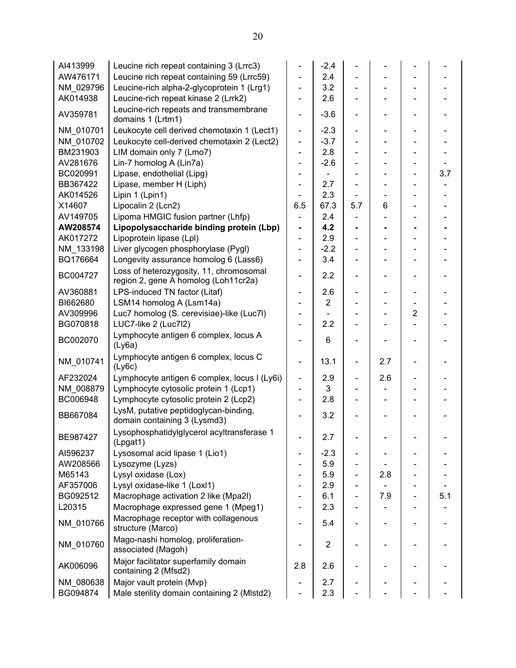| AI413999  | Leucine rich repeat containing 3 (Lrrc3)                                        |                              | $-2.4$         |                              |     |                              |     |
|-----------|---------------------------------------------------------------------------------|------------------------------|----------------|------------------------------|-----|------------------------------|-----|
| AW476171  | Leucine rich repeat containing 59 (Lrrc59)                                      |                              | 2.4            |                              |     |                              |     |
| NM 029796 | Leucine-rich alpha-2-glycoprotein 1 (Lrg1)                                      |                              | 3.2            |                              |     |                              |     |
| AK014938  | Leucine-rich repeat kinase 2 (Lrrk2)                                            |                              | 2.6            |                              |     |                              |     |
| AV359781  | Leucine-rich repeats and transmembrane<br>domains 1 (Lrtm1)                     | $\overline{\phantom{0}}$     | $-3.6$         |                              |     |                              |     |
| NM 010701 | Leukocyte cell derived chemotaxin 1 (Lect1)                                     | $\qquad \qquad \blacksquare$ | $-2.3$         | $\frac{1}{2}$                |     |                              |     |
| NM 010702 | Leukocyte cell-derived chemotaxin 2 (Lect2)                                     | $\qquad \qquad \blacksquare$ | $-3.7$         |                              |     |                              |     |
| BM231903  | LIM domain only 7 (Lmo7)                                                        | $\blacksquare$               | 2.8            | $\blacksquare$               |     |                              |     |
| AV281676  | Lin-7 homolog A (Lin7a)                                                         | ÷                            | $-2.6$         |                              |     |                              |     |
| BC020991  | Lipase, endothelial (Lipg)                                                      |                              |                |                              |     |                              | 3.7 |
| BB367422  | Lipase, member H (Liph)                                                         |                              | 2.7            |                              |     |                              |     |
| AK014526  | Lipin 1 (Lpin1)                                                                 |                              | 2.3            |                              |     |                              |     |
| X14607    | Lipocalin 2 (Lcn2)                                                              | 6.5                          | 67.3           | 5.7                          | 6   |                              |     |
| AV149705  | Lipoma HMGIC fusion partner (Lhfp)                                              | $\overline{\phantom{a}}$     | 2.4            |                              |     |                              |     |
| AW208574  | Lipopolysaccharide binding protein (Lbp)                                        | $\blacksquare$               | 4.2            |                              |     |                              |     |
| AK017272  | Lipoprotein lipase (Lpl)                                                        | $\blacksquare$               | 2.9            |                              |     |                              |     |
| NM_133198 | Liver glycogen phosphorylase (Pygl)                                             | ÷,                           | $-2.2$         |                              |     |                              |     |
| BQ176664  | Longevity assurance homolog 6 (Lass6)                                           | $\qquad \qquad \blacksquare$ | 3.4            |                              |     |                              |     |
| BC004727  | Loss of heterozygosity, 11, chromosomal<br>region 2, gene A homolog (Loh11cr2a) | $\overline{\phantom{0}}$     | 2.2            | $\qquad \qquad \blacksquare$ |     |                              |     |
| AV360881  | LPS-induced TN factor (Litaf)                                                   | $\overline{\phantom{0}}$     | 2.6            |                              |     |                              |     |
| BI662680  | LSM14 homolog A (Lsm14a)                                                        |                              | $\overline{2}$ |                              |     |                              |     |
| AV309996  | Luc7 homolog (S. cerevisiae)-like (Luc7l)                                       | $\overline{\phantom{0}}$     |                |                              |     | $\overline{2}$               |     |
| BG070818  | LUC7-like 2 (Luc7l2)                                                            |                              | 2.2            |                              |     |                              |     |
| BC002070  | Lymphocyte antigen 6 complex, locus A<br>(Ly6a)                                 | $\blacksquare$               | 6              | $\overline{\phantom{a}}$     |     |                              |     |
| NM_010741 | Lymphocyte antigen 6 complex, locus C<br>(Ly6c)                                 | $\blacksquare$               | 13.1           | $\overline{\phantom{a}}$     | 2.7 | $\qquad \qquad \blacksquare$ |     |
| AF232024  | Lymphocyte antigen 6 complex, locus I (Ly6i)                                    | $\blacksquare$               | 2.9            | $\frac{1}{2}$                | 2.6 |                              |     |
| NM 008879 | Lymphocyte cytosolic protein 1 (Lcp1)                                           | $\overline{\phantom{0}}$     | 3              |                              |     |                              |     |
| BC006948  | Lymphocyte cytosolic protein 2 (Lcp2)                                           |                              | 2.8            |                              |     |                              |     |
| BB667084  | LysM, putative peptidoglycan-binding,<br>domain containing 3 (Lysmd3)           |                              | 3.2            |                              |     |                              |     |
| BE987427  | Lysophosphatidylglycerol acyltransferase 1<br>(Lpgat1)                          |                              | 2.7            |                              |     |                              |     |
| AI596237  | Lysosomal acid lipase 1 (Lio1)                                                  |                              | $-2.3$         |                              |     |                              |     |
| AW208566  | Lysozyme (Lyzs)                                                                 |                              | 5.9            |                              |     |                              |     |
| M65143    | Lysyl oxidase (Lox)                                                             |                              | 5.9            |                              | 2.8 |                              |     |
| AF357006  | Lysyl oxidase-like 1 (Loxl1)                                                    |                              | 2.9            | $\overline{\phantom{a}}$     |     |                              |     |
| BG092512  | Macrophage activation 2 like (Mpa2l)                                            |                              | 6.1            | $\overline{\phantom{a}}$     | 7.9 |                              | 5.1 |
| L20315    | Macrophage expressed gene 1 (Mpeg1)                                             |                              | 2.3            |                              |     |                              |     |
| NM 010766 | Macrophage receptor with collagenous<br>structure (Marco)                       |                              | 5.4            |                              |     |                              |     |
| NM_010760 | Mago-nashi homolog, proliferation-<br>associated (Magoh)                        |                              | $\overline{c}$ |                              |     |                              |     |
| AK006096  | Major facilitator superfamily domain<br>containing 2 (Mfsd2)                    | 2.8                          | 2.6            |                              |     |                              |     |
| NM 080638 | Major vault protein (Mvp)                                                       |                              | 2.7            |                              |     |                              |     |
| BG094874  | Male sterility domain containing 2 (MIstd2)                                     |                              | 2.3            |                              |     |                              |     |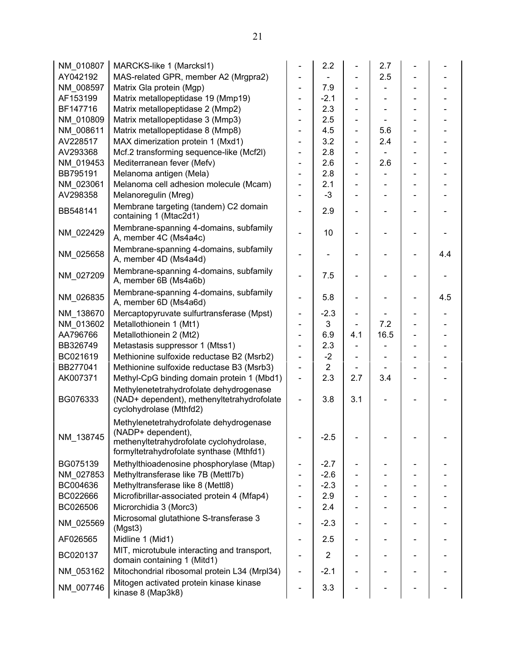| NM 010807 | MARCKS-like 1 (Marcksl1)                                                                                         |                          | 2.2            |     | 2.7  |     |
|-----------|------------------------------------------------------------------------------------------------------------------|--------------------------|----------------|-----|------|-----|
| AY042192  | MAS-related GPR, member A2 (Mrgpra2)                                                                             |                          |                |     | 2.5  |     |
| NM 008597 | Matrix Gla protein (Mgp)                                                                                         |                          | 7.9            |     |      |     |
| AF153199  | Matrix metallopeptidase 19 (Mmp19)                                                                               |                          | $-2.1$         |     |      |     |
| BF147716  | Matrix metallopeptidase 2 (Mmp2)                                                                                 |                          | 2.3            |     |      |     |
| NM 010809 | Matrix metallopeptidase 3 (Mmp3)                                                                                 |                          | 2.5            |     |      |     |
| NM 008611 | Matrix metallopeptidase 8 (Mmp8)                                                                                 |                          | 4.5            |     | 5.6  |     |
| AV228517  | MAX dimerization protein 1 (Mxd1)                                                                                |                          | 3.2            |     | 2.4  |     |
| AV293368  | Mcf.2 transforming sequence-like (Mcf2l)                                                                         |                          | 2.8            |     |      |     |
| NM_019453 | Mediterranean fever (Mefv)                                                                                       |                          | 2.6            |     | 2.6  |     |
| BB795191  | Melanoma antigen (Mela)                                                                                          |                          | 2.8            |     |      |     |
| NM_023061 | Melanoma cell adhesion molecule (Mcam)                                                                           |                          | 2.1            |     |      |     |
| AV298358  | Melanoregulin (Mreg)                                                                                             |                          | $-3$           |     |      |     |
| BB548141  | Membrane targeting (tandem) C2 domain<br>containing 1 (Mtac2d1)                                                  |                          | 2.9            |     |      |     |
| NM_022429 | Membrane-spanning 4-domains, subfamily<br>A, member 4C (Ms4a4c)                                                  |                          | 10             |     |      |     |
| NM 025658 | Membrane-spanning 4-domains, subfamily<br>A, member 4D (Ms4a4d)                                                  |                          |                |     |      | 4.4 |
| NM_027209 | Membrane-spanning 4-domains, subfamily<br>A, member 6B (Ms4a6b)                                                  |                          | 7.5            |     |      |     |
| NM 026835 | Membrane-spanning 4-domains, subfamily<br>A, member 6D (Ms4a6d)                                                  |                          | 5.8            |     |      | 4.5 |
| NM_138670 | Mercaptopyruvate sulfurtransferase (Mpst)                                                                        |                          | $-2.3$         |     |      |     |
| NM_013602 | Metallothionein 1 (Mt1)                                                                                          | $\overline{\phantom{0}}$ | 3              |     | 7.2  |     |
| AA796766  | Metallothionein 2 (Mt2)                                                                                          | $\overline{\phantom{0}}$ | 6.9            | 4.1 | 16.5 |     |
| BB326749  | Metastasis suppressor 1 (Mtss1)                                                                                  |                          | 2.3            |     |      |     |
| BC021619  | Methionine sulfoxide reductase B2 (Msrb2)                                                                        | ÷,                       | $-2$           |     |      |     |
| BB277041  | Methionine sulfoxide reductase B3 (Msrb3)                                                                        | ÷,                       | $\overline{2}$ |     |      |     |
| AK007371  | Methyl-CpG binding domain protein 1 (Mbd1)                                                                       | ÷,                       | 2.3            | 2.7 | 3.4  |     |
| BG076333  | Methylenetetrahydrofolate dehydrogenase<br>(NAD+ dependent), methenyltetrahydrofolate<br>cyclohydrolase (Mthfd2) |                          | 3.8            | 3.1 |      |     |
| NM_138745 | Methylenetetrahydrofolate dehydrogenase<br>(NADP+ dependent),                                                    |                          | $-2.5$         |     |      |     |
|           | methenyltetrahydrofolate cyclohydrolase,<br>formyltetrahydrofolate synthase (Mthfd1)                             |                          |                |     |      |     |
| BG075139  | Methylthioadenosine phosphorylase (Mtap)                                                                         | -                        | $-2.7$         |     |      |     |
| NM_027853 | Methyltransferase like 7B (Mettl7b)                                                                              |                          | $-2.6$         |     |      |     |
| BC004636  | Methyltransferase like 8 (Mettl8)                                                                                |                          | $-2.3$         |     |      |     |
| BC022666  | Microfibrillar-associated protein 4 (Mfap4)                                                                      |                          | 2.9            |     |      |     |
| BC026506  | Microrchidia 3 (Morc3)                                                                                           |                          | 2.4            |     |      |     |
| NM_025569 | Microsomal glutathione S-transferase 3<br>(Mgst3)                                                                |                          | $-2.3$         |     |      |     |
| AF026565  | Midline 1 (Mid1)                                                                                                 |                          | 2.5            |     |      |     |
| BC020137  | MIT, microtubule interacting and transport,<br>domain containing 1 (Mitd1)                                       |                          | $\overline{2}$ |     |      |     |
| NM_053162 | Mitochondrial ribosomal protein L34 (Mrpl34)                                                                     |                          | $-2.1$         |     |      |     |
| NM 007746 | Mitogen activated protein kinase kinase<br>kinase 8 (Map3k8)                                                     |                          | 3.3            |     |      |     |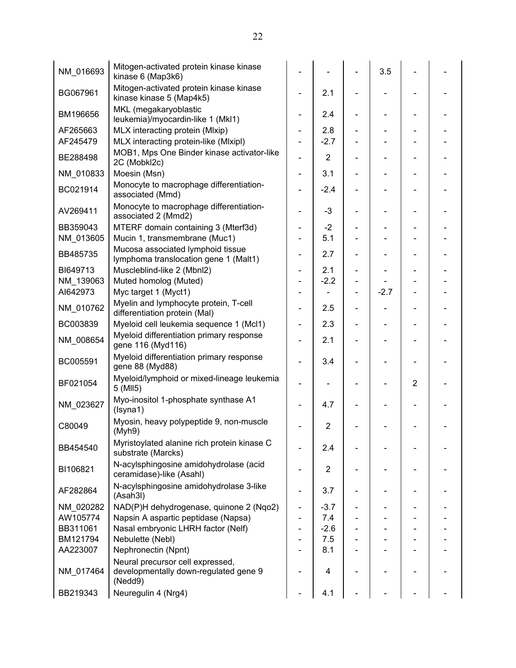| NM_016693 | Mitogen-activated protein kinase kinase<br>kinase 6 (Map3k6)                         |                              |                |                          | 3.5    |                |  |
|-----------|--------------------------------------------------------------------------------------|------------------------------|----------------|--------------------------|--------|----------------|--|
| BG067961  | Mitogen-activated protein kinase kinase<br>kinase kinase 5 (Map4k5)                  |                              | 2.1            |                          |        |                |  |
| BM196656  | MKL (megakaryoblastic<br>leukemia)/myocardin-like 1 (Mkl1)                           |                              | 2.4            |                          |        |                |  |
| AF265663  | MLX interacting protein (Mlxip)                                                      | $\qquad \qquad \blacksquare$ | 2.8            |                          |        |                |  |
| AF245479  | MLX interacting protein-like (Mlxipl)                                                | $\qquad \qquad \blacksquare$ | $-2.7$         |                          |        |                |  |
| BE288498  | MOB1, Mps One Binder kinase activator-like<br>2C (Mobkl2c)                           |                              | $\overline{2}$ |                          |        |                |  |
| NM 010833 | Moesin (Msn)                                                                         | -                            | 3.1            |                          |        |                |  |
| BC021914  | Monocyte to macrophage differentiation-<br>associated (Mmd)                          |                              | $-2.4$         |                          |        |                |  |
| AV269411  | Monocyte to macrophage differentiation-<br>associated 2 (Mmd2)                       |                              | $-3$           |                          |        |                |  |
| BB359043  | MTERF domain containing 3 (Mterf3d)                                                  | $\overline{\phantom{a}}$     | $-2$           |                          |        |                |  |
| NM_013605 | Mucin 1, transmembrane (Muc1)                                                        |                              | 5.1            |                          |        |                |  |
| BB485735  | Mucosa associated lymphoid tissue<br>lymphoma translocation gene 1 (Malt1)           |                              | 2.7            |                          |        |                |  |
| BI649713  | Muscleblind-like 2 (Mbnl2)                                                           | $\qquad \qquad \blacksquare$ | 2.1            | $\overline{\phantom{a}}$ |        |                |  |
| NM_139063 | Muted homolog (Muted)                                                                | $\qquad \qquad \blacksquare$ | $-2.2$         |                          |        |                |  |
| AI642973  | Myc target 1 (Myct1)                                                                 |                              |                |                          | $-2.7$ |                |  |
| NM_010762 | Myelin and lymphocyte protein, T-cell<br>differentiation protein (Mal)               | $\overline{\phantom{0}}$     | 2.5            | $\blacksquare$           |        |                |  |
| BC003839  | Myeloid cell leukemia sequence 1 (Mcl1)                                              | ÷,                           | 2.3            |                          |        |                |  |
| NM_008654 | Myeloid differentiation primary response<br>gene 116 (Myd116)                        |                              | 2.1            |                          |        |                |  |
| BC005591  | Myeloid differentiation primary response<br>gene 88 (Myd88)                          | $\qquad \qquad \blacksquare$ | 3.4            |                          |        |                |  |
| BF021054  | Myeloid/lymphoid or mixed-lineage leukemia<br>5 (MII5)                               |                              |                |                          |        | $\overline{2}$ |  |
| NM_023627 | Myo-inositol 1-phosphate synthase A1<br>(Isyna1)                                     |                              | 4.7            |                          |        |                |  |
| C80049    | Myosin, heavy polypeptide 9, non-muscle<br>(Myh9)                                    |                              | $\overline{2}$ |                          |        |                |  |
| BB454540  | Myristoylated alanine rich protein kinase C<br>substrate (Marcks)                    |                              | 2.4            |                          |        |                |  |
| BI106821  | N-acylsphingosine amidohydrolase (acid<br>ceramidase)-like (Asahl)                   |                              | $\overline{2}$ |                          |        |                |  |
| AF282864  | N-acylsphingosine amidohydrolase 3-like<br>(Asah3I)                                  |                              | 3.7            |                          |        |                |  |
| NM 020282 | NAD(P)H dehydrogenase, quinone 2 (Nqo2)                                              | $\overline{\phantom{0}}$     | $-3.7$         |                          |        |                |  |
| AW105774  | Napsin A aspartic peptidase (Napsa)                                                  |                              | 7.4            |                          |        |                |  |
| BB311061  | Nasal embryonic LHRH factor (Nelf)                                                   | $\qquad \qquad \blacksquare$ | $-2.6$         |                          |        |                |  |
| BM121794  | Nebulette (Nebl)                                                                     |                              | 7.5            |                          |        |                |  |
| AA223007  | Nephronectin (Npnt)                                                                  |                              | 8.1            |                          |        |                |  |
| NM 017464 | Neural precursor cell expressed,<br>developmentally down-regulated gene 9<br>(Nedd9) |                              | 4              |                          |        |                |  |
| BB219343  | Neuregulin 4 (Nrg4)                                                                  |                              | 4.1            |                          |        |                |  |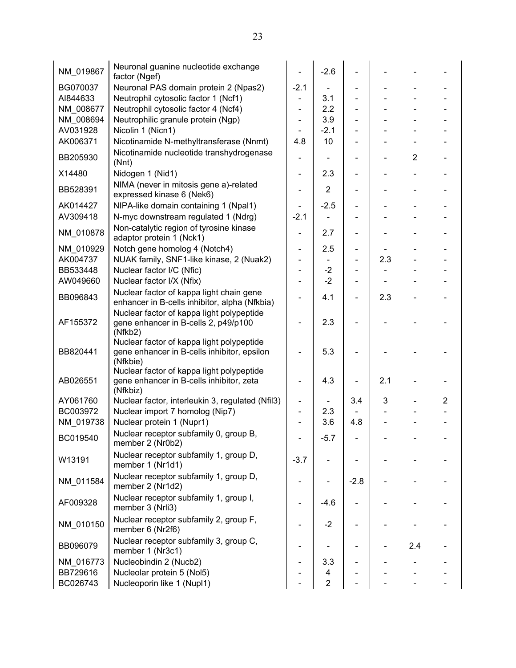| NM 019867 | Neuronal guanine nucleotide exchange<br>factor (Ngef)                                                |                              | $-2.6$         |                          |     |                |   |
|-----------|------------------------------------------------------------------------------------------------------|------------------------------|----------------|--------------------------|-----|----------------|---|
| BG070037  | Neuronal PAS domain protein 2 (Npas2)                                                                | $-2.1$                       |                |                          |     |                |   |
| AI844633  | Neutrophil cytosolic factor 1 (Ncf1)                                                                 | $\blacksquare$               | 3.1            |                          |     |                |   |
| NM 008677 | Neutrophil cytosolic factor 4 (Ncf4)                                                                 |                              | 2.2            |                          |     |                |   |
| NM_008694 | Neutrophilic granule protein (Ngp)                                                                   |                              | 3.9            |                          |     |                |   |
| AV031928  | Nicolin 1 (Nicn1)                                                                                    |                              | $-2.1$         |                          |     |                |   |
| AK006371  | Nicotinamide N-methyltransferase (Nnmt)                                                              | 4.8                          | 10             |                          |     |                |   |
| BB205930  | Nicotinamide nucleotide transhydrogenase<br>(Mnt)                                                    | -                            |                |                          |     | $\overline{2}$ |   |
| X14480    | Nidogen 1 (Nid1)                                                                                     |                              | 2.3            |                          |     |                |   |
| BB528391  | NIMA (never in mitosis gene a)-related<br>expressed kinase 6 (Nek6)                                  |                              | $\overline{2}$ |                          |     |                |   |
| AK014427  | NIPA-like domain containing 1 (Npal1)                                                                | $\overline{\phantom{0}}$     | $-2.5$         |                          |     |                |   |
| AV309418  | N-myc downstream regulated 1 (Ndrg)                                                                  | $-2.1$                       |                |                          |     |                |   |
| NM 010878 | Non-catalytic region of tyrosine kinase<br>adaptor protein 1 (Nck1)                                  |                              | 2.7            |                          |     |                |   |
| NM 010929 | Notch gene homolog 4 (Notch4)                                                                        | Ξ.                           | 2.5            | $\overline{\phantom{a}}$ |     |                |   |
| AK004737  | NUAK family, SNF1-like kinase, 2 (Nuak2)                                                             |                              |                |                          | 2.3 |                |   |
| BB533448  | Nuclear factor I/C (Nfic)                                                                            |                              | $-2$           |                          |     |                |   |
| AW049660  | Nuclear factor I/X (Nfix)                                                                            | $\overline{a}$               | $-2$           |                          |     |                |   |
| BB096843  | Nuclear factor of kappa light chain gene<br>enhancer in B-cells inhibitor, alpha (Nfkbia)            |                              | 4.1            |                          | 2.3 |                |   |
| AF155372  | Nuclear factor of kappa light polypeptide<br>gene enhancer in B-cells 2, p49/p100<br>(Nfkb2)         |                              | 2.3            |                          |     |                |   |
| BB820441  | Nuclear factor of kappa light polypeptide<br>gene enhancer in B-cells inhibitor, epsilon<br>(Nfkbie) |                              | 5.3            |                          |     |                |   |
| AB026551  | Nuclear factor of kappa light polypeptide<br>gene enhancer in B-cells inhibitor, zeta<br>(Nfkbiz)    |                              | 4.3            |                          | 2.1 |                |   |
| AY061760  | Nuclear factor, interleukin 3, regulated (Nfil3)                                                     | -                            |                | 3.4                      | 3   |                | 2 |
| BC003972  | Nuclear import 7 homolog (Nip7)                                                                      |                              | 2.3            |                          |     |                |   |
| NM 019738 | Nuclear protein 1 (Nupr1)                                                                            |                              | 3.6            | 4.8                      |     |                |   |
| BC019540  | Nuclear receptor subfamily 0, group B,<br>member 2 (Nr0b2)                                           |                              | $-5.7$         |                          |     |                |   |
| W13191    | Nuclear receptor subfamily 1, group D,<br>member 1 (Nr1d1)                                           | $-3.7$                       |                |                          |     |                |   |
| NM 011584 | Nuclear receptor subfamily 1, group D,<br>member 2 (Nr1d2)                                           | -                            |                | $-2.8$                   |     |                |   |
| AF009328  | Nuclear receptor subfamily 1, group I,<br>member 3 (Nrli3)                                           | $\qquad \qquad \blacksquare$ | $-4.6$         |                          |     |                |   |
| NM_010150 | Nuclear receptor subfamily 2, group F,<br>member 6 (Nr2f6)                                           | Ξ.                           | $-2$           |                          |     |                |   |
| BB096079  | Nuclear receptor subfamily 3, group C,<br>member 1 (Nr3c1)                                           | -                            |                |                          |     | 2.4            |   |
| NM_016773 | Nucleobindin 2 (Nucb2)                                                                               |                              | 3.3            |                          |     |                |   |
| BB729616  | Nucleolar protein 5 (Nol5)                                                                           |                              | 4              |                          |     |                |   |
| BC026743  | Nucleoporin like 1 (Nupl1)                                                                           |                              | $\overline{2}$ |                          |     |                |   |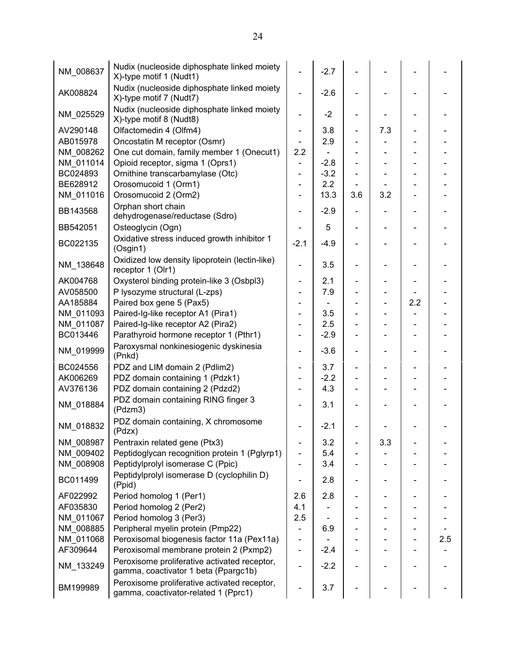| NM 008637 | Nudix (nucleoside diphosphate linked moiety<br>X)-type motif 1 (Nudt1)               |                              | $-2.7$ |                          |                          |     |     |
|-----------|--------------------------------------------------------------------------------------|------------------------------|--------|--------------------------|--------------------------|-----|-----|
| AK008824  | Nudix (nucleoside diphosphate linked moiety<br>X)-type motif 7 (Nudt7)               | $\overline{a}$               | $-2.6$ |                          |                          |     |     |
| NM_025529 | Nudix (nucleoside diphosphate linked moiety<br>X)-type motif 8 (Nudt8)               |                              | $-2$   |                          |                          |     |     |
| AV290148  | Olfactomedin 4 (Olfm4)                                                               | $\overline{\phantom{0}}$     | 3.8    |                          | 7.3                      |     |     |
| AB015978  | Oncostatin M receptor (Osmr)                                                         |                              | 2.9    |                          |                          |     |     |
| NM 008262 | One cut domain, family member 1 (Onecut1)                                            | 2.2                          |        |                          | $\overline{\phantom{0}}$ |     |     |
| NM 011014 | Opioid receptor, sigma 1 (Oprs1)                                                     | $\overline{\phantom{0}}$     | $-2.8$ |                          |                          |     |     |
| BC024893  | Ornithine transcarbamylase (Otc)                                                     | ÷,                           | $-3.2$ |                          |                          |     |     |
| BE628912  | Orosomucoid 1 (Orm1)                                                                 | $\qquad \qquad \blacksquare$ | 2.2    |                          |                          |     |     |
| NM_011016 | Orosomucoid 2 (Orm2)                                                                 |                              | 13.3   | 3.6                      | 3.2                      |     |     |
| BB143568  | Orphan short chain<br>dehydrogenase/reductase (Sdro)                                 |                              | $-2.9$ |                          |                          |     |     |
| BB542051  | Osteoglycin (Ogn)                                                                    |                              | 5      |                          |                          |     |     |
| BC022135  | Oxidative stress induced growth inhibitor 1<br>(Osgin1)                              | $-2.1$                       | $-4.9$ |                          |                          |     |     |
| NM_138648 | Oxidized low density lipoprotein (lectin-like)<br>receptor 1 (Olr1)                  |                              | 3.5    |                          |                          |     |     |
| AK004768  | Oxysterol binding protein-like 3 (Osbpl3)                                            | $\overline{\phantom{0}}$     | 2.1    | $\overline{\phantom{0}}$ |                          |     |     |
| AV058500  | P lysozyme structural (L-zps)                                                        |                              | 7.9    |                          |                          |     |     |
| AA185884  | Paired box gene 5 (Pax5)                                                             |                              |        |                          |                          | 2.2 |     |
| NM 011093 | Paired-Ig-like receptor A1 (Pira1)                                                   |                              | 3.5    |                          |                          |     |     |
| NM 011087 | Paired-Ig-like receptor A2 (Pira2)                                                   |                              | 2.5    |                          |                          |     |     |
| BC013446  | Parathyroid hormone receptor 1 (Pthr1)                                               |                              | $-2.9$ |                          |                          |     |     |
| NM_019999 | Paroxysmal nonkinesiogenic dyskinesia<br>(Pnkd)                                      | $\overline{\phantom{0}}$     | $-3.6$ | $\overline{\phantom{0}}$ | $\overline{a}$           |     |     |
| BC024556  | PDZ and LIM domain 2 (Pdlim2)                                                        | $\overline{\phantom{0}}$     | 3.7    | -                        |                          |     |     |
| AK006269  | PDZ domain containing 1 (Pdzk1)                                                      |                              | $-2.2$ |                          |                          |     |     |
| AV376136  | PDZ domain containing 2 (Pdzd2)                                                      |                              | 4.3    |                          |                          |     |     |
| NM_018884 | PDZ domain containing RING finger 3<br>(Pdzm3)                                       |                              | 3.1    |                          |                          |     |     |
| NM_018832 | PDZ domain containing, X chromosome<br>(Pdzx)                                        |                              | $-2.1$ |                          |                          |     |     |
| NM 008987 | Pentraxin related gene (Ptx3)                                                        |                              | 3.2    |                          | 3.3                      |     |     |
| NM_009402 | Peptidoglycan recognition protein 1 (Pglyrp1)                                        |                              | 5.4    |                          |                          |     |     |
| NM_008908 | Peptidylprolyl isomerase C (Ppic)                                                    |                              | 3.4    |                          |                          |     |     |
| BC011499  | Peptidylprolyl isomerase D (cyclophilin D)<br>(Ppid)                                 |                              | 2.8    |                          |                          |     |     |
| AF022992  | Period homolog 1 (Per1)                                                              | 2.6                          | 2.8    |                          |                          |     |     |
| AF035830  | Period homolog 2 (Per2)                                                              | 4.1                          |        |                          |                          |     |     |
| NM 011067 | Period homolog 3 (Per3)                                                              | 2.5                          |        |                          |                          |     |     |
| NM_008885 | Peripheral myelin protein (Pmp22)                                                    |                              | 6.9    |                          |                          |     |     |
| NM_011068 | Peroxisomal biogenesis factor 11a (Pex11a)                                           | -                            |        |                          |                          |     | 2.5 |
| AF309644  | Peroxisomal membrane protein 2 (Pxmp2)                                               | $\qquad \qquad \blacksquare$ | $-2.4$ |                          |                          |     |     |
| NM_133249 | Peroxisome proliferative activated receptor,<br>gamma, coactivator 1 beta (Ppargc1b) |                              | $-2.2$ |                          |                          |     |     |
| BM199989  | Peroxisome proliferative activated receptor,<br>gamma, coactivator-related 1 (Pprc1) |                              | 3.7    |                          |                          |     |     |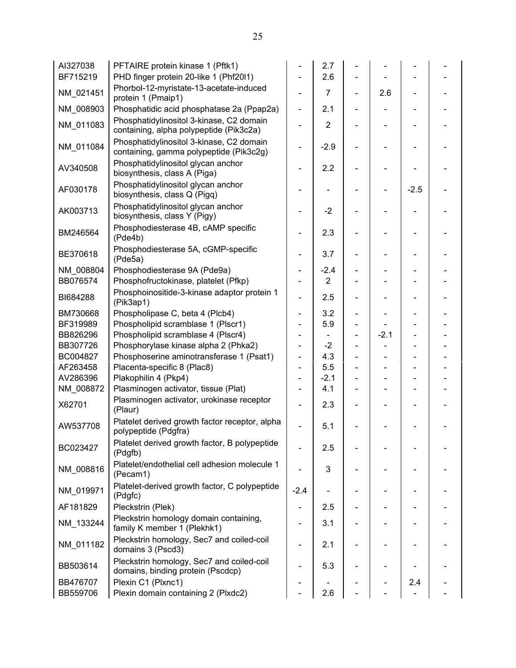| AI327038  | PFTAIRE protein kinase 1 (Pftk1)                                                    |                              | 2.7            |        |        |  |
|-----------|-------------------------------------------------------------------------------------|------------------------------|----------------|--------|--------|--|
| BF715219  | PHD finger protein 20-like 1 (Phf20l1)                                              |                              | 2.6            |        |        |  |
| NM_021451 | Phorbol-12-myristate-13-acetate-induced<br>protein 1 (Pmaip1)                       | $\blacksquare$               | $\overline{7}$ | 2.6    |        |  |
| NM 008903 | Phosphatidic acid phosphatase 2a (Ppap2a)                                           | $\blacksquare$               | 2.1            |        |        |  |
| NM_011083 | Phosphatidylinositol 3-kinase, C2 domain<br>containing, alpha polypeptide (Pik3c2a) |                              | $\overline{2}$ |        |        |  |
| NM 011084 | Phosphatidylinositol 3-kinase, C2 domain<br>containing, gamma polypeptide (Pik3c2g) |                              | $-2.9$         |        |        |  |
| AV340508  | Phosphatidylinositol glycan anchor<br>biosynthesis, class A (Piga)                  |                              | 2.2            |        |        |  |
| AF030178  | Phosphatidylinositol glycan anchor<br>biosynthesis, class Q (Pigq)                  |                              |                |        | $-2.5$ |  |
| AK003713  | Phosphatidylinositol glycan anchor<br>biosynthesis, class Y (Pigy)                  |                              | $-2$           |        |        |  |
| BM246564  | Phosphodiesterase 4B, cAMP specific<br>(Pde4b)                                      |                              | 2.3            |        |        |  |
| BE370618  | Phosphodiesterase 5A, cGMP-specific<br>(Pde5a)                                      |                              | 3.7            |        |        |  |
| NM_008804 | Phosphodiesterase 9A (Pde9a)                                                        |                              | $-2.4$         |        |        |  |
| BB076574  | Phosphofructokinase, platelet (Pfkp)                                                |                              | $\overline{2}$ |        |        |  |
| BI684288  | Phosphoinositide-3-kinase adaptor protein 1<br>(Pik3ap1)                            |                              | 2.5            |        |        |  |
| BM730668  | Phospholipase C, beta 4 (Plcb4)                                                     | $\overline{\phantom{0}}$     | 3.2            |        |        |  |
| BF319989  | Phospholipid scramblase 1 (Plscr1)                                                  |                              | 5.9            |        |        |  |
| BB826296  | Phospholipid scramblase 4 (Plscr4)                                                  |                              |                | $-2.1$ |        |  |
| BB307726  | Phosphorylase kinase alpha 2 (Phka2)                                                |                              | $-2$           |        |        |  |
| BC004827  | Phosphoserine aminotransferase 1 (Psat1)                                            | $\overline{\phantom{0}}$     | 4.3            |        |        |  |
| AF263458  | Placenta-specific 8 (Plac8)                                                         | $\overline{\phantom{0}}$     | 5.5            |        |        |  |
| AV286396  | Plakophilin 4 (Pkp4)                                                                |                              | $-2.1$         |        |        |  |
| NM_008872 | Plasminogen activator, tissue (Plat)                                                |                              | 4.1            |        |        |  |
| X62701    | Plasminogen activator, urokinase receptor<br>(Plaur)                                |                              | 2.3            |        |        |  |
| AW537708  | Platelet derived growth factor receptor, alpha<br>polypeptide (Pdgfra)              |                              | 5.1            |        |        |  |
| BC023427  | Platelet derived growth factor, B polypeptide<br>(Pdgfb)                            | $\overline{\phantom{0}}$     | 2.5            |        |        |  |
| NM 008816 | Platelet/endothelial cell adhesion molecule 1<br>(Pecam1)                           |                              | 3              |        |        |  |
| NM 019971 | Platelet-derived growth factor, C polypeptide<br>(Pdgfc)                            | $-2.4$                       |                |        |        |  |
| AF181829  | Pleckstrin (Plek)                                                                   | $\qquad \qquad \blacksquare$ | 2.5            |        |        |  |
| NM_133244 | Pleckstrin homology domain containing,<br>family K member 1 (Plekhk1)               |                              | 3.1            |        |        |  |
| NM_011182 | Pleckstrin homology, Sec7 and coiled-coil<br>domains 3 (Pscd3)                      |                              | 2.1            |        |        |  |
| BB503614  | Pleckstrin homology, Sec7 and coiled-coil<br>domains, binding protein (Pscdcp)      |                              | 5.3            |        |        |  |
| BB476707  | Plexin C1 (Plxnc1)                                                                  |                              |                |        | 2.4    |  |
| BB559706  | Plexin domain containing 2 (Plxdc2)                                                 |                              | 2.6            |        |        |  |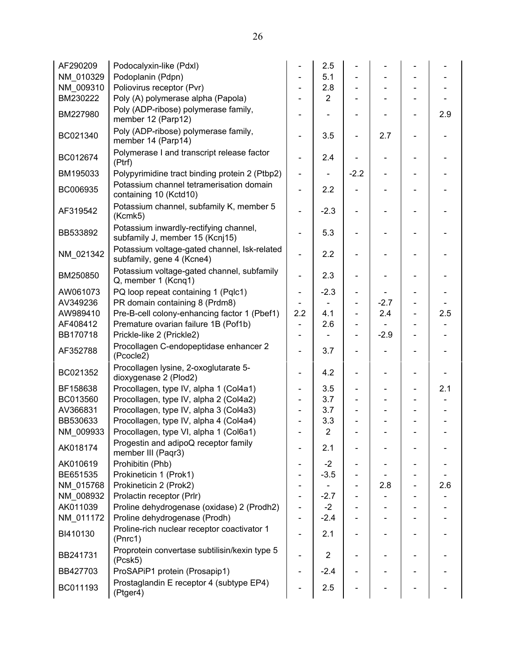| AF290209  | Podocalyxin-like (Pdxl)                                                   |                          | 2.5            |                |        |                          |     |
|-----------|---------------------------------------------------------------------------|--------------------------|----------------|----------------|--------|--------------------------|-----|
| NM 010329 | Podoplanin (Pdpn)                                                         |                          | 5.1            |                |        |                          |     |
| NM 009310 | Poliovirus receptor (Pvr)                                                 |                          | 2.8            |                |        |                          |     |
| BM230222  | Poly (A) polymerase alpha (Papola)                                        | Ξ.                       | $\overline{2}$ |                |        |                          |     |
| BM227980  | Poly (ADP-ribose) polymerase family,<br>member 12 (Parp12)                |                          |                |                |        |                          | 2.9 |
| BC021340  | Poly (ADP-ribose) polymerase family,<br>member 14 (Parp14)                |                          | 3.5            |                | 2.7    |                          |     |
| BC012674  | Polymerase I and transcript release factor<br>(Ptrf)                      |                          | 2.4            |                |        |                          |     |
| BM195033  | Polypyrimidine tract binding protein 2 (Ptbp2)                            | $\overline{\phantom{a}}$ | $\blacksquare$ | $-2.2$         |        |                          |     |
| BC006935  | Potassium channel tetramerisation domain<br>containing 10 (Kctd10)        | -                        | 2.2            |                |        |                          |     |
| AF319542  | Potassium channel, subfamily K, member 5<br>(Kcmk5)                       |                          | $-2.3$         |                |        |                          |     |
| BB533892  | Potassium inwardly-rectifying channel,<br>subfamily J, member 15 (Kcnj15) |                          | 5.3            |                |        |                          |     |
| NM_021342 | Potassium voltage-gated channel, Isk-related<br>subfamily, gene 4 (Kcne4) | -                        | 2.2            |                |        |                          |     |
| BM250850  | Potassium voltage-gated channel, subfamily<br>Q, member 1 (Kcnq1)         | -                        | 2.3            |                |        |                          |     |
| AW061073  | PQ loop repeat containing 1 (Pqlc1)                                       | -                        | $-2.3$         | $\frac{1}{2}$  |        |                          |     |
| AV349236  | PR domain containing 8 (Prdm8)                                            |                          |                |                | $-2.7$ |                          |     |
| AW989410  | Pre-B-cell colony-enhancing factor 1 (Pbef1)                              | 2.2                      | 4.1            | $\blacksquare$ | 2.4    | $\blacksquare$           | 2.5 |
| AF408412  | Premature ovarian failure 1B (Pof1b)                                      | ÷.                       | 2.6            | $\blacksquare$ |        |                          |     |
| BB170718  | Prickle-like 2 (Prickle2)                                                 | -                        |                | $\blacksquare$ | $-2.9$ | $\blacksquare$           |     |
| AF352788  | Procollagen C-endopeptidase enhancer 2<br>(Pcocle2)                       |                          | 3.7            |                |        | $\overline{\phantom{a}}$ |     |
| BC021352  | Procollagen lysine, 2-oxoglutarate 5-<br>dioxygenase 2 (Plod2)            |                          | 4.2            |                |        |                          |     |
| BF158638  | Procollagen, type IV, alpha 1 (Col4a1)                                    | -                        | 3.5            | $\frac{1}{2}$  |        | $\frac{1}{2}$            | 2.1 |
| BC013560  | Procollagen, type IV, alpha 2 (Col4a2)                                    | $\overline{\phantom{a}}$ | 3.7            |                |        |                          |     |
| AV366831  | Procollagen, type IV, alpha 3 (Col4a3)                                    |                          | 3.7            |                |        |                          |     |
| BB530633  | Procollagen, type IV, alpha 4 (Col4a4)                                    | -                        | 3.3            |                |        |                          |     |
| NM 009933 | Procollagen, type VI, alpha 1 (Col6a1)                                    |                          | $\overline{2}$ |                |        |                          |     |
| AK018174  | Progestin and adipoQ receptor family<br>member III (Paqr3)                |                          | 2.1            |                |        |                          |     |
| AK010619  | Prohibitin (Phb)                                                          |                          | $-2$           |                |        |                          |     |
| BE651535  | Prokineticin 1 (Prok1)                                                    | -                        | $-3.5$         |                |        |                          |     |
| NM_015768 | Prokineticin 2 (Prok2)                                                    | -                        |                |                | 2.8    |                          | 2.6 |
| NM 008932 | Prolactin receptor (Prlr)                                                 | -                        | $-2.7$         |                |        |                          |     |
| AK011039  | Proline dehydrogenase (oxidase) 2 (Prodh2)                                | -                        | $-2$           |                |        |                          |     |
| NM_011172 | Proline dehydrogenase (Prodh)                                             | -                        | $-2.4$         |                |        |                          |     |
| BI410130  | Proline-rich nuclear receptor coactivator 1<br>(Prnc1)                    |                          | 2.1            |                |        |                          |     |
| BB241731  | Proprotein convertase subtilisin/kexin type 5<br>(Pcsk5)                  |                          | $\overline{2}$ |                |        |                          |     |
| BB427703  | ProSAPiP1 protein (Prosapip1)                                             |                          | $-2.4$         |                |        |                          |     |
| BC011193  | Prostaglandin E receptor 4 (subtype EP4)<br>(Ptger4)                      |                          | 2.5            |                |        |                          |     |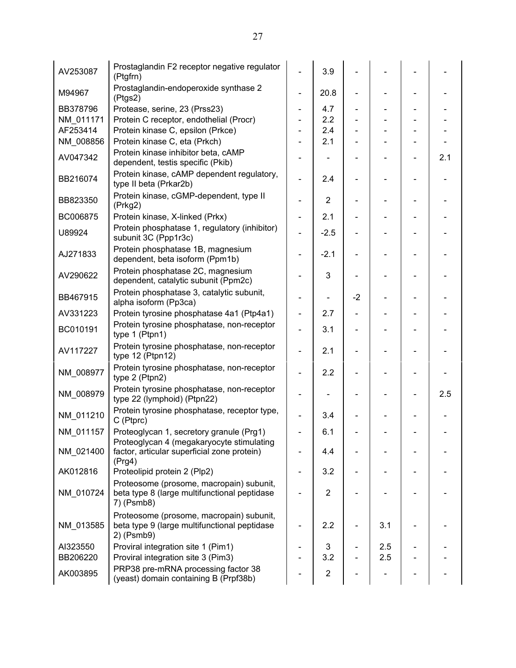| AV253087  | Prostaglandin F2 receptor negative regulator<br>(Ptgfrn)                                               |                              | 3.9            |                          |     |     |
|-----------|--------------------------------------------------------------------------------------------------------|------------------------------|----------------|--------------------------|-----|-----|
| M94967    | Prostaglandin-endoperoxide synthase 2<br>(Ptgs2)                                                       |                              | 20.8           |                          |     |     |
| BB378796  | Protease, serine, 23 (Prss23)                                                                          | Ξ.                           | 4.7            | $\overline{\phantom{a}}$ |     |     |
| NM_011171 | Protein C receptor, endothelial (Procr)                                                                |                              | 2.2            |                          |     |     |
| AF253414  | Protein kinase C, epsilon (Prkce)                                                                      |                              | 2.4            |                          |     |     |
| NM_008856 | Protein kinase C, eta (Prkch)                                                                          |                              | 2.1            |                          |     |     |
| AV047342  | Protein kinase inhibitor beta, cAMP<br>dependent, testis specific (Pkib)                               |                              |                |                          |     | 2.1 |
| BB216074  | Protein kinase, cAMP dependent regulatory,<br>type II beta (Prkar2b)                                   | $\overline{a}$               | 2.4            |                          |     |     |
| BB823350  | Protein kinase, cGMP-dependent, type II<br>(Prkg2)                                                     | -                            | $\overline{2}$ |                          |     |     |
| BC006875  | Protein kinase, X-linked (Prkx)                                                                        | $\blacksquare$               | 2.1            |                          |     |     |
| U89924    | Protein phosphatase 1, regulatory (inhibitor)<br>subunit 3C (Ppp1r3c)                                  |                              | $-2.5$         |                          |     |     |
| AJ271833  | Protein phosphatase 1B, magnesium<br>dependent, beta isoform (Ppm1b)                                   |                              | $-2.1$         |                          |     |     |
| AV290622  | Protein phosphatase 2C, magnesium<br>dependent, catalytic subunit (Ppm2c)                              |                              | 3              |                          |     |     |
| BB467915  | Protein phosphatase 3, catalytic subunit,<br>alpha isoform (Pp3ca)                                     | Ξ.                           |                | $-2$                     |     |     |
| AV331223  | Protein tyrosine phosphatase 4a1 (Ptp4a1)                                                              |                              | 2.7            |                          |     |     |
| BC010191  | Protein tyrosine phosphatase, non-receptor<br>type 1 (Ptpn1)                                           | $\blacksquare$               | 3.1            |                          |     |     |
| AV117227  | Protein tyrosine phosphatase, non-receptor<br>type 12 (Ptpn12)                                         | L,                           | 2.1            |                          |     |     |
| NM_008977 | Protein tyrosine phosphatase, non-receptor<br>type 2 (Ptpn2)                                           | $\qquad \qquad \blacksquare$ | 2.2            |                          |     |     |
| NM_008979 | Protein tyrosine phosphatase, non-receptor<br>type 22 (lymphoid) (Ptpn22)                              |                              |                |                          |     | 2.5 |
| NM_011210 | Protein tyrosine phosphatase, receptor type,<br>C (Ptprc)                                              |                              | 3.4            |                          |     |     |
| NM_011157 | Proteoglycan 1, secretory granule (Prg1)<br>Proteoglycan 4 (megakaryocyte stimulating                  |                              | 6.1            |                          |     |     |
| NM 021400 | factor, articular superficial zone protein)<br>(Prg4)                                                  |                              | 4.4            |                          |     |     |
| AK012816  | Proteolipid protein 2 (Plp2)                                                                           |                              | 3.2            |                          |     |     |
| NM 010724 | Proteosome (prosome, macropain) subunit,<br>beta type 8 (large multifunctional peptidase<br>7) (Psmb8) |                              | $\overline{2}$ |                          |     |     |
| NM_013585 | Proteosome (prosome, macropain) subunit,<br>beta type 9 (large multifunctional peptidase<br>2) (Psmb9) |                              | 2.2            |                          | 3.1 |     |
| AI323550  | Proviral integration site 1 (Pim1)                                                                     |                              | 3              |                          | 2.5 |     |
| BB206220  | Proviral integration site 3 (Pim3)                                                                     |                              | 3.2            |                          | 2.5 |     |
| AK003895  | PRP38 pre-mRNA processing factor 38<br>(yeast) domain containing B (Prpf38b)                           |                              | $\overline{c}$ |                          |     |     |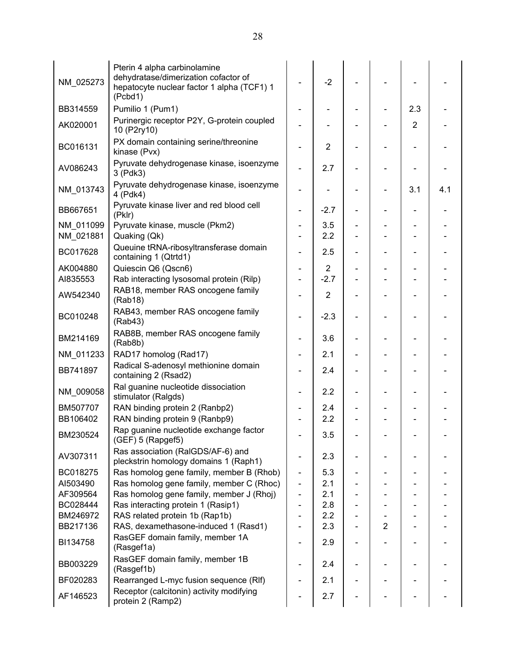| NM_025273              | Pterin 4 alpha carbinolamine<br>dehydratase/dimerization cofactor of<br>hepatocyte nuclear factor 1 alpha (TCF1) 1<br>(Pcbd1) |                              | $-2$           |                          |                |                |     |
|------------------------|-------------------------------------------------------------------------------------------------------------------------------|------------------------------|----------------|--------------------------|----------------|----------------|-----|
| BB314559               | Pumilio 1 (Pum1)                                                                                                              |                              |                |                          |                | 2.3            |     |
| AK020001               | Purinergic receptor P2Y, G-protein coupled<br>10 (P2ry10)                                                                     |                              |                |                          |                | $\overline{2}$ |     |
| BC016131               | PX domain containing serine/threonine<br>kinase (Pvx)                                                                         |                              | $\overline{2}$ |                          |                |                |     |
| AV086243               | Pyruvate dehydrogenase kinase, isoenzyme<br>3 (Pdk3)                                                                          | $\overline{\phantom{0}}$     | 2.7            |                          |                |                |     |
| NM_013743              | Pyruvate dehydrogenase kinase, isoenzyme<br>4 (Pdk4)                                                                          | $\qquad \qquad \blacksquare$ |                |                          |                | 3.1            | 4.1 |
| BB667651               | Pyruvate kinase liver and red blood cell<br>(Pklr)                                                                            | $\qquad \qquad \blacksquare$ | $-2.7$         | $\overline{\phantom{a}}$ |                |                |     |
| NM 011099<br>NM 021881 | Pyruvate kinase, muscle (Pkm2)<br>Quaking (Qk)                                                                                |                              | 3.5<br>2.2     |                          |                |                |     |
| BC017628               | Queuine tRNA-ribosyltransferase domain<br>containing 1 (Qtrtd1)                                                               |                              | 2.5            |                          |                |                |     |
| AK004880               | Quiescin Q6 (Qscn6)                                                                                                           | $\qquad \qquad \blacksquare$ | $\overline{2}$ | $\overline{\phantom{a}}$ |                |                |     |
| AI835553               | Rab interacting lysosomal protein (Rilp)                                                                                      |                              | $-2.7$         |                          |                |                |     |
| AW542340               | RAB18, member RAS oncogene family<br>(Rab18)                                                                                  |                              | $\overline{2}$ |                          |                |                |     |
| BC010248               | RAB43, member RAS oncogene family<br>(Rab43)                                                                                  |                              | $-2.3$         |                          |                |                |     |
| BM214169               | RAB8B, member RAS oncogene family<br>(Rab8b)                                                                                  |                              | 3.6            |                          |                |                |     |
| NM_011233              | RAD17 homolog (Rad17)                                                                                                         |                              | 2.1            |                          |                |                |     |
| BB741897               | Radical S-adenosyl methionine domain<br>containing 2 (Rsad2)                                                                  |                              | 2.4            |                          |                |                |     |
| NM_009058              | Ral guanine nucleotide dissociation<br>stimulator (Ralgds)                                                                    |                              | 2.2            | $\overline{\phantom{a}}$ |                |                |     |
| BM507707               | RAN binding protein 2 (Ranbp2)                                                                                                |                              | 2.4            |                          |                |                |     |
| BB106402               | RAN binding protein 9 (Ranbp9)                                                                                                |                              | 2.2            |                          |                |                |     |
| BM230524               | Rap guanine nucleotide exchange factor<br>(GEF) 5 (Rapgef5)                                                                   |                              | 3.5            |                          |                |                |     |
| AV307311               | Ras association (RalGDS/AF-6) and<br>pleckstrin homology domains 1 (Raph1)                                                    |                              | 2.3            |                          |                |                |     |
| BC018275               | Ras homolog gene family, member B (Rhob)                                                                                      | $\qquad \qquad \blacksquare$ | 5.3            |                          |                |                |     |
| AI503490               | Ras homolog gene family, member C (Rhoc)                                                                                      | $\qquad \qquad \blacksquare$ | 2.1            |                          |                |                |     |
| AF309564               | Ras homolog gene family, member J (Rhoj)                                                                                      | $\overline{\phantom{0}}$     | 2.1            |                          |                |                |     |
| BC028444               | Ras interacting protein 1 (Rasip1)                                                                                            |                              | 2.8            |                          |                |                |     |
| BM246972               | RAS related protein 1b (Rap1b)                                                                                                |                              | 2.2            |                          |                |                |     |
| BB217136               | RAS, dexamethasone-induced 1 (Rasd1)                                                                                          |                              | 2.3            |                          | $\overline{2}$ |                |     |
| BI134758               | RasGEF domain family, member 1A<br>(Rasgef1a)                                                                                 |                              | 2.9            |                          |                |                |     |
| BB003229               | RasGEF domain family, member 1B<br>(Rasgef1b)                                                                                 | $\qquad \qquad$              | 2.4            |                          |                |                |     |
| BF020283               | Rearranged L-myc fusion sequence (RIf)                                                                                        |                              | 2.1            |                          |                |                |     |
| AF146523               | Receptor (calcitonin) activity modifying<br>protein 2 (Ramp2)                                                                 |                              | 2.7            |                          |                |                |     |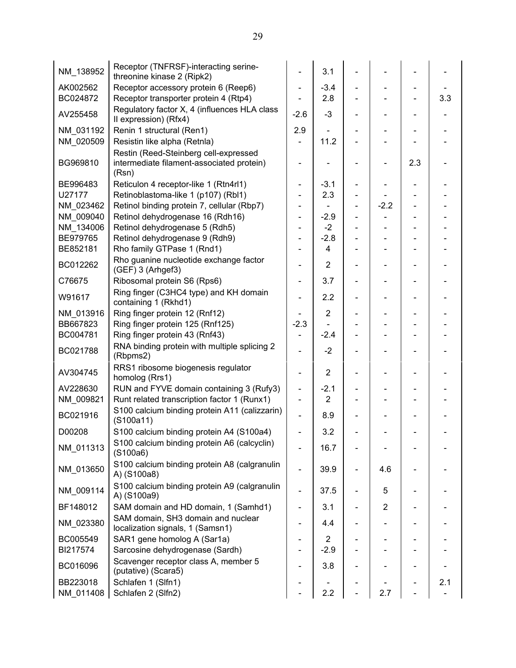| NM_138952 | Receptor (TNFRSF)-interacting serine-<br>threonine kinase 2 (Ripk2)                         |                              | 3.1                     |                              |        |     |     |
|-----------|---------------------------------------------------------------------------------------------|------------------------------|-------------------------|------------------------------|--------|-----|-----|
| AK002562  | Receptor accessory protein 6 (Reep6)                                                        | $\overline{\phantom{0}}$     | $-3.4$                  |                              |        |     |     |
| BC024872  | Receptor transporter protein 4 (Rtp4)                                                       |                              | 2.8                     |                              |        |     | 3.3 |
| AV255458  | Regulatory factor X, 4 (influences HLA class<br>Il expression) (Rfx4)                       | $-2.6$                       | $-3$                    |                              |        |     |     |
| NM 031192 | Renin 1 structural (Ren1)                                                                   | 2.9                          |                         |                              |        |     |     |
| NM_020509 | Resistin like alpha (Retnla)                                                                |                              | 11.2                    |                              |        |     |     |
| BG969810  | Restin (Reed-Steinberg cell-expressed<br>intermediate filament-associated protein)<br>(Rsn) |                              |                         |                              |        | 2.3 |     |
| BE996483  | Reticulon 4 receptor-like 1 (Rtn4rl1)                                                       | $\blacksquare$               | $-3.1$                  |                              |        |     |     |
| U27177    | Retinoblastoma-like 1 (p107) (Rbl1)                                                         |                              | 2.3                     |                              |        |     |     |
| NM 023462 | Retinol binding protein 7, cellular (Rbp7)                                                  | $\blacksquare$               |                         |                              | $-2.2$ |     |     |
| NM 009040 | Retinol dehydrogenase 16 (Rdh16)                                                            | $\overline{\phantom{0}}$     | $-2.9$                  |                              |        |     |     |
| NM 134006 | Retinol dehydrogenase 5 (Rdh5)                                                              | $\blacksquare$               | $-2$                    |                              |        |     |     |
| BE979765  | Retinol dehydrogenase 9 (Rdh9)                                                              | $\blacksquare$               | $-2.8$                  |                              |        |     |     |
| BE852181  | Rho family GTPase 1 (Rnd1)                                                                  |                              | $\overline{4}$          |                              |        |     |     |
| BC012262  | Rho guanine nucleotide exchange factor<br>(GEF) 3 (Arhgef3)                                 | $\overline{\phantom{0}}$     | $\overline{2}$          |                              |        |     |     |
| C76675    | Ribosomal protein S6 (Rps6)                                                                 | $\qquad \qquad \blacksquare$ | 3.7                     | $\qquad \qquad \blacksquare$ |        |     |     |
| W91617    | Ring finger (C3HC4 type) and KH domain<br>containing 1 (Rkhd1)                              | ÷,                           | 2.2                     | $\qquad \qquad \blacksquare$ |        |     |     |
| NM_013916 | Ring finger protein 12 (Rnf12)                                                              |                              | $\overline{2}$          |                              |        |     |     |
| BB667823  | Ring finger protein 125 (Rnf125)                                                            | $-2.3$                       |                         |                              |        |     |     |
| BC004781  | Ring finger protein 43 (Rnf43)                                                              |                              | $-2.4$                  |                              |        |     |     |
| BC021788  | RNA binding protein with multiple splicing 2<br>(Rbpms2)                                    |                              | $-2$                    |                              |        |     |     |
| AV304745  | RRS1 ribosome biogenesis regulator<br>homolog (Rrs1)                                        | $\blacksquare$               | $\overline{2}$          | $\qquad \qquad \blacksquare$ |        |     |     |
| AV228630  | RUN and FYVE domain containing 3 (Rufy3)                                                    | $\qquad \qquad \blacksquare$ | $-2.1$                  |                              |        |     |     |
| NM_009821 | Runt related transcription factor 1 (Runx1)                                                 | $\blacksquare$               | $\overline{2}$          |                              |        |     |     |
| BC021916  | S100 calcium binding protein A11 (calizzarin)<br>(S100a11)                                  | $\overline{\phantom{0}}$     | 8.9                     |                              |        |     |     |
| D00208    | S100 calcium binding protein A4 (S100a4)                                                    | ÷,                           | 3.2                     |                              |        |     |     |
| NM_011313 | S100 calcium binding protein A6 (calcyclin)<br>$($ S100a6 $)$                               |                              | 16.7                    |                              |        |     |     |
| NM_013650 | S100 calcium binding protein A8 (calgranulin<br>A) (S100a8)                                 |                              | 39.9                    | $\overline{\phantom{a}}$     | 4.6    |     |     |
| NM_009114 | S100 calcium binding protein A9 (calgranulin<br>A) (S100a9)                                 |                              | 37.5                    |                              | 5      |     |     |
| BF148012  | SAM domain and HD domain, 1 (Samhd1)                                                        |                              | 3.1                     |                              | 2      |     |     |
| NM_023380 | SAM domain, SH3 domain and nuclear<br>localization signals, 1 (Samsn1)                      |                              | 4.4                     |                              |        |     |     |
| BC005549  | SAR1 gene homolog A (Sar1a)                                                                 |                              | $\overline{\mathbf{c}}$ |                              |        |     |     |
| BI217574  | Sarcosine dehydrogenase (Sardh)                                                             |                              | $-2.9$                  |                              |        |     |     |
| BC016096  | Scavenger receptor class A, member 5<br>(putative) (Scara5)                                 |                              | 3.8                     |                              |        |     |     |
| BB223018  | Schlafen 1 (Slfn1)                                                                          |                              |                         |                              |        |     | 2.1 |
| NM_011408 | Schlafen 2 (Slfn2)                                                                          |                              | 2.2                     |                              | 2.7    |     |     |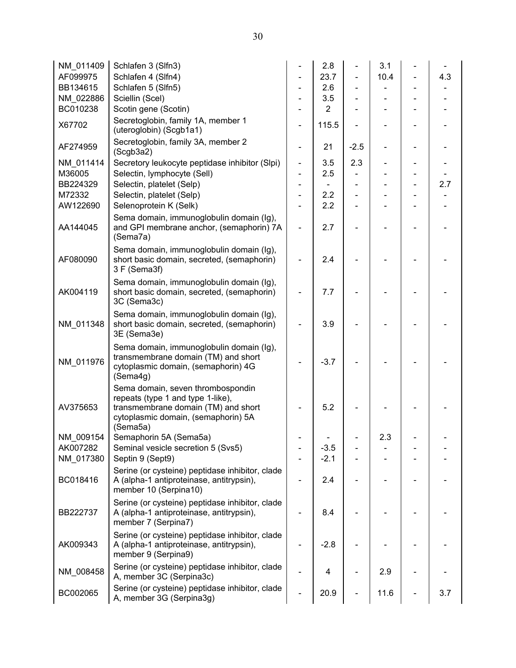| NM_011409 | Schlafen 3 (Slfn3)                                                                                                                                               |                              | 2.8            |        | 3.1  |     |
|-----------|------------------------------------------------------------------------------------------------------------------------------------------------------------------|------------------------------|----------------|--------|------|-----|
| AF099975  | Schlafen 4 (Slfn4)                                                                                                                                               |                              | 23.7           |        | 10.4 | 4.3 |
| BB134615  | Schlafen 5 (Slfn5)                                                                                                                                               |                              | 2.6            |        |      |     |
| NM_022886 | Sciellin (Scel)                                                                                                                                                  |                              | 3.5            |        |      |     |
| BC010238  | Scotin gene (Scotin)                                                                                                                                             |                              | $\overline{2}$ |        |      |     |
| X67702    | Secretoglobin, family 1A, member 1<br>(uteroglobin) (Scgb1a1)                                                                                                    |                              | 115.5          |        |      |     |
| AF274959  | Secretoglobin, family 3A, member 2<br>(Scgb3a2)                                                                                                                  |                              | 21             | $-2.5$ |      |     |
| NM 011414 | Secretory leukocyte peptidase inhibitor (Slpi)                                                                                                                   | ÷,                           | 3.5            | 2.3    |      |     |
| M36005    | Selectin, lymphocyte (Sell)                                                                                                                                      | $\qquad \qquad \blacksquare$ | 2.5            |        |      |     |
| BB224329  | Selectin, platelet (Selp)                                                                                                                                        | $\qquad \qquad \blacksquare$ |                |        |      | 2.7 |
| M72332    | Selectin, platelet (Selp)                                                                                                                                        |                              | 2.2            |        |      |     |
| AW122690  | Selenoprotein K (Selk)                                                                                                                                           |                              | 2.2            |        |      |     |
| AA144045  | Sema domain, immunoglobulin domain (Ig),<br>and GPI membrane anchor, (semaphorin) 7A<br>(Sema7a)                                                                 |                              | 2.7            |        |      |     |
| AF080090  | Sema domain, immunoglobulin domain (Ig),<br>short basic domain, secreted, (semaphorin)<br>3 F (Sema3f)                                                           |                              | 2.4            |        |      |     |
| AK004119  | Sema domain, immunoglobulin domain (Ig),<br>short basic domain, secreted, (semaphorin)<br>3C (Sema3c)                                                            |                              | 7.7            |        |      |     |
| NM_011348 | Sema domain, immunoglobulin domain (Ig),<br>short basic domain, secreted, (semaphorin)<br>3E (Sema3e)                                                            |                              | 3.9            |        |      |     |
| NM_011976 | Sema domain, immunoglobulin domain (Ig),<br>transmembrane domain (TM) and short<br>cytoplasmic domain, (semaphorin) 4G<br>(Sema4g)                               |                              | $-3.7$         |        |      |     |
| AV375653  | Sema domain, seven thrombospondin<br>repeats (type 1 and type 1-like),<br>transmembrane domain (TM) and short<br>cytoplasmic domain, (semaphorin) 5A<br>(Sema5a) |                              | 5.2            |        |      |     |
| NM_009154 | Semaphorin 5A (Sema5a)                                                                                                                                           |                              |                |        | 2.3  |     |
| AK007282  | Seminal vesicle secretion 5 (Svs5)                                                                                                                               |                              | $-3.5$         |        |      |     |
| NM 017380 | Septin 9 (Sept9)                                                                                                                                                 |                              | $-2.1$         |        |      |     |
| BC018416  | Serine (or cysteine) peptidase inhibitor, clade<br>A (alpha-1 antiproteinase, antitrypsin),<br>member 10 (Serpina10)                                             |                              | 2.4            |        |      |     |
| BB222737  | Serine (or cysteine) peptidase inhibitor, clade<br>A (alpha-1 antiproteinase, antitrypsin),<br>member 7 (Serpina7)                                               |                              | 8.4            |        |      |     |
| AK009343  | Serine (or cysteine) peptidase inhibitor, clade<br>A (alpha-1 antiproteinase, antitrypsin),<br>member 9 (Serpina9)                                               |                              | $-2.8$         |        |      |     |
| NM 008458 | Serine (or cysteine) peptidase inhibitor, clade<br>A, member 3C (Serpina3c)                                                                                      |                              | 4              |        | 2.9  |     |
| BC002065  | Serine (or cysteine) peptidase inhibitor, clade<br>A, member 3G (Serpina3g)                                                                                      |                              | 20.9           |        | 11.6 | 3.7 |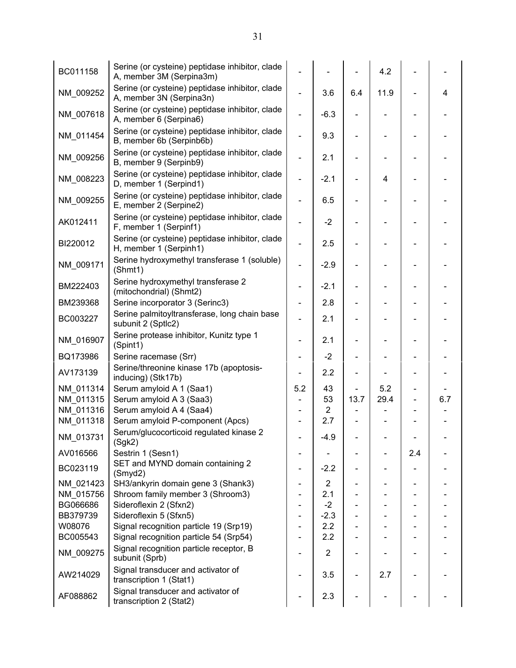| BC011158  | Serine (or cysteine) peptidase inhibitor, clade<br>A, member 3M (Serpina3m) |                              |                |      | 4.2  |     |     |
|-----------|-----------------------------------------------------------------------------|------------------------------|----------------|------|------|-----|-----|
| NM_009252 | Serine (or cysteine) peptidase inhibitor, clade<br>A, member 3N (Serpina3n) | L.                           | 3.6            | 6.4  | 11.9 |     | 4   |
| NM_007618 | Serine (or cysteine) peptidase inhibitor, clade<br>A, member 6 (Serpina6)   |                              | $-6.3$         |      |      |     |     |
| NM_011454 | Serine (or cysteine) peptidase inhibitor, clade<br>B, member 6b (Serpinb6b) | ÷,                           | 9.3            |      |      |     |     |
| NM_009256 | Serine (or cysteine) peptidase inhibitor, clade<br>B, member 9 (Serpinb9)   | ä,                           | 2.1            |      |      |     |     |
| NM_008223 | Serine (or cysteine) peptidase inhibitor, clade<br>D, member 1 (Serpind1)   | $\overline{\phantom{0}}$     | $-2.1$         |      | 4    |     |     |
| NM_009255 | Serine (or cysteine) peptidase inhibitor, clade<br>E, member 2 (Serpine2)   | $\overline{a}$               | 6.5            |      |      |     |     |
| AK012411  | Serine (or cysteine) peptidase inhibitor, clade<br>F, member 1 (Serpinf1)   |                              | $-2$           |      |      |     |     |
| BI220012  | Serine (or cysteine) peptidase inhibitor, clade<br>H, member 1 (Serpinh1)   |                              | 2.5            |      |      |     |     |
| NM_009171 | Serine hydroxymethyl transferase 1 (soluble)<br>(Shmt1)                     |                              | $-2.9$         |      |      |     |     |
| BM222403  | Serine hydroxymethyl transferase 2<br>(mitochondrial) (Shmt2)               | $\qquad \qquad \blacksquare$ | $-2.1$         |      |      |     |     |
| BM239368  | Serine incorporator 3 (Serinc3)                                             | $\qquad \qquad \blacksquare$ | 2.8            |      |      |     |     |
| BC003227  | Serine palmitoyltransferase, long chain base<br>subunit 2 (Sptlc2)          | L,                           | 2.1            |      |      |     |     |
| NM_016907 | Serine protease inhibitor, Kunitz type 1<br>(Spint1)                        | $\overline{\phantom{0}}$     | 2.1            |      |      |     |     |
| BQ173986  | Serine racemase (Srr)                                                       |                              | $-2$           |      |      |     |     |
| AV173139  | Serine/threonine kinase 17b (apoptosis-<br>inducing) (Stk17b)               |                              | 2.2            |      |      |     |     |
| NM_011314 | Serum amyloid A 1 (Saa1)                                                    | 5.2                          | 43             |      | 5.2  |     |     |
| NM_011315 | Serum amyloid A 3 (Saa3)                                                    |                              | 53             | 13.7 | 29.4 |     | 6.7 |
| NM_011316 | Serum amyloid A 4 (Saa4)                                                    |                              | $\overline{2}$ |      |      |     |     |
| NM_011318 | Serum amyloid P-component (Apcs)                                            |                              | 2.7            |      |      |     |     |
| NM_013731 | Serum/glucocorticoid regulated kinase 2<br>(Sgk2)                           |                              | $-4.9$         |      |      |     |     |
| AV016566  | Sestrin 1 (Sesn1)                                                           |                              |                |      |      | 2.4 |     |
| BC023119  | SET and MYND domain containing 2<br>(Smyd2)                                 | $\qquad \qquad \blacksquare$ | $-2.2$         |      |      |     |     |
| NM 021423 | SH3/ankyrin domain gene 3 (Shank3)                                          |                              | $\overline{c}$ |      |      |     |     |
| NM_015756 | Shroom family member 3 (Shroom3)                                            |                              | 2.1            |      |      |     |     |
| BG066686  | Sideroflexin 2 (Sfxn2)                                                      |                              | $-2$           |      |      |     |     |
| BB379739  | Sideroflexin 5 (Sfxn5)                                                      |                              | $-2.3$         |      |      |     |     |
| W08076    | Signal recognition particle 19 (Srp19)                                      |                              | 2.2            |      |      |     |     |
| BC005543  | Signal recognition particle 54 (Srp54)                                      |                              | 2.2            |      |      |     |     |
| NM_009275 | Signal recognition particle receptor, B<br>subunit (Sprb)                   |                              | $\overline{2}$ |      |      |     |     |
| AW214029  | Signal transducer and activator of<br>transcription 1 (Stat1)               |                              | 3.5            |      | 2.7  |     |     |
| AF088862  | Signal transducer and activator of<br>transcription 2 (Stat2)               |                              | 2.3            |      |      |     |     |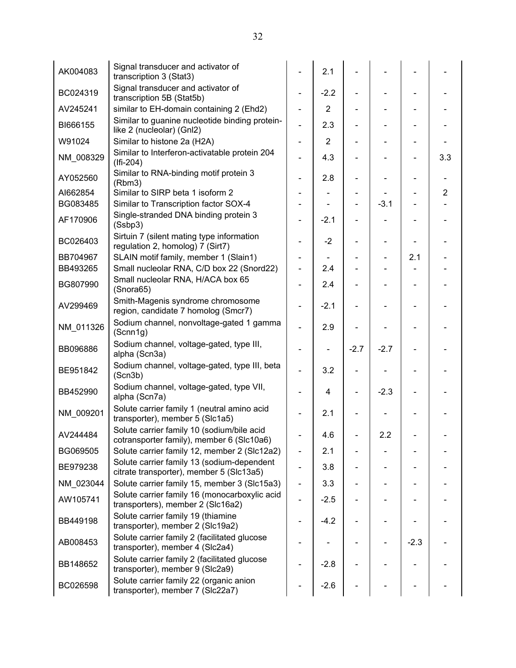| AK004083  | Signal transducer and activator of<br>transcription 3 (Stat3)                           |                              | 2.1            |        |        |        |                |
|-----------|-----------------------------------------------------------------------------------------|------------------------------|----------------|--------|--------|--------|----------------|
| BC024319  | Signal transducer and activator of<br>transcription 5B (Stat5b)                         |                              | $-2.2$         |        |        |        |                |
| AV245241  | similar to EH-domain containing 2 (Ehd2)                                                | $\qquad \qquad \blacksquare$ | $\overline{2}$ |        |        |        |                |
| BI666155  | Similar to guanine nucleotide binding protein-<br>like 2 (nucleolar) (Gnl2)             | $\overline{\phantom{0}}$     | 2.3            |        |        |        |                |
| W91024    | Similar to histone 2a (H2A)                                                             |                              | $\overline{2}$ |        |        |        |                |
| NM_008329 | Similar to Interferon-activatable protein 204<br>$(If -204)$                            | ÷,                           | 4.3            |        |        |        | 3.3            |
| AY052560  | Similar to RNA-binding motif protein 3<br>(Rbm3)                                        |                              | 2.8            |        |        |        |                |
| AI662854  | Similar to SIRP beta 1 isoform 2                                                        |                              |                |        |        |        | $\overline{2}$ |
| BG083485  | Similar to Transcription factor SOX-4                                                   |                              |                |        | $-3.1$ |        |                |
| AF170906  | Single-stranded DNA binding protein 3<br>(Ssbp3)                                        |                              | $-2.1$         |        |        |        |                |
| BC026403  | Sirtuin 7 (silent mating type information<br>regulation 2, homolog) 7 (Sirt7)           |                              | $-2$           |        |        |        |                |
| BB704967  | SLAIN motif family, member 1 (Slain1)                                                   | $\qquad \qquad \blacksquare$ |                |        |        | 2.1    |                |
| BB493265  | Small nucleolar RNA, C/D box 22 (Snord22)                                               | ÷,                           | 2.4            |        |        |        |                |
| BG807990  | Small nucleolar RNA, H/ACA box 65<br>(Snora65)                                          |                              | 2.4            |        |        |        |                |
| AV299469  | Smith-Magenis syndrome chromosome<br>region, candidate 7 homolog (Smcr7)                |                              | $-2.1$         |        |        |        |                |
| NM_011326 | Sodium channel, nonvoltage-gated 1 gamma<br>(Scnn1g)                                    |                              | 2.9            |        |        |        |                |
| BB096886  | Sodium channel, voltage-gated, type III,<br>alpha (Scn3a)                               |                              |                | $-2.7$ | $-2.7$ |        |                |
| BE951842  | Sodium channel, voltage-gated, type III, beta<br>(Scn3b)                                |                              | 3.2            |        |        |        |                |
| BB452990  | Sodium channel, voltage-gated, type VII,<br>alpha (Scn7a)                               |                              | 4              |        | $-2.3$ |        |                |
| NM_009201 | Solute carrier family 1 (neutral amino acid<br>transporter), member 5 (Slc1a5)          |                              | 2.1            |        |        |        |                |
| AV244484  | Solute carrier family 10 (sodium/bile acid<br>cotransporter family), member 6 (Slc10a6) |                              | 4.6            |        | 2.2    |        |                |
| BG069505  | Solute carrier family 12, member 2 (SIc12a2)                                            |                              | 2.1            |        |        |        |                |
| BE979238  | Solute carrier family 13 (sodium-dependent<br>citrate transporter), member 5 (SIc13a5)  | ÷,                           | 3.8            |        |        |        |                |
| NM 023044 | Solute carrier family 15, member 3 (Slc15a3)                                            | $\qquad \qquad \blacksquare$ | 3.3            |        |        |        |                |
| AW105741  | Solute carrier family 16 (monocarboxylic acid<br>transporters), member 2 (Slc16a2)      |                              | $-2.5$         |        |        |        |                |
| BB449198  | Solute carrier family 19 (thiamine<br>transporter), member 2 (Slc19a2)                  |                              | $-4.2$         |        |        |        |                |
| AB008453  | Solute carrier family 2 (facilitated glucose<br>transporter), member 4 (Slc2a4)         |                              |                |        |        | $-2.3$ |                |
| BB148652  | Solute carrier family 2 (facilitated glucose<br>transporter), member 9 (Slc2a9)         |                              | $-2.8$         |        |        |        |                |
| BC026598  | Solute carrier family 22 (organic anion<br>transporter), member 7 (Slc22a7)             |                              | $-2.6$         |        |        |        |                |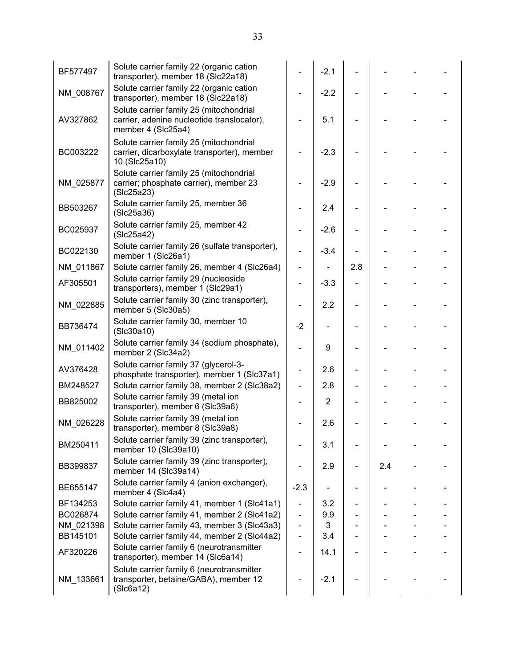| BF577497  | Solute carrier family 22 (organic cation<br>transporter), member 18 (Slc22a18)                              |                              | $-2.1$         |                |     |                          |  |
|-----------|-------------------------------------------------------------------------------------------------------------|------------------------------|----------------|----------------|-----|--------------------------|--|
| NM_008767 | Solute carrier family 22 (organic cation<br>transporter), member 18 (Slc22a18)                              |                              | $-2.2$         |                |     |                          |  |
| AV327862  | Solute carrier family 25 (mitochondrial<br>carrier, adenine nucleotide translocator),<br>member 4 (Slc25a4) |                              | 5.1            |                |     |                          |  |
| BC003222  | Solute carrier family 25 (mitochondrial<br>carrier, dicarboxylate transporter), member<br>10 (Slc25a10)     |                              | $-2.3$         |                |     |                          |  |
| NM 025877 | Solute carrier family 25 (mitochondrial<br>carrier; phosphate carrier), member 23<br>(SIc25a23)             |                              | $-2.9$         |                |     |                          |  |
| BB503267  | Solute carrier family 25, member 36<br>(SIc25a36)                                                           |                              | 2.4            |                |     |                          |  |
| BC025937  | Solute carrier family 25, member 42<br>(Slc25a42)                                                           |                              | $-2.6$         |                |     |                          |  |
| BC022130  | Solute carrier family 26 (sulfate transporter),<br>member 1 (Slc26a1)                                       |                              | $-3.4$         |                |     |                          |  |
| NM 011867 | Solute carrier family 26, member 4 (Slc26a4)                                                                | $\blacksquare$               |                | 2.8            |     |                          |  |
| AF305501  | Solute carrier family 29 (nucleoside<br>transporters), member 1 (Slc29a1)                                   | ÷,                           | $-3.3$         |                |     |                          |  |
| NM_022885 | Solute carrier family 30 (zinc transporter),<br>member 5 (Slc30a5)                                          |                              | 2.2            |                |     |                          |  |
| BB736474  | Solute carrier family 30, member 10<br>(Slc30a10)                                                           | $-2$                         |                |                |     |                          |  |
| NM_011402 | Solute carrier family 34 (sodium phosphate),<br>member 2 (Slc34a2)                                          | $\overline{\phantom{0}}$     | 9              |                |     |                          |  |
| AV376428  | Solute carrier family 37 (glycerol-3-<br>phosphate transporter), member 1 (Slc37a1)                         | $\overline{\phantom{0}}$     | 2.6            |                |     |                          |  |
| BM248527  | Solute carrier family 38, member 2 (Slc38a2)                                                                | $\blacksquare$               | 2.8            |                |     | $\overline{\phantom{a}}$ |  |
| BB825002  | Solute carrier family 39 (metal ion<br>transporter), member 6 (Slc39a6)                                     |                              | $\overline{2}$ |                |     |                          |  |
| NM_026228 | Solute carrier family 39 (metal ion<br>transporter), member 8 (Slc39a8)                                     |                              | 2.6            |                |     |                          |  |
| BM250411  | Solute carrier family 39 (zinc transporter),<br>member 10 (Slc39a10)                                        |                              | 3.1            |                |     |                          |  |
| BB399837  | Solute carrier family 39 (zinc transporter),<br>member 14 (Slc39a14)                                        |                              | 2.9            | $\blacksquare$ | 2.4 |                          |  |
| BE655147  | Solute carrier family 4 (anion exchanger),<br>member 4 (Slc4a4)                                             | $-2.3$                       |                |                |     |                          |  |
| BF134253  | Solute carrier family 41, member 1 (Slc41a1)                                                                | $\qquad \qquad \blacksquare$ | 3.2            | $\blacksquare$ |     |                          |  |
| BC026874  | Solute carrier family 41, member 2 (Slc41a2)                                                                | $\qquad \qquad \blacksquare$ | 9.9            |                |     |                          |  |
| NM 021398 | Solute carrier family 43, member 3 (Slc43a3)                                                                | $\blacksquare$               | 3              |                |     |                          |  |
| BB145101  | Solute carrier family 44, member 2 (Slc44a2)                                                                | $\qquad \qquad \blacksquare$ | 3.4            |                |     |                          |  |
| AF320226  | Solute carrier family 6 (neurotransmitter<br>transporter), member 14 (SIc6a14)                              | $\qquad \qquad \blacksquare$ | 14.1           |                |     |                          |  |
| NM_133661 | Solute carrier family 6 (neurotransmitter<br>transporter, betaine/GABA), member 12<br>(Slc6a12)             |                              | $-2.1$         |                |     |                          |  |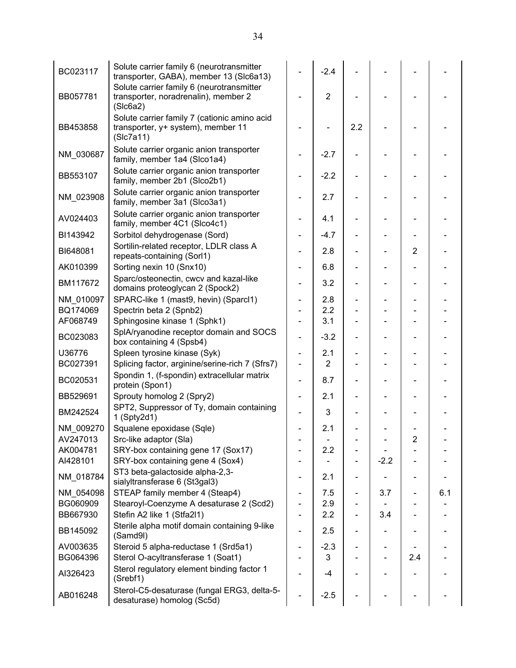| BC023117  | Solute carrier family 6 (neurotransmitter<br>transporter, GABA), member 13 (SIc6a13)<br>Solute carrier family 6 (neurotransmitter |                              | $-2.4$         |     |        |                              |     |
|-----------|-----------------------------------------------------------------------------------------------------------------------------------|------------------------------|----------------|-----|--------|------------------------------|-----|
| BB057781  | transporter, noradrenalin), member 2<br>(Slc6a2)                                                                                  |                              | $\overline{2}$ |     |        |                              |     |
| BB453858  | Solute carrier family 7 (cationic amino acid<br>transporter, y+ system), member 11<br>(Slc7a11)                                   |                              |                | 2.2 |        |                              |     |
| NM_030687 | Solute carrier organic anion transporter<br>family, member 1a4 (Slco1a4)                                                          |                              | $-2.7$         |     |        |                              |     |
| BB553107  | Solute carrier organic anion transporter<br>family, member 2b1 (Slco2b1)                                                          |                              | $-2.2$         |     |        |                              |     |
| NM_023908 | Solute carrier organic anion transporter<br>family, member 3a1 (Slco3a1)                                                          |                              | 2.7            |     |        |                              |     |
| AV024403  | Solute carrier organic anion transporter<br>family, member 4C1 (Slco4c1)                                                          |                              | 4.1            |     |        |                              |     |
| BI143942  | Sorbitol dehydrogenase (Sord)                                                                                                     | $\qquad \qquad \blacksquare$ | $-4.7$         |     |        | -                            |     |
| BI648081  | Sortilin-related receptor, LDLR class A<br>repeats-containing (Sorl1)                                                             |                              | 2.8            |     |        | $\overline{2}$               |     |
| AK010399  | Sorting nexin 10 (Snx10)                                                                                                          |                              | 6.8            |     |        |                              |     |
| BM117672  | Sparc/osteonectin, cwcv and kazal-like<br>domains proteoglycan 2 (Spock2)                                                         |                              | 3.2            |     |        |                              |     |
| NM 010097 | SPARC-like 1 (mast9, hevin) (Sparcl1)                                                                                             |                              | 2.8            |     |        |                              |     |
| BQ174069  | Spectrin beta 2 (Spnb2)                                                                                                           |                              | 2.2            |     |        |                              |     |
| AF068749  | Sphingosine kinase 1 (Sphk1)                                                                                                      |                              | 3.1            |     |        |                              |     |
| BC023083  | SplA/ryanodine receptor domain and SOCS<br>box containing 4 (Spsb4)                                                               |                              | $-3.2$         |     |        |                              |     |
| U36776    | Spleen tyrosine kinase (Syk)                                                                                                      | $\overline{\phantom{0}}$     | 2.1            |     |        |                              |     |
| BC027391  | Splicing factor, arginine/serine-rich 7 (Sfrs7)                                                                                   |                              | $\overline{2}$ |     |        |                              |     |
| BC020531  | Spondin 1, (f-spondin) extracellular matrix<br>protein (Spon1)                                                                    |                              | 8.7            |     |        |                              |     |
| BB529691  | Sprouty homolog 2 (Spry2)                                                                                                         | $\overline{\phantom{0}}$     | 2.1            |     |        |                              |     |
| BM242524  | SPT2, Suppressor of Ty, domain containing<br>1 (Spty2d1)                                                                          |                              | 3              |     |        |                              |     |
| NM_009270 | Squalene epoxidase (Sqle)                                                                                                         |                              | 2.1            |     |        |                              |     |
| AV247013  | Src-like adaptor (Sla)                                                                                                            |                              |                |     |        | 2                            |     |
| AK004781  | SRY-box containing gene 17 (Sox17)                                                                                                |                              | 2.2            |     |        |                              |     |
| AI428101  | SRY-box containing gene 4 (Sox4)                                                                                                  |                              |                |     | $-2.2$ |                              |     |
| NM_018784 | ST3 beta-galactoside alpha-2,3-<br>sialyltransferase 6 (St3gal3)                                                                  |                              | 2.1            |     |        |                              |     |
| NM 054098 | STEAP family member 4 (Steap4)                                                                                                    |                              | 7.5            | -   | 3.7    | $\qquad \qquad \blacksquare$ | 6.1 |
| BG060909  | Stearoyl-Coenzyme A desaturase 2 (Scd2)                                                                                           |                              | 2.9            |     |        |                              |     |
| BB667930  | Stefin A2 like 1 (Stfa2l1)                                                                                                        |                              | 2.2            |     | 3.4    |                              |     |
| BB145092  | Sterile alpha motif domain containing 9-like<br>(Samd9l)                                                                          |                              | 2.5            |     |        |                              |     |
| AV003635  | Steroid 5 alpha-reductase 1 (Srd5a1)                                                                                              |                              | $-2.3$         |     |        |                              |     |
| BG064396  | Sterol O-acyltransferase 1 (Soat1)                                                                                                |                              | 3              |     |        | 2.4                          |     |
| AI326423  | Sterol regulatory element binding factor 1<br>(Srebf1)                                                                            |                              | -4             |     |        |                              |     |
| AB016248  | Sterol-C5-desaturase (fungal ERG3, delta-5-<br>desaturase) homolog (Sc5d)                                                         |                              | $-2.5$         |     |        |                              |     |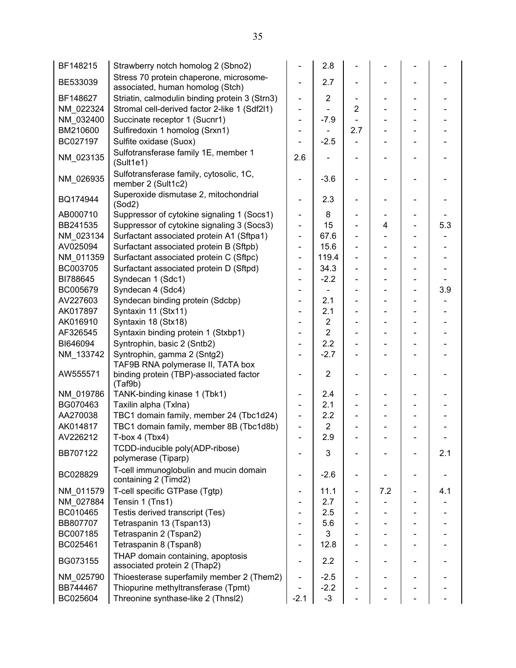| BF148215  | Strawberry notch homolog 2 (Sbno2)                                          |                              | 2.8            |                              |     |     |
|-----------|-----------------------------------------------------------------------------|------------------------------|----------------|------------------------------|-----|-----|
| BE533039  | Stress 70 protein chaperone, microsome-<br>associated, human homolog (Stch) |                              | 2.7            |                              |     |     |
| BF148627  | Striatin, calmodulin binding protein 3 (Strn3)                              | $\blacksquare$               | $\overline{2}$ | $\overline{\phantom{a}}$     |     |     |
| NM 022324 | Stromal cell-derived factor 2-like 1 (Sdf2l1)                               | $\qquad \qquad \blacksquare$ |                | 2                            |     |     |
| NM_032400 | Succinate receptor 1 (Sucnr1)                                               | $\overline{\phantom{0}}$     | $-7.9$         |                              |     |     |
| BM210600  | Sulfiredoxin 1 homolog (Srxn1)                                              | $\overline{\phantom{a}}$     |                | 2.7                          |     |     |
| BC027197  | Sulfite oxidase (Suox)                                                      |                              | $-2.5$         |                              |     |     |
| NM 023135 | Sulfotransferase family 1E, member 1<br>(Sult1e1)                           | 2.6                          |                |                              |     |     |
| NM_026935 | Sulfotransferase family, cytosolic, 1C,<br>member 2 (Sult1c2)               |                              | $-3.6$         | $\overline{\phantom{a}}$     |     |     |
| BQ174944  | Superoxide dismutase 2, mitochondrial<br>(Sod2)                             | ÷,                           | 2.3            | $\qquad \qquad \blacksquare$ |     |     |
| AB000710  | Suppressor of cytokine signaling 1 (Socs1)                                  | $\overline{\phantom{0}}$     | 8              |                              |     |     |
| BB241535  | Suppressor of cytokine signaling 3 (Socs3)                                  | $\qquad \qquad \blacksquare$ | 15             |                              | 4   | 5.3 |
| NM_023134 | Surfactant associated protein A1 (Sftpa1)                                   | $\qquad \qquad \blacksquare$ | 67.6           |                              |     |     |
| AV025094  | Surfactant associated protein B (Sftpb)                                     | $\qquad \qquad \blacksquare$ | 15.6           |                              |     |     |
| NM 011359 | Surfactant associated protein C (Sftpc)                                     | ÷,                           | 119.4          |                              |     |     |
| BC003705  | Surfactant associated protein D (Sftpd)                                     | $\blacksquare$               | 34.3           | $\blacksquare$               |     |     |
| BI788645  | Syndecan 1 (Sdc1)                                                           |                              | $-2.2$         |                              |     |     |
| BC005679  | Syndecan 4 (Sdc4)                                                           | $\qquad \qquad \blacksquare$ |                |                              |     | 3.9 |
| AV227603  | Syndecan binding protein (Sdcbp)                                            |                              | 2.1            |                              |     |     |
| AK017897  | Syntaxin 11 (Stx11)                                                         | $\qquad \qquad \blacksquare$ | 2.1            |                              |     |     |
| AK016910  | Syntaxin 18 (Stx18)                                                         | $\qquad \qquad \blacksquare$ | $\overline{2}$ |                              |     |     |
| AF326545  | Syntaxin binding protein 1 (Stxbp1)                                         | -                            | $\overline{2}$ |                              |     |     |
| BI646094  | Syntrophin, basic 2 (Sntb2)                                                 | ÷,                           | 2.2            |                              |     |     |
| NM_133742 | Syntrophin, gamma 2 (Sntg2)                                                 | $\blacksquare$               | $-2.7$         |                              |     |     |
|           | TAF9B RNA polymerase II, TATA box                                           |                              |                |                              |     |     |
| AW555571  | binding protein (TBP)-associated factor<br>(Taf9b)                          |                              | $\overline{2}$ |                              |     |     |
| NM_019786 | TANK-binding kinase 1 (Tbk1)                                                | $\overline{\phantom{0}}$     | 2.4            |                              |     |     |
| BG070463  | Taxilin alpha (Txlna)                                                       | $\overline{\phantom{a}}$     | 2.1            | $\overline{\phantom{a}}$     |     |     |
| AA270038  | TBC1 domain family, member 24 (Tbc1d24)                                     | $\blacksquare$               | 2.2            |                              |     |     |
| AK014817  | TBC1 domain family, member 8B (Tbc1d8b)                                     | $\overline{\phantom{0}}$     | $\overline{2}$ |                              |     |     |
| AV226212  | $T-box 4 (Tbx4)$                                                            |                              | 2.9            |                              |     |     |
| BB707122  | TCDD-inducible poly(ADP-ribose)<br>polymerase (Tiparp)                      |                              | 3              |                              |     | 2.1 |
| BC028829  | T-cell immunoglobulin and mucin domain<br>containing 2 (Timd2)              |                              | $-2.6$         |                              |     |     |
| NM 011579 | T-cell specific GTPase (Tgtp)                                               | $\qquad \qquad \blacksquare$ | 11.1           | $\qquad \qquad \blacksquare$ | 7.2 | 4.1 |
| NM 027884 | Tensin 1 (Tns1)                                                             |                              | 2.7            |                              |     |     |
| BC010465  | Testis derived transcript (Tes)                                             |                              | 2.5            |                              |     |     |
| BB807707  | Tetraspanin 13 (Tspan13)                                                    |                              | 5.6            |                              |     |     |
| BC007185  | Tetraspanin 2 (Tspan2)                                                      |                              | 3              |                              |     |     |
| BC025461  | Tetraspanin 8 (Tspan8)                                                      | $\qquad \qquad \blacksquare$ | 12.8           |                              |     |     |
| BG073155  | THAP domain containing, apoptosis<br>associated protein 2 (Thap2)           | $\qquad \qquad \blacksquare$ | 2.2            |                              |     |     |
| NM 025790 | Thioesterase superfamily member 2 (Them2)                                   | $\qquad \qquad \blacksquare$ | $-2.5$         | $\overline{\phantom{a}}$     |     |     |
| BB744467  | Thiopurine methyltransferase (Tpmt)                                         |                              | $-2.2$         |                              |     |     |
| BC025604  | Threonine synthase-like 2 (Thnsl2)                                          | $-2.1$                       | $-3$           |                              |     |     |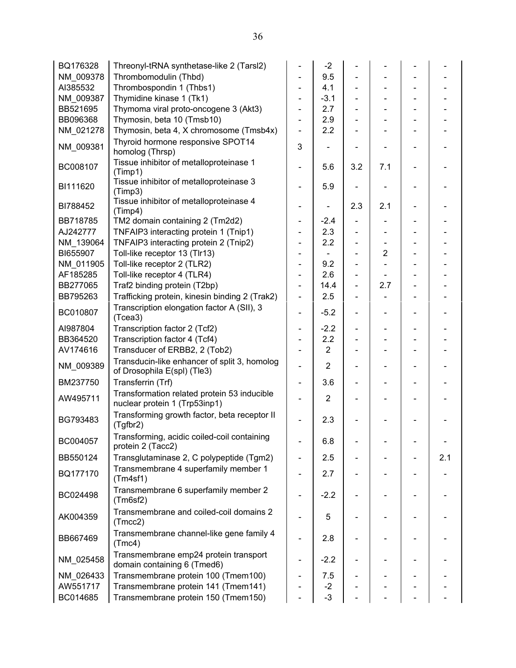| BQ176328  | Threonyl-tRNA synthetase-like 2 (Tarsl2)                                    |                              | $-2$           |                              |                |                          |     |
|-----------|-----------------------------------------------------------------------------|------------------------------|----------------|------------------------------|----------------|--------------------------|-----|
| NM 009378 | Thrombomodulin (Thbd)                                                       |                              | 9.5            |                              |                |                          |     |
| AI385532  | Thrombospondin 1 (Thbs1)                                                    | $\blacksquare$               | 4.1            |                              |                |                          |     |
| NM 009387 | Thymidine kinase 1 (Tk1)                                                    | $\overline{\phantom{a}}$     | $-3.1$         |                              |                |                          |     |
| BB521695  | Thymoma viral proto-oncogene 3 (Akt3)                                       |                              | 2.7            |                              |                |                          |     |
| BB096368  | Thymosin, beta 10 (Tmsb10)                                                  | $\blacksquare$               | 2.9            |                              |                |                          |     |
| NM_021278 | Thymosin, beta 4, X chromosome (Tmsb4x)                                     | $\blacksquare$               | 2.2            |                              |                |                          |     |
| NM_009381 | Thyroid hormone responsive SPOT14                                           | 3                            |                |                              |                |                          |     |
|           | homolog (Thrsp)                                                             |                              |                |                              |                |                          |     |
| BC008107  | Tissue inhibitor of metalloproteinase 1<br>(Timp1)                          | $\overline{\phantom{a}}$     | 5.6            | 3.2                          | 7.1            |                          |     |
| BI111620  | Tissue inhibitor of metalloproteinase 3<br>(Timp3)                          |                              | 5.9            |                              |                |                          |     |
| BI788452  | Tissue inhibitor of metalloproteinase 4<br>(Timp4)                          |                              |                | 2.3                          | 2.1            |                          |     |
| BB718785  | TM2 domain containing 2 (Tm2d2)                                             | $\qquad \qquad \blacksquare$ | $-2.4$         |                              |                |                          |     |
| AJ242777  | TNFAIP3 interacting protein 1 (Tnip1)                                       | $\overline{\phantom{a}}$     | 2.3            |                              |                |                          |     |
| NM 139064 | TNFAIP3 interacting protein 2 (Tnip2)                                       | $\qquad \qquad \blacksquare$ | 2.2            | $\overline{\phantom{0}}$     |                |                          |     |
| BI655907  | Toll-like receptor 13 (Tlr13)                                               | $\qquad \qquad \blacksquare$ |                |                              | $\overline{2}$ |                          |     |
| NM_011905 | Toll-like receptor 2 (TLR2)                                                 | $\blacksquare$               | 9.2            |                              |                |                          |     |
| AF185285  | Toll-like receptor 4 (TLR4)                                                 | $\overline{\phantom{a}}$     | 2.6            |                              |                |                          |     |
| BB277065  | Traf2 binding protein (T2bp)                                                | $\overline{\phantom{a}}$     | 14.4           | $\overline{\phantom{0}}$     | 2.7            |                          |     |
| BB795263  | Trafficking protein, kinesin binding 2 (Trak2)                              | $\blacksquare$               | 2.5            |                              |                |                          |     |
|           | Transcription elongation factor A (SII), 3                                  |                              |                |                              |                |                          |     |
| BC010807  | (Tcea3)                                                                     | $\blacksquare$               | $-5.2$         |                              |                |                          |     |
| AI987804  | Transcription factor 2 (Tcf2)                                               | $\overline{\phantom{a}}$     | $-2.2$         | $\qquad \qquad \blacksquare$ |                |                          |     |
| BB364520  | Transcription factor 4 (Tcf4)                                               | $\qquad \qquad \blacksquare$ | 2.2            |                              |                |                          |     |
| AV174616  | Transducer of ERBB2, 2 (Tob2)                                               |                              | $\overline{2}$ |                              |                |                          |     |
| NM_009389 | Transducin-like enhancer of split 3, homolog<br>of Drosophila E(spl) (Tle3) | $\blacksquare$               | $\overline{2}$ |                              |                | $\overline{\phantom{0}}$ |     |
| BM237750  | Transferrin (Trf)                                                           | $\blacksquare$               | 3.6            |                              |                |                          |     |
|           | Transformation related protein 53 inducible                                 |                              |                |                              |                |                          |     |
| AW495711  | nuclear protein 1 (Trp53inp1)                                               | $\blacksquare$               | $\overline{2}$ |                              |                |                          |     |
| BG793483  | Transforming growth factor, beta receptor II<br>(Tgfbr2)                    |                              | 2.3            |                              |                |                          |     |
| BC004057  | Transforming, acidic coiled-coil containing<br>protein 2 (Tacc2)            |                              | 6.8            |                              |                |                          |     |
| BB550124  | Transglutaminase 2, C polypeptide (Tgm2)                                    | $\overline{\phantom{a}}$     | 2.5            |                              |                |                          | 2.1 |
| BQ177170  | Transmembrane 4 superfamily member 1<br>(Tm4sf1)                            |                              | 2.7            |                              |                |                          |     |
| BC024498  | Transmembrane 6 superfamily member 2<br>(Tm6sf2)                            |                              | $-2.2$         |                              |                |                          |     |
| AK004359  | Transmembrane and coiled-coil domains 2<br>(Tmcc2)                          |                              | 5              |                              |                |                          |     |
| BB667469  | Transmembrane channel-like gene family 4<br>(Tmc4)                          |                              | 2.8            |                              |                |                          |     |
| NM 025458 | Transmembrane emp24 protein transport<br>domain containing 6 (Tmed6)        |                              | $-2.2$         |                              |                |                          |     |
| NM 026433 | Transmembrane protein 100 (Tmem100)                                         |                              | 7.5            |                              |                |                          |     |
| AW551717  | Transmembrane protein 141 (Tmem141)                                         |                              | $-2$           |                              |                |                          |     |
| BC014685  | Transmembrane protein 150 (Tmem150)                                         |                              | $-3$           |                              |                |                          |     |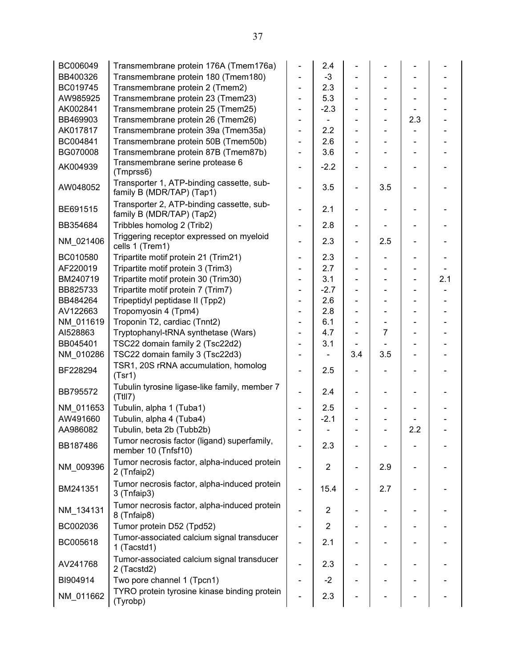| BC006049  | Transmembrane protein 176A (Tmem176a)                                  |                          | 2.4            |                          |                              |     |     |
|-----------|------------------------------------------------------------------------|--------------------------|----------------|--------------------------|------------------------------|-----|-----|
| BB400326  | Transmembrane protein 180 (Tmem180)                                    |                          | $-3$           |                          |                              |     |     |
| BC019745  | Transmembrane protein 2 (Tmem2)                                        |                          | 2.3            |                          |                              |     |     |
| AW985925  | Transmembrane protein 23 (Tmem23)                                      |                          | 5.3            |                          |                              |     |     |
| AK002841  | Transmembrane protein 25 (Tmem25)                                      | -                        | $-2.3$         |                          | $\qquad \qquad \blacksquare$ |     |     |
| BB469903  | Transmembrane protein 26 (Tmem26)                                      |                          |                |                          | $\overline{\phantom{0}}$     | 2.3 |     |
| AK017817  | Transmembrane protein 39a (Tmem35a)                                    |                          | 2.2            |                          |                              |     |     |
| BC004841  | Transmembrane protein 50B (Tmem50b)                                    | -                        | 2.6            |                          |                              |     |     |
| BG070008  | Transmembrane protein 87B (Tmem87b)                                    |                          | 3.6            |                          |                              |     |     |
| AK004939  | Transmembrane serine protease 6<br>(Tmprss6)                           |                          | $-2.2$         |                          |                              |     |     |
| AW048052  | Transporter 1, ATP-binding cassette, sub-<br>family B (MDR/TAP) (Tap1) |                          | 3.5            | $\overline{\phantom{a}}$ | 3.5                          |     |     |
| BE691515  | Transporter 2, ATP-binding cassette, sub-<br>family B (MDR/TAP) (Tap2) |                          | 2.1            | $\overline{\phantom{0}}$ |                              |     |     |
| BB354684  | Tribbles homolog 2 (Trib2)                                             | -                        | 2.8            |                          |                              |     |     |
| NM 021406 | Triggering receptor expressed on myeloid<br>cells 1 (Trem1)            |                          | 2.3            | $\overline{\phantom{0}}$ | 2.5                          |     |     |
| BC010580  | Tripartite motif protein 21 (Trim21)                                   | -                        | 2.3            |                          |                              |     |     |
| AF220019  | Tripartite motif protein 3 (Trim3)                                     |                          | 2.7            |                          |                              |     |     |
| BM240719  | Tripartite motif protein 30 (Trim30)                                   |                          | 3.1            |                          |                              |     | 2.1 |
| BB825733  | Tripartite motif protein 7 (Trim7)                                     |                          | $-2.7$         |                          |                              |     |     |
| BB484264  | Tripeptidyl peptidase II (Tpp2)                                        |                          | 2.6            |                          |                              |     |     |
| AV122663  | Tropomyosin 4 (Tpm4)                                                   |                          | 2.8            |                          |                              |     |     |
| NM_011619 | Troponin T2, cardiac (Tnnt2)                                           |                          | 6.1            |                          | -                            |     |     |
| AI528863  | Tryptophanyl-tRNA synthetase (Wars)                                    | -                        | 4.7            |                          | 7                            |     |     |
| BB045401  | TSC22 domain family 2 (Tsc22d2)                                        |                          | 3.1            |                          |                              |     |     |
| NM_010286 | TSC22 domain family 3 (Tsc22d3)                                        |                          |                | 3.4                      | 3.5                          |     |     |
| BF228294  | TSR1, 20S rRNA accumulation, homolog<br>(Tsr1)                         |                          | 2.5            |                          |                              |     |     |
| BB795572  | Tubulin tyrosine ligase-like family, member 7<br>(TtII7)               |                          | 2.4            |                          |                              |     |     |
| NM 011653 | Tubulin, alpha 1 (Tuba1)                                               |                          | 2.5            |                          |                              |     |     |
| AW491660  | Tubulin, alpha 4 (Tuba4)                                               |                          | $-2.1$         |                          |                              |     |     |
| AA986082  | Tubulin, beta 2b (Tubb2b)                                              |                          |                |                          |                              | 2.2 |     |
| BB187486  | Tumor necrosis factor (ligand) superfamily,<br>member 10 (Tnfsf10)     |                          | 2.3            |                          |                              |     |     |
| NM_009396 | Tumor necrosis factor, alpha-induced protein<br>2 (Tnfaip2)            |                          | $\overline{2}$ | -                        | 2.9                          |     |     |
| BM241351  | Tumor necrosis factor, alpha-induced protein<br>3 (Tnfaip3)            | $\overline{\phantom{0}}$ | 15.4           | -                        | 2.7                          |     |     |
| NM_134131 | Tumor necrosis factor, alpha-induced protein<br>8 (Tnfaip8)            |                          | $\overline{2}$ |                          |                              |     |     |
| BC002036  | Tumor protein D52 (Tpd52)                                              |                          | $\overline{2}$ |                          |                              |     |     |
| BC005618  | Tumor-associated calcium signal transducer<br>1 (Tacstd1)              |                          | 2.1            |                          |                              |     |     |
| AV241768  | Tumor-associated calcium signal transducer<br>2 (Tacstd2)              |                          | 2.3            |                          |                              |     |     |
| BI904914  | Two pore channel 1 (Tpcn1)                                             |                          | $-2$           |                          |                              |     |     |
| NM_011662 | TYRO protein tyrosine kinase binding protein<br>(Tyrobp)               |                          | 2.3            |                          |                              |     |     |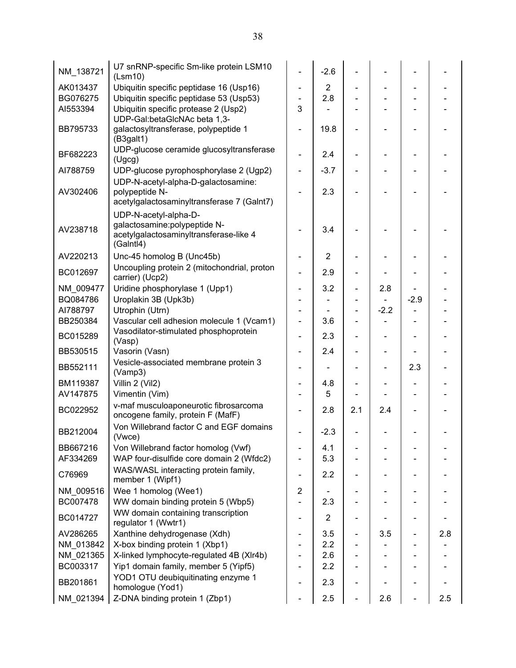| NM_138721 | U7 snRNP-specific Sm-like protein LSM10<br>(Lsm10)                                                            |                              | $-2.6$         |                          |        |                          |     |
|-----------|---------------------------------------------------------------------------------------------------------------|------------------------------|----------------|--------------------------|--------|--------------------------|-----|
| AK013437  | Ubiquitin specific peptidase 16 (Usp16)                                                                       |                              | $\overline{2}$ |                          |        |                          |     |
| BG076275  | Ubiquitin specific peptidase 53 (Usp53)                                                                       |                              | 2.8            |                          |        |                          |     |
| AI553394  | Ubiquitin specific protease 2 (Usp2)                                                                          | 3                            |                |                          |        |                          |     |
| BB795733  | UDP-Gal:betaGlcNAc beta 1,3-<br>galactosyltransferase, polypeptide 1<br>(B3galt1)                             |                              | 19.8           |                          |        |                          |     |
| BF682223  | UDP-glucose ceramide glucosyltransferase<br>(Ugcg)                                                            |                              | 2.4            |                          |        |                          |     |
| AI788759  | UDP-glucose pyrophosphorylase 2 (Ugp2)                                                                        |                              | $-3.7$         |                          |        | $\overline{\phantom{a}}$ |     |
| AV302406  | UDP-N-acetyl-alpha-D-galactosamine:<br>polypeptide N-<br>acetylgalactosaminyltransferase 7 (Galnt7)           |                              | 2.3            |                          |        |                          |     |
| AV238718  | UDP-N-acetyl-alpha-D-<br>galactosamine: polypeptide N-<br>acetylgalactosaminyltransferase-like 4<br>(Galntl4) |                              | 3.4            |                          |        |                          |     |
| AV220213  | Unc-45 homolog B (Unc45b)                                                                                     |                              | $\overline{2}$ |                          |        |                          |     |
| BC012697  | Uncoupling protein 2 (mitochondrial, proton<br>carrier) (Ucp2)                                                |                              | 2.9            |                          |        |                          |     |
| NM 009477 | Uridine phosphorylase 1 (Upp1)                                                                                |                              | 3.2            | $\overline{a}$           | 2.8    |                          |     |
| BQ084786  | Uroplakin 3B (Upk3b)                                                                                          |                              |                |                          |        | $-2.9$                   |     |
| AI788797  | Utrophin (Utrn)                                                                                               |                              |                |                          | $-2.2$ |                          |     |
| BB250384  | Vascular cell adhesion molecule 1 (Vcam1)                                                                     |                              | 3.6            |                          |        |                          |     |
| BC015289  | Vasodilator-stimulated phosphoprotein<br>(Vasp)                                                               | ÷,                           | 2.3            |                          |        |                          |     |
| BB530515  | Vasorin (Vasn)                                                                                                |                              | 2.4            |                          |        |                          |     |
| BB552111  | Vesicle-associated membrane protein 3<br>(Vamp3)                                                              |                              |                |                          |        | 2.3                      |     |
| BM119387  | Villin 2 (Vil2)                                                                                               |                              | 4.8            |                          |        |                          |     |
| AV147875  | Vimentin (Vim)                                                                                                |                              | 5              |                          |        |                          |     |
| BC022952  | v-maf musculoaponeurotic fibrosarcoma<br>oncogene family, protein F (MafF)                                    |                              | 2.8            | 2.1                      | 2.4    |                          |     |
| BB212004  | Von Willebrand factor C and EGF domains<br>(Vwce)                                                             |                              | $-2.3$         |                          |        |                          |     |
| BB667216  | Von Willebrand factor homolog (Vwf)                                                                           |                              | 4.1            |                          |        |                          |     |
| AF334269  | WAP four-disulfide core domain 2 (Wfdc2)                                                                      | $\qquad \qquad \blacksquare$ | 5.3            |                          |        |                          |     |
| C76969    | WAS/WASL interacting protein family,<br>member 1 (Wipf1)                                                      | $\qquad \qquad \blacksquare$ | 2.2            |                          |        |                          |     |
| NM 009516 | Wee 1 homolog (Wee1)                                                                                          | $\overline{2}$               |                |                          |        |                          |     |
| BC007478  | WW domain binding protein 5 (Wbp5)                                                                            |                              | 2.3            |                          |        |                          |     |
| BC014727  | WW domain containing transcription<br>regulator 1 (Wwtr1)                                                     |                              | $\overline{2}$ |                          |        |                          |     |
| AV286265  | Xanthine dehydrogenase (Xdh)                                                                                  | -                            | 3.5            | $\overline{\phantom{0}}$ | 3.5    | $\overline{\phantom{a}}$ | 2.8 |
| NM_013842 | X-box binding protein 1 (Xbp1)                                                                                |                              | 2.2            |                          |        |                          |     |
| NM_021365 | X-linked lymphocyte-regulated 4B (XIr4b)                                                                      |                              | 2.6            |                          |        |                          |     |
| BC003317  | Yip1 domain family, member 5 (Yipf5)                                                                          |                              | 2.2            |                          |        |                          |     |
| BB201861  | YOD1 OTU deubiquitinating enzyme 1<br>homologue (Yod1)                                                        |                              | 2.3            |                          |        |                          |     |
| NM_021394 | Z-DNA binding protein 1 (Zbp1)                                                                                |                              | 2.5            |                          | 2.6    |                          | 2.5 |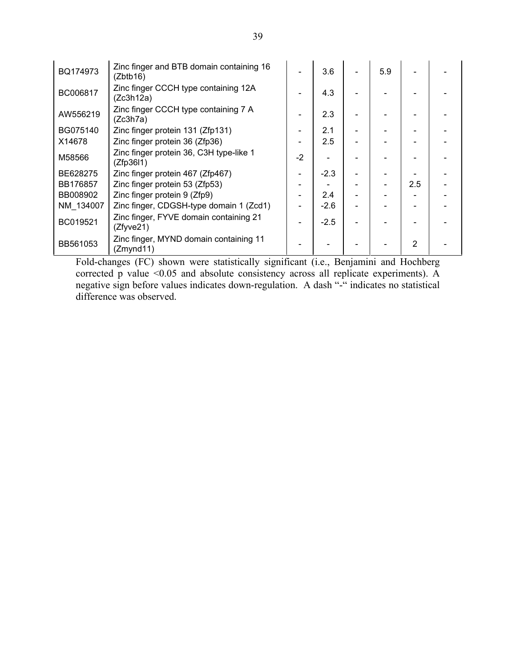| BQ174973  | Zinc finger and BTB domain containing 16<br>(Zbtb16) |      | 3.6    | 5.9 |     |  |
|-----------|------------------------------------------------------|------|--------|-----|-----|--|
| BC006817  | Zinc finger CCCH type containing 12A<br>(Zc3h12a)    |      | 4.3    |     |     |  |
| AW556219  | Zinc finger CCCH type containing 7 A<br>(Zc3h7a)     |      | 2.3    |     |     |  |
| BG075140  | Zinc finger protein 131 (Zfp131)                     |      | 2.1    |     |     |  |
| X14678    | Zinc finger protein 36 (Zfp36)                       |      | 2.5    |     |     |  |
| M58566    | Zinc finger protein 36, C3H type-like 1<br>(Zfp3611) | $-2$ |        |     |     |  |
| BE628275  | Zinc finger protein 467 (Zfp467)                     |      | $-2.3$ |     |     |  |
| BB176857  | Zinc finger protein 53 (Zfp53)                       |      |        |     | 2.5 |  |
| BB008902  | Zinc finger protein 9 (Zfp9)                         |      | 2.4    |     |     |  |
| NM 134007 | Zinc finger, CDGSH-type domain 1 (Zcd1)              |      | $-2.6$ |     |     |  |
| BC019521  | Zinc finger, FYVE domain containing 21<br>(Zfyve21)  |      | $-2.5$ |     |     |  |
| BB561053  | Zinc finger, MYND domain containing 11<br>(Zmynd11)  |      |        |     | 2   |  |

Fold-changes (FC) shown were statistically significant (i.e., Benjamini and Hochberg corrected p value <0.05 and absolute consistency across all replicate experiments). A negative sign before values indicates down-regulation. A dash "-" indicates no statistical difference was observed.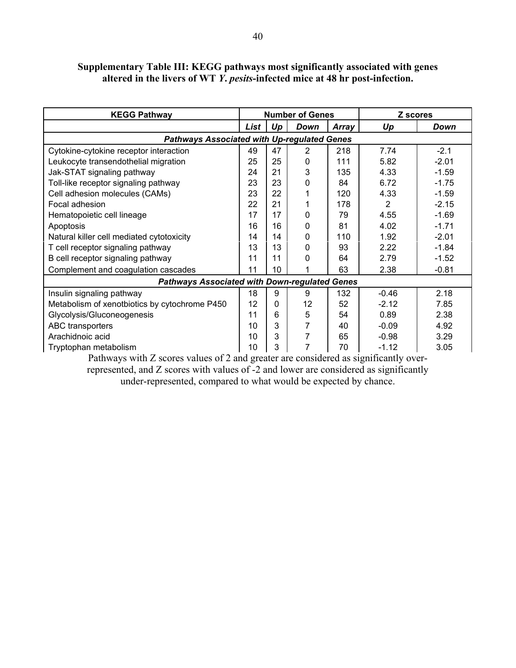## Supplementary Table III: KEGG pathways most significantly associated with genes altered in the livers of WT Y. pesits-infected mice at 48 hr post-infection.

| <b>KEGG Pathway</b>                                                                  |      |             | <b>Number of Genes</b> |       | Z scores |             |
|--------------------------------------------------------------------------------------|------|-------------|------------------------|-------|----------|-------------|
|                                                                                      | List | Up          | <b>Down</b>            | Array | Up       | <b>Down</b> |
| <b>Pathways Associated with Up-regulated Genes</b>                                   |      |             |                        |       |          |             |
| Cytokine-cytokine receptor interaction                                               | 49   | 47          | $\overline{2}$         | 218   | 7.74     | $-2.1$      |
| Leukocyte transendothelial migration                                                 | 25   | 25          | 0                      | 111   | 5.82     | $-2.01$     |
| Jak-STAT signaling pathway                                                           | 24   | 21          | 3                      | 135   | 4.33     | $-1.59$     |
| Toll-like receptor signaling pathway                                                 | 23   | 23          | 0                      | 84    | 6.72     | $-1.75$     |
| Cell adhesion molecules (CAMs)                                                       | 23   | 22          |                        | 120   | 4.33     | $-1.59$     |
| Focal adhesion                                                                       | 22   | 21          |                        | 178   | 2        | $-2.15$     |
| Hematopoietic cell lineage                                                           | 17   | 17          | 0                      | 79    | 4.55     | $-1.69$     |
| Apoptosis                                                                            | 16   | 16          | 0                      | 81    | 4.02     | $-1.71$     |
| Natural killer cell mediated cytotoxicity                                            | 14   | 14          | 0                      | 110   | 1.92     | $-2.01$     |
| T cell receptor signaling pathway                                                    | 13   | 13          | $\Omega$               | 93    | 2.22     | $-1.84$     |
| B cell receptor signaling pathway                                                    | 11   | 11          | 0                      | 64    | 2.79     | $-1.52$     |
| Complement and coagulation cascades                                                  | 11   | 10          |                        | 63    | 2.38     | $-0.81$     |
| <b>Pathways Associated with Down-regulated Genes</b>                                 |      |             |                        |       |          |             |
| Insulin signaling pathway                                                            | 18   | 9           | 9                      | 132   | $-0.46$  | 2.18        |
| Metabolism of xenotbiotics by cytochrome P450                                        | 12   | $\mathbf 0$ | 12                     | 52    | $-2.12$  | 7.85        |
| Glycolysis/Gluconeogenesis                                                           | 11   | 6           | 5                      | 54    | 0.89     | 2.38        |
| ABC transporters                                                                     | 10   | 3           | 7                      | 40    | $-0.09$  | 4.92        |
| Arachidnoic acid                                                                     | 10   | 3           | 7                      | 65    | $-0.98$  | 3.29        |
| Tryptophan metabolism                                                                | 10   | 3           | 7                      | 70    | $-1.12$  | 3.05        |
| Dethypera with Z coores volves of 2 and greater are considered as significantly over |      |             |                        |       |          |             |

Pathways with Z scores values of 2 and greater are considered as significantly overrepresented, and Z scores with values of -2 and lower are considered as significantly under-represented, compared to what would be expected by chance.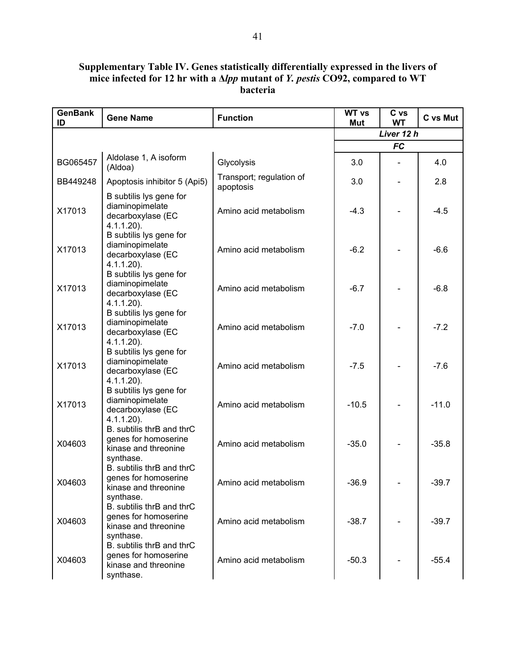#### Supplementary Table IV. Genes statistically differentially expressed in the livers of mice infected for 12 hr with a ∆lpp mutant of *Y. pestis* CO92, compared to WT bacteria

| <b>GenBank</b><br>ID | <b>Gene Name</b>                                                                       | <b>Function</b>                       | <b>WT vs</b><br>Mut | C vs<br><b>WT</b> | C vs Mut |
|----------------------|----------------------------------------------------------------------------------------|---------------------------------------|---------------------|-------------------|----------|
|                      |                                                                                        |                                       |                     | Liver 12 h        |          |
|                      |                                                                                        |                                       |                     | <b>FC</b>         |          |
| BG065457             | Aldolase 1, A isoform<br>(Aldoa)                                                       | Glycolysis                            | 3.0                 |                   | 4.0      |
| BB449248             | Apoptosis inhibitor 5 (Api5)                                                           | Transport; regulation of<br>apoptosis | 3.0                 |                   | 2.8      |
| X17013               | B subtilis lys gene for<br>diaminopimelate<br>decarboxylase (EC<br>$4.1.1.20$ ).       | Amino acid metabolism                 | $-4.3$              |                   | $-4.5$   |
| X17013               | B subtilis lys gene for<br>diaminopimelate<br>decarboxylase (EC<br>$4.1.1.20$ ).       | Amino acid metabolism                 | $-6.2$              |                   | $-6.6$   |
| X17013               | B subtilis lys gene for<br>diaminopimelate<br>decarboxylase (EC<br>$4.1.1.20$ ).       | Amino acid metabolism                 | $-6.7$              |                   | $-6.8$   |
| X17013               | B subtilis lys gene for<br>diaminopimelate<br>decarboxylase (EC<br>$4.1.1.20$ ).       | Amino acid metabolism                 | $-7.0$              |                   | $-7.2$   |
| X17013               | B subtilis lys gene for<br>diaminopimelate<br>decarboxylase (EC<br>$4.1.1.20$ ).       | Amino acid metabolism                 | $-7.5$              |                   | $-7.6$   |
| X17013               | B subtilis lys gene for<br>diaminopimelate<br>decarboxylase (EC<br>$4.1.1.20$ ).       | Amino acid metabolism                 | $-10.5$             |                   | $-11.0$  |
| X04603               | B. subtilis thrB and thrC<br>genes for homoserine<br>kinase and threonine<br>synthase. | Amino acid metabolism                 | $-35.0$             |                   | $-35.8$  |
| X04603               | B. subtilis thrB and thrC<br>genes for homoserine<br>kinase and threonine<br>synthase. | Amino acid metabolism                 | $-36.9$             |                   | $-39.7$  |
| X04603               | B. subtilis thrB and thrC<br>genes for homoserine<br>kinase and threonine<br>synthase. | Amino acid metabolism                 | $-38.7$             |                   | $-39.7$  |
| X04603               | B. subtilis thrB and thrC<br>genes for homoserine<br>kinase and threonine<br>synthase. | Amino acid metabolism                 | $-50.3$             |                   | $-55.4$  |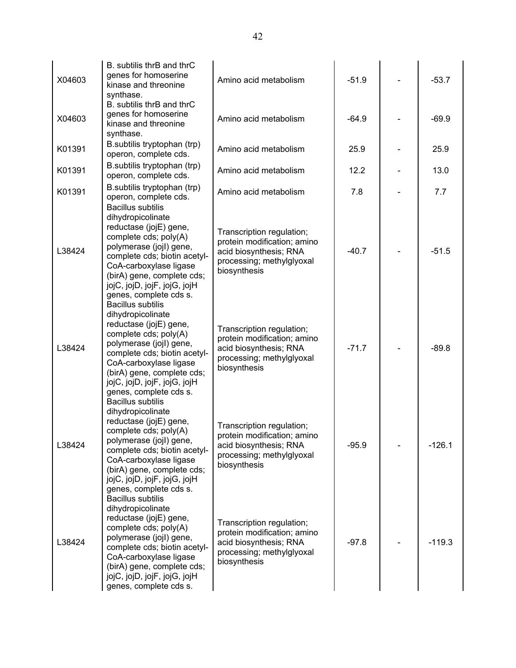| X04603 | B. subtilis thrB and thrC<br>genes for homoserine<br>kinase and threonine<br>synthase.<br>B. subtilis thrB and thrC                                                                                                                                                                                       | Amino acid metabolism                                                                                                           | $-51.9$ | $-53.7$  |
|--------|-----------------------------------------------------------------------------------------------------------------------------------------------------------------------------------------------------------------------------------------------------------------------------------------------------------|---------------------------------------------------------------------------------------------------------------------------------|---------|----------|
| X04603 | genes for homoserine<br>kinase and threonine<br>synthase.                                                                                                                                                                                                                                                 | Amino acid metabolism                                                                                                           | $-64.9$ | $-69.9$  |
| K01391 | B.subtilis tryptophan (trp)<br>operon, complete cds.                                                                                                                                                                                                                                                      | Amino acid metabolism                                                                                                           | 25.9    | 25.9     |
| K01391 | B.subtilis tryptophan (trp)<br>operon, complete cds.                                                                                                                                                                                                                                                      | Amino acid metabolism                                                                                                           | 12.2    | 13.0     |
| K01391 | B.subtilis tryptophan (trp)<br>operon, complete cds.                                                                                                                                                                                                                                                      | Amino acid metabolism                                                                                                           | 7.8     | 7.7      |
| L38424 | <b>Bacillus subtilis</b><br>dihydropicolinate<br>reductase (jojE) gene,<br>complete cds; poly(A)<br>polymerase (jojl) gene,<br>complete cds; biotin acetyl-<br>CoA-carboxylase ligase<br>(birA) gene, complete cds;<br>jojC, jojD, jojF, jojG, jojH<br>genes, complete cds s.<br><b>Bacillus subtilis</b> | Transcription regulation;<br>protein modification; amino<br>acid biosynthesis; RNA<br>processing; methylglyoxal<br>biosynthesis | $-40.7$ | $-51.5$  |
| L38424 | dihydropicolinate<br>reductase (jojE) gene,<br>complete cds; poly(A)<br>polymerase (jojl) gene,<br>complete cds; biotin acetyl-<br>CoA-carboxylase ligase<br>(birA) gene, complete cds;<br>jojC, jojD, jojF, jojG, jojH<br>genes, complete cds s.<br><b>Bacillus subtilis</b>                             | Transcription regulation;<br>protein modification; amino<br>acid biosynthesis; RNA<br>processing; methylglyoxal<br>biosynthesis | $-71.7$ | $-89.8$  |
| L38424 | dihydropicolinate<br>reductase (jojE) gene,<br>complete cds; poly(A)<br>polymerase (jojl) gene,<br>complete cds; biotin acetyl-<br>CoA-carboxylase ligase<br>(birA) gene, complete cds;<br>jojC, jojD, jojF, jojG, jojH<br>genes, complete cds s.                                                         | Transcription regulation;<br>protein modification; amino<br>acid biosynthesis; RNA<br>processing; methylglyoxal<br>biosynthesis | $-95.9$ | $-126.1$ |
| L38424 | <b>Bacillus subtilis</b><br>dihydropicolinate<br>reductase (jojE) gene,<br>complete cds; poly(A)<br>polymerase (jojl) gene,<br>complete cds; biotin acetyl-<br>CoA-carboxylase ligase<br>(birA) gene, complete cds;<br>jojC, jojD, jojF, jojG, jojH<br>genes, complete cds s.                             | Transcription regulation;<br>protein modification; amino<br>acid biosynthesis; RNA<br>processing; methylglyoxal<br>biosynthesis | $-97.8$ | $-119.3$ |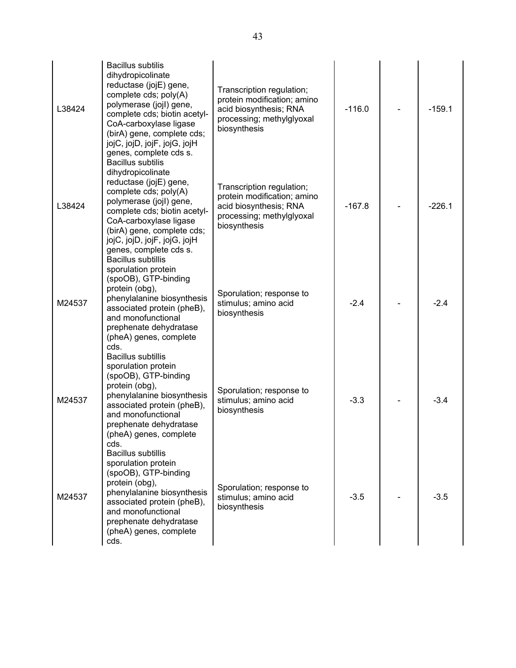| L38424 | <b>Bacillus subtilis</b><br>dihydropicolinate<br>reductase (jojE) gene,<br>complete cds; poly(A)<br>polymerase (jojl) gene,<br>complete cds; biotin acetyl-<br>CoA-carboxylase ligase<br>(birA) gene, complete cds;<br>jojC, jojD, jojF, jojG, jojH<br>genes, complete cds s. | Transcription regulation;<br>protein modification; amino<br>acid biosynthesis; RNA<br>processing; methylglyoxal<br>biosynthesis | $-116.0$ | $-159.1$ |
|--------|-------------------------------------------------------------------------------------------------------------------------------------------------------------------------------------------------------------------------------------------------------------------------------|---------------------------------------------------------------------------------------------------------------------------------|----------|----------|
| L38424 | <b>Bacillus subtilis</b><br>dihydropicolinate<br>reductase (jojE) gene,<br>complete cds; poly(A)<br>polymerase (jojl) gene,<br>complete cds; biotin acetyl-<br>CoA-carboxylase ligase<br>(birA) gene, complete cds;<br>jojC, jojD, jojF, jojG, jojH<br>genes, complete cds s. | Transcription regulation;<br>protein modification; amino<br>acid biosynthesis; RNA<br>processing; methylglyoxal<br>biosynthesis | $-167.8$ | $-226.1$ |
| M24537 | <b>Bacillus subtillis</b><br>sporulation protein<br>(spoOB), GTP-binding<br>protein (obg),<br>phenylalanine biosynthesis<br>associated protein (pheB),<br>and monofunctional<br>prephenate dehydratase<br>(pheA) genes, complete<br>cds.                                      | Sporulation; response to<br>stimulus; amino acid<br>biosynthesis                                                                | $-2.4$   | $-2.4$   |
| M24537 | <b>Bacillus subtillis</b><br>sporulation protein<br>(spoOB), GTP-binding<br>protein (obg),<br>phenylalanine biosynthesis<br>associated protein (pheB),<br>and monofunctional<br>prephenate dehydratase<br>(pheA) genes, complete<br>cds.                                      | Sporulation; response to<br>stimulus; amino acid<br>biosynthesis                                                                | $-3.3$   | $-3.4$   |
| M24537 | <b>Bacillus subtillis</b><br>sporulation protein<br>(spoOB), GTP-binding<br>protein (obg),<br>phenylalanine biosynthesis<br>associated protein (pheB),<br>and monofunctional<br>prephenate dehydratase<br>(pheA) genes, complete<br>cds.                                      | Sporulation; response to<br>stimulus; amino acid<br>biosynthesis                                                                | $-3.5$   | $-3.5$   |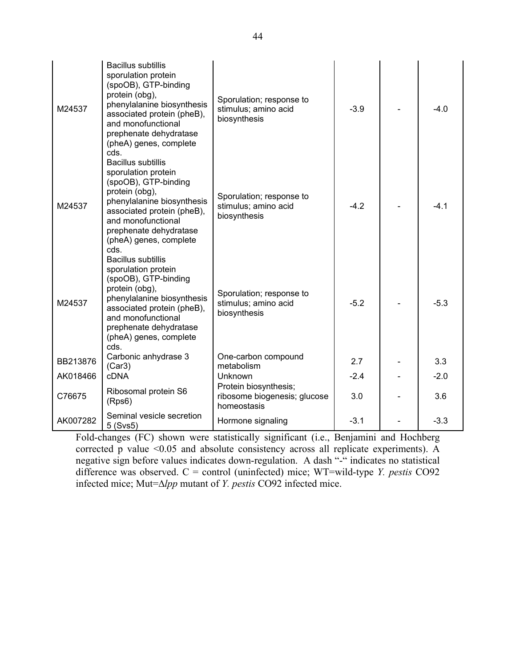| M24537   | <b>Bacillus subtillis</b><br>sporulation protein<br>(spoOB), GTP-binding<br>protein (obg),<br>phenylalanine biosynthesis<br>associated protein (pheB),<br>and monofunctional<br>prephenate dehydratase<br>(pheA) genes, complete<br>cds. | Sporulation; response to<br>stimulus; amino acid<br>biosynthesis     | $-3.9$ | $-4.0$ |
|----------|------------------------------------------------------------------------------------------------------------------------------------------------------------------------------------------------------------------------------------------|----------------------------------------------------------------------|--------|--------|
| M24537   | <b>Bacillus subtillis</b><br>sporulation protein<br>(spoOB), GTP-binding<br>protein (obg),<br>phenylalanine biosynthesis<br>associated protein (pheB),<br>and monofunctional<br>prephenate dehydratase<br>(pheA) genes, complete<br>cds. | Sporulation; response to<br>stimulus; amino acid<br>biosynthesis     | $-4.2$ | $-4.1$ |
| M24537   | <b>Bacillus subtillis</b><br>sporulation protein<br>(spoOB), GTP-binding<br>protein (obg),<br>phenylalanine biosynthesis<br>associated protein (pheB),<br>and monofunctional<br>prephenate dehydratase<br>(pheA) genes, complete<br>cds. | Sporulation; response to<br>stimulus; amino acid<br>biosynthesis     | $-5.2$ | $-5.3$ |
| BB213876 | Carbonic anhydrase 3<br>(Car3)                                                                                                                                                                                                           | One-carbon compound<br>metabolism                                    | 2.7    | 3.3    |
| AK018466 | <b>cDNA</b>                                                                                                                                                                                                                              | Unknown                                                              | $-2.4$ | $-2.0$ |
| C76675   | Ribosomal protein S6<br>(Rps6)                                                                                                                                                                                                           | Protein biosynthesis;<br>ribosome biogenesis; glucose<br>homeostasis | 3.0    | 3.6    |
| AK007282 | Seminal vesicle secretion<br>5 (Svs5)                                                                                                                                                                                                    | Hormone signaling                                                    | $-3.1$ | $-3.3$ |

Fold-changes (FC) shown were statistically significant (i.e., Benjamini and Hochberg corrected p value <0.05 and absolute consistency across all replicate experiments). A negative sign before values indicates down-regulation. A dash "-" indicates no statistical difference was observed.  $C =$  control (uninfected) mice; WT=wild-type *Y. pestis* CO92 infected mice; Mut=∆lpp mutant of Y. pestis CO92 infected mice.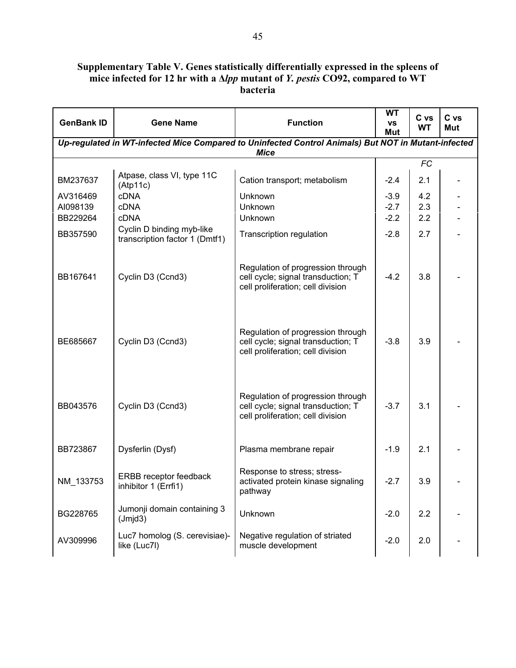# Supplementary Table V. Genes statistically differentially expressed in the spleens of mice infected for 12 hr with a ∆lpp mutant of *Y. pestis* CO92, compared to WT bacteria

| <b>GenBank ID</b> | <b>Gene Name</b>                                            | <b>Function</b>                                                                                                    | WT<br>VS<br>Mut | C vs<br><b>WT</b> | C vs<br>Mut |
|-------------------|-------------------------------------------------------------|--------------------------------------------------------------------------------------------------------------------|-----------------|-------------------|-------------|
|                   |                                                             | Up-regulated in WT-infected Mice Compared to Uninfected Control Animals) But NOT in Mutant-infected<br><b>Mice</b> |                 |                   |             |
|                   |                                                             |                                                                                                                    |                 | <b>FC</b>         |             |
| BM237637          | Atpase, class VI, type 11C<br>(Atp11c)                      | Cation transport; metabolism                                                                                       | $-2.4$          | 2.1               |             |
| AV316469          | <b>cDNA</b>                                                 | Unknown                                                                                                            | $-3.9$          | 4.2               |             |
| AI098139          | <b>cDNA</b>                                                 | Unknown                                                                                                            | $-2.7$          | 2.3               |             |
| BB229264          | <b>cDNA</b>                                                 | Unknown                                                                                                            | $-2.2$          | 2.2               |             |
| BB357590          | Cyclin D binding myb-like<br>transcription factor 1 (Dmtf1) | Transcription regulation                                                                                           | $-2.8$          | 2.7               |             |
| BB167641          | Cyclin D3 (Ccnd3)                                           | Regulation of progression through<br>cell cycle; signal transduction; T<br>cell proliferation; cell division       | $-4.2$          | 3.8               |             |
| BE685667          | Cyclin D3 (Ccnd3)                                           | Regulation of progression through<br>cell cycle; signal transduction; T<br>cell proliferation; cell division       | $-3.8$          | 3.9               |             |
| BB043576          | Cyclin D3 (Ccnd3)                                           | Regulation of progression through<br>cell cycle; signal transduction; T<br>cell proliferation; cell division       | $-3.7$          | 3.1               |             |
| BB723867          | Dysferlin (Dysf)                                            | Plasma membrane repair                                                                                             | $-1.9$          | 2.1               |             |
| NM_133753         | ERBB receptor feedback<br>inhibitor 1 (Errfi1)              | Response to stress; stress-<br>activated protein kinase signaling<br>pathway                                       | $-2.7$          | 3.9               |             |
| BG228765          | Jumonji domain containing 3<br>(Jmjd3)                      | Unknown                                                                                                            | $-2.0$          | 2.2               |             |
| AV309996          | Luc7 homolog (S. cerevisiae)-<br>like (Luc7l)               | Negative regulation of striated<br>muscle development                                                              | $-2.0$          | 2.0               |             |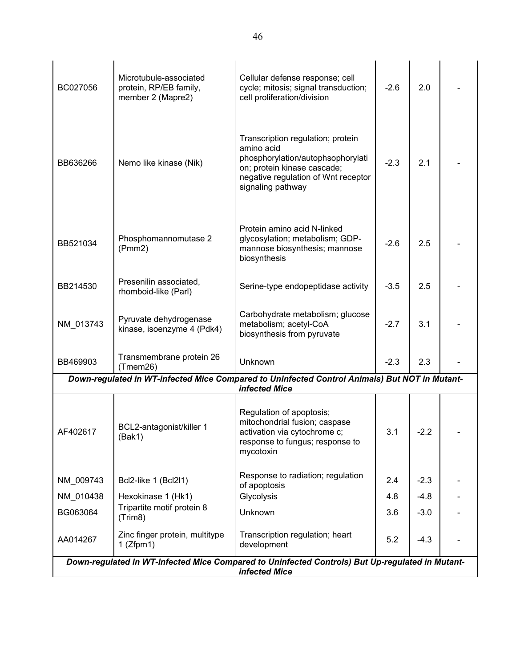| BC027056  | Microtubule-associated<br>protein, RP/EB family,<br>member 2 (Mapre2) | Cellular defense response; cell<br>cycle; mitosis; signal transduction;<br>cell proliferation/division                                                                          | $-2.6$ | 2.0    |  |
|-----------|-----------------------------------------------------------------------|---------------------------------------------------------------------------------------------------------------------------------------------------------------------------------|--------|--------|--|
| BB636266  | Nemo like kinase (Nik)                                                | Transcription regulation; protein<br>amino acid<br>phosphorylation/autophsophorylati<br>on; protein kinase cascade;<br>negative regulation of Wnt receptor<br>signaling pathway | $-2.3$ | 2.1    |  |
| BB521034  | Phosphomannomutase 2<br>(Pmm2)                                        | Protein amino acid N-linked<br>glycosylation; metabolism; GDP-<br>mannose biosynthesis; mannose<br>biosynthesis                                                                 | $-2.6$ | 2.5    |  |
| BB214530  | Presenilin associated,<br>rhomboid-like (Parl)                        | Serine-type endopeptidase activity                                                                                                                                              | $-3.5$ | 2.5    |  |
| NM_013743 | Pyruvate dehydrogenase<br>kinase, isoenzyme 4 (Pdk4)                  | Carbohydrate metabolism; glucose<br>metabolism; acetyl-CoA<br>biosynthesis from pyruvate                                                                                        | $-2.7$ | 3.1    |  |
| BB469903  | Transmembrane protein 26<br>(Tmem26)                                  | Unknown                                                                                                                                                                         | $-2.3$ | 2.3    |  |
|           |                                                                       | Down-regulated in WT-infected Mice Compared to Uninfected Control Animals) But NOT in Mutant-<br>infected Mice                                                                  |        |        |  |
| AF402617  | BCL2-antagonist/killer 1<br>(Bak1)                                    | Regulation of apoptosis;<br>mitochondrial fusion; caspase<br>activation via cytochrome c;<br>response to fungus; response to<br>mycotoxin                                       | 3.1    | $-2.2$ |  |
| NM 009743 | Bcl2-like 1 (Bcl2l1)                                                  | Response to radiation; regulation<br>of apoptosis                                                                                                                               | 2.4    | $-2.3$ |  |
| NM 010438 | Hexokinase 1 (Hk1)                                                    | Glycolysis                                                                                                                                                                      | 4.8    | $-4.8$ |  |
| BG063064  | Tripartite motif protein 8<br>(Trim8)                                 | Unknown                                                                                                                                                                         | 3.6    | $-3.0$ |  |
| AA014267  | Zinc finger protein, multitype<br>$1$ (Zfpm1)                         | Transcription regulation; heart<br>development                                                                                                                                  | 5.2    | $-4.3$ |  |
|           |                                                                       | Down-regulated in WT-infected Mice Compared to Uninfected Controls) But Up-regulated in Mutant-<br>infected Mice                                                                |        |        |  |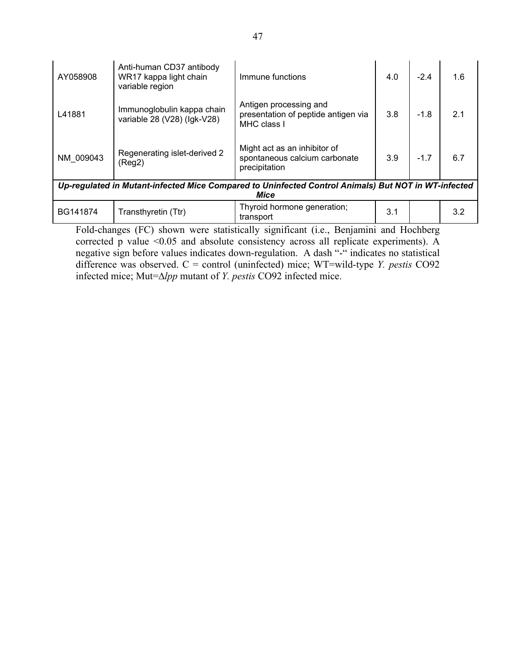| AY058908  | Anti-human CD37 antibody<br>WR17 kappa light chain<br>variable region | Immune functions                                                                                    | 4.0 | $-2.4$ | 1.6 |  |  |
|-----------|-----------------------------------------------------------------------|-----------------------------------------------------------------------------------------------------|-----|--------|-----|--|--|
| L41881    | Immunoglobulin kappa chain<br>variable 28 (V28) (Igk-V28)             | Antigen processing and<br>presentation of peptide antigen via<br>MHC class I                        | 3.8 | $-1.8$ | 2.1 |  |  |
| NM 009043 | Regenerating islet-derived 2<br>(Reg2)                                | Might act as an inhibitor of<br>spontaneous calcium carbonate<br>precipitation                      | 3.9 | $-1.7$ | 6.7 |  |  |
|           |                                                                       | Up-regulated in Mutant-infected Mice Compared to Uninfected Control Animals) But NOT in WT-infected |     |        |     |  |  |
|           | Mice                                                                  |                                                                                                     |     |        |     |  |  |
| BG141874  | Transthyretin (Ttr)                                                   | Thyroid hormone generation;<br>transport                                                            | 3.1 |        | 3.2 |  |  |
|           |                                                                       | Fold-changes (FC) shown were statistically significant (i.e., Benjamini and Hochberg                |     |        |     |  |  |

corrected p value <0.05 and absolute consistency across all replicate experiments). A negative sign before values indicates down-regulation. A dash "-" indicates no statistical difference was observed.  $C =$  control (uninfected) mice; WT=wild-type *Y. pestis* CO92 infected mice; Mut=∆lpp mutant of Y. pestis CO92 infected mice.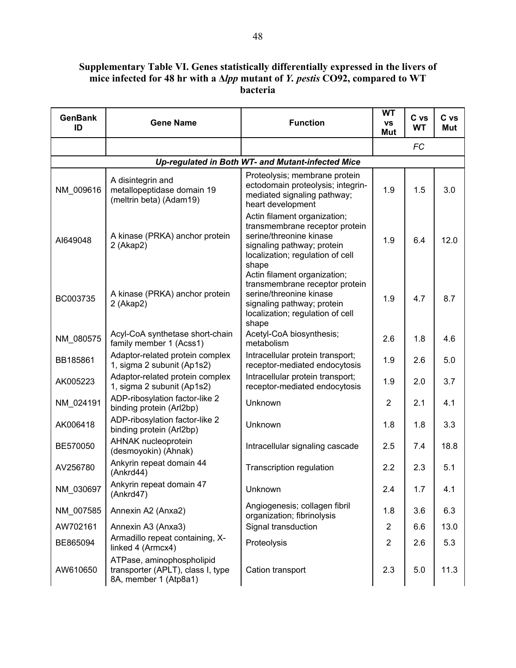### Supplementary Table VI. Genes statistically differentially expressed in the livers of mice infected for 48 hr with a ∆lpp mutant of *Y. pestis* CO92, compared to WT bacteria

| <b>GenBank</b><br>ID | <b>Gene Name</b>                                                                        | <b>Function</b>                                                                                                                                                      | <b>WT</b><br>٧S<br>Mut | C vs<br><b>WT</b> | C vs<br><b>Mut</b> |
|----------------------|-----------------------------------------------------------------------------------------|----------------------------------------------------------------------------------------------------------------------------------------------------------------------|------------------------|-------------------|--------------------|
|                      |                                                                                         |                                                                                                                                                                      |                        | <b>FC</b>         |                    |
|                      |                                                                                         | Up-regulated in Both WT- and Mutant-infected Mice                                                                                                                    |                        |                   |                    |
| NM_009616            | A disintegrin and<br>metallopeptidase domain 19<br>(meltrin beta) (Adam19)              | Proteolysis; membrane protein<br>ectodomain proteolysis; integrin-<br>mediated signaling pathway;<br>heart development                                               | 1.9                    | 1.5               | 3.0                |
| AI649048             | A kinase (PRKA) anchor protein<br>2 (Akap2)                                             | Actin filament organization;<br>transmembrane receptor protein<br>serine/threonine kinase<br>signaling pathway; protein<br>localization; regulation of cell<br>shape | 1.9                    | 6.4               | 12.0               |
| BC003735             | A kinase (PRKA) anchor protein<br>2 (Akap2)                                             | Actin filament organization;<br>transmembrane receptor protein<br>serine/threonine kinase<br>signaling pathway; protein<br>localization; regulation of cell<br>shape | 1.9                    | 4.7               | 8.7                |
| NM_080575            | Acyl-CoA synthetase short-chain<br>family member 1 (Acss1)                              | Acetyl-CoA biosynthesis;<br>metabolism                                                                                                                               | 2.6                    | 1.8               | 4.6                |
| BB185861             | Adaptor-related protein complex<br>1, sigma 2 subunit (Ap1s2)                           | Intracellular protein transport;<br>receptor-mediated endocytosis                                                                                                    | 1.9                    | 2.6               | 5.0                |
| AK005223             | Adaptor-related protein complex<br>1, sigma 2 subunit (Ap1s2)                           | Intracellular protein transport;<br>receptor-mediated endocytosis                                                                                                    | 1.9                    | 2.0               | 3.7                |
| NM_024191            | ADP-ribosylation factor-like 2<br>binding protein (Arl2bp)                              | Unknown                                                                                                                                                              | $\overline{2}$         | 2.1               | 4.1                |
| AK006418             | ADP-ribosylation factor-like 2<br>binding protein (Arl2bp)                              | Unknown                                                                                                                                                              | 1.8                    | 1.8               | 3.3                |
| BE570050             | AHNAK nucleoprotein<br>(desmoyokin) (Ahnak)                                             | Intracellular signaling cascade                                                                                                                                      | 2.5                    | 7.4               | 18.8               |
| AV256780             | Ankyrin repeat domain 44<br>(Ankrd44)                                                   | Transcription regulation                                                                                                                                             | 2.2                    | 2.3               | 5.1                |
| NM_030697            | Ankyrin repeat domain 47<br>(Ankrd47)                                                   | Unknown                                                                                                                                                              | 2.4                    | 1.7               | 4.1                |
| NM_007585            | Annexin A2 (Anxa2)                                                                      | Angiogenesis; collagen fibril<br>organization; fibrinolysis                                                                                                          | 1.8                    | 3.6               | 6.3                |
| AW702161             | Annexin A3 (Anxa3)                                                                      | Signal transduction                                                                                                                                                  | $\overline{2}$         | 6.6               | 13.0               |
| BE865094             | Armadillo repeat containing, X-<br>linked 4 (Armcx4)                                    | Proteolysis                                                                                                                                                          | $\overline{2}$         | 2.6               | 5.3                |
| AW610650             | ATPase, aminophospholipid<br>transporter (APLT), class I, type<br>8A, member 1 (Atp8a1) | Cation transport                                                                                                                                                     | 2.3                    | 5.0               | 11.3               |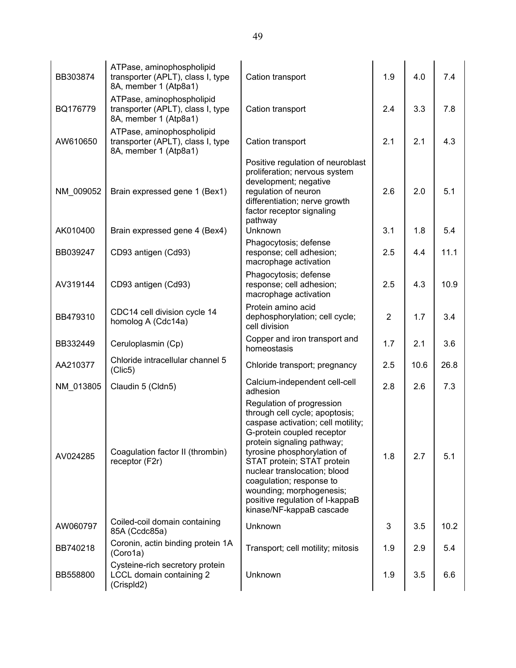| BB303874  | ATPase, aminophospholipid<br>transporter (APLT), class I, type<br>8A, member 1 (Atp8a1) | Cation transport                                                                                                                                                                                                                                                                                                                                                                  | 1.9            | 4.0  | 7.4  |
|-----------|-----------------------------------------------------------------------------------------|-----------------------------------------------------------------------------------------------------------------------------------------------------------------------------------------------------------------------------------------------------------------------------------------------------------------------------------------------------------------------------------|----------------|------|------|
| BQ176779  | ATPase, aminophospholipid<br>transporter (APLT), class I, type<br>8A, member 1 (Atp8a1) | Cation transport                                                                                                                                                                                                                                                                                                                                                                  | 2.4            | 3.3  | 7.8  |
| AW610650  | ATPase, aminophospholipid<br>transporter (APLT), class I, type<br>8A, member 1 (Atp8a1) | Cation transport                                                                                                                                                                                                                                                                                                                                                                  | 2.1            | 2.1  | 4.3  |
| NM 009052 | Brain expressed gene 1 (Bex1)                                                           | Positive regulation of neuroblast<br>proliferation; nervous system<br>development; negative<br>regulation of neuron<br>differentiation; nerve growth<br>factor receptor signaling<br>pathway                                                                                                                                                                                      | 2.6            | 2.0  | 5.1  |
| AK010400  | Brain expressed gene 4 (Bex4)                                                           | Unknown                                                                                                                                                                                                                                                                                                                                                                           | 3.1            | 1.8  | 5.4  |
| BB039247  | CD93 antigen (Cd93)                                                                     | Phagocytosis; defense<br>response; cell adhesion;<br>macrophage activation                                                                                                                                                                                                                                                                                                        | 2.5            | 4.4  | 11.1 |
| AV319144  | CD93 antigen (Cd93)                                                                     | Phagocytosis; defense<br>response; cell adhesion;<br>macrophage activation                                                                                                                                                                                                                                                                                                        | 2.5            | 4.3  | 10.9 |
| BB479310  | CDC14 cell division cycle 14<br>homolog A (Cdc14a)                                      | Protein amino acid<br>dephosphorylation; cell cycle;<br>cell division                                                                                                                                                                                                                                                                                                             | $\overline{2}$ | 1.7  | 3.4  |
| BB332449  | Ceruloplasmin (Cp)                                                                      | Copper and iron transport and<br>homeostasis                                                                                                                                                                                                                                                                                                                                      | 1.7            | 2.1  | 3.6  |
| AA210377  | Chloride intracellular channel 5<br>(Clic5)                                             | Chloride transport; pregnancy                                                                                                                                                                                                                                                                                                                                                     | 2.5            | 10.6 | 26.8 |
| NM 013805 | Claudin 5 (Cldn5)                                                                       | Calcium-independent cell-cell<br>adhesion                                                                                                                                                                                                                                                                                                                                         | 2.8            | 2.6  | 7.3  |
| AV024285  | Coagulation factor II (thrombin)<br>receptor (F2r)                                      | Regulation of progression<br>through cell cycle; apoptosis;<br>caspase activation; cell motility;<br>G-protein coupled receptor<br>protein signaling pathway;<br>tyrosine phosphorylation of<br>STAT protein; STAT protein<br>nuclear translocation; blood<br>coagulation; response to<br>wounding; morphogenesis;<br>positive regulation of I-kappaB<br>kinase/NF-kappaB cascade | 1.8            | 2.7  | 5.1  |
| AW060797  | Coiled-coil domain containing<br>85A (Ccdc85a)                                          | Unknown                                                                                                                                                                                                                                                                                                                                                                           | 3              | 3.5  | 10.2 |
| BB740218  | Coronin, actin binding protein 1A<br>(Coro1a)                                           | Transport; cell motility; mitosis                                                                                                                                                                                                                                                                                                                                                 | 1.9            | 2.9  | 5.4  |
| BB558800  | Cysteine-rich secretory protein<br>LCCL domain containing 2<br>(CrispId2)               | Unknown                                                                                                                                                                                                                                                                                                                                                                           | 1.9            | 3.5  | 6.6  |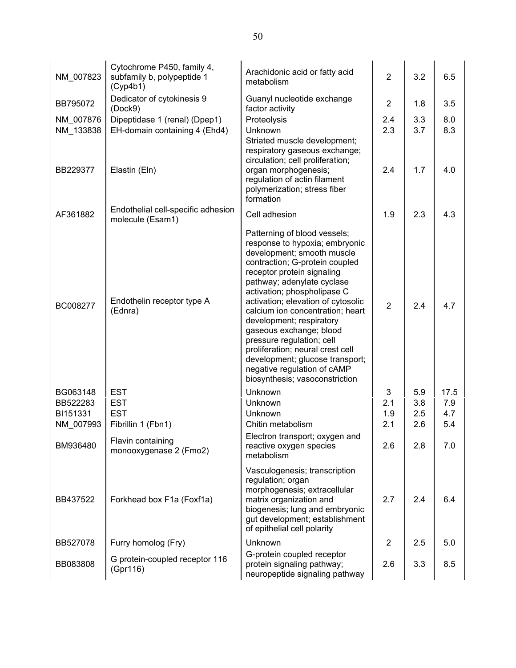| NM 007823              | Cytochrome P450, family 4,<br>subfamily b, polypeptide 1<br>(Cyp4b1) | Arachidonic acid or fatty acid<br>metabolism                                                                                                                                                                                                                                                                                                                                                                                                                                                                                    | $\overline{2}$ | 3.2        | 6.5        |
|------------------------|----------------------------------------------------------------------|---------------------------------------------------------------------------------------------------------------------------------------------------------------------------------------------------------------------------------------------------------------------------------------------------------------------------------------------------------------------------------------------------------------------------------------------------------------------------------------------------------------------------------|----------------|------------|------------|
| BB795072               | Dedicator of cytokinesis 9<br>(Dock9)                                | Guanyl nucleotide exchange<br>factor activity                                                                                                                                                                                                                                                                                                                                                                                                                                                                                   | $\overline{2}$ | 1.8        | 3.5        |
| NM_007876<br>NM 133838 | Dipeptidase 1 (renal) (Dpep1)<br>EH-domain containing 4 (Ehd4)       | Proteolysis<br>Unknown<br>Striated muscle development;<br>respiratory gaseous exchange;                                                                                                                                                                                                                                                                                                                                                                                                                                         | 2.4<br>2.3     | 3.3<br>3.7 | 8.0<br>8.3 |
| BB229377               | Elastin (Eln)                                                        | circulation; cell proliferation;<br>organ morphogenesis;<br>regulation of actin filament<br>polymerization; stress fiber<br>formation                                                                                                                                                                                                                                                                                                                                                                                           | 2.4            | 1.7        | 4.0        |
| AF361882               | Endothelial cell-specific adhesion<br>molecule (Esam1)               | Cell adhesion                                                                                                                                                                                                                                                                                                                                                                                                                                                                                                                   | 1.9            | 2.3        | 4.3        |
| BC008277               | Endothelin receptor type A<br>(Ednra)                                | Patterning of blood vessels;<br>response to hypoxia; embryonic<br>development; smooth muscle<br>contraction; G-protein coupled<br>receptor protein signaling<br>pathway; adenylate cyclase<br>activation; phospholipase C<br>activation; elevation of cytosolic<br>calcium ion concentration; heart<br>development; respiratory<br>gaseous exchange; blood<br>pressure regulation; cell<br>proliferation; neural crest cell<br>development; glucose transport;<br>negative regulation of cAMP<br>biosynthesis; vasoconstriction | $\overline{2}$ | 2.4        | 4.7        |
| BG063148               | <b>EST</b>                                                           | Unknown                                                                                                                                                                                                                                                                                                                                                                                                                                                                                                                         | 3              | 5.9        | 17.5       |
| BB522283               | <b>EST</b>                                                           | Unknown                                                                                                                                                                                                                                                                                                                                                                                                                                                                                                                         | 2.1            | 3.8        | 7.9        |
| BI151331               | <b>EST</b>                                                           | Unknown                                                                                                                                                                                                                                                                                                                                                                                                                                                                                                                         | 1.9            | 2.5        | 4.7        |
| NM_007993<br>BM936480  | Fibrillin 1 (Fbn1)<br>Flavin containing<br>monooxygenase 2 (Fmo2)    | Chitin metabolism<br>Electron transport; oxygen and<br>reactive oxygen species<br>metabolism                                                                                                                                                                                                                                                                                                                                                                                                                                    | 2.1<br>2.6     | 2.6<br>2.8 | 5.4<br>7.0 |
| BB437522               | Forkhead box F1a (Foxf1a)                                            | Vasculogenesis; transcription<br>regulation; organ<br>morphogenesis; extracellular<br>matrix organization and<br>biogenesis; lung and embryonic<br>gut development; establishment<br>of epithelial cell polarity                                                                                                                                                                                                                                                                                                                | 2.7            | 2.4        | 6.4        |
| BB527078               | Furry homolog (Fry)                                                  | Unknown                                                                                                                                                                                                                                                                                                                                                                                                                                                                                                                         | $\overline{2}$ | 2.5        | 5.0        |
| BB083808               | G protein-coupled receptor 116<br>(Gpr116)                           | G-protein coupled receptor<br>protein signaling pathway;<br>neuropeptide signaling pathway                                                                                                                                                                                                                                                                                                                                                                                                                                      | 2.6            | 3.3        | 8.5        |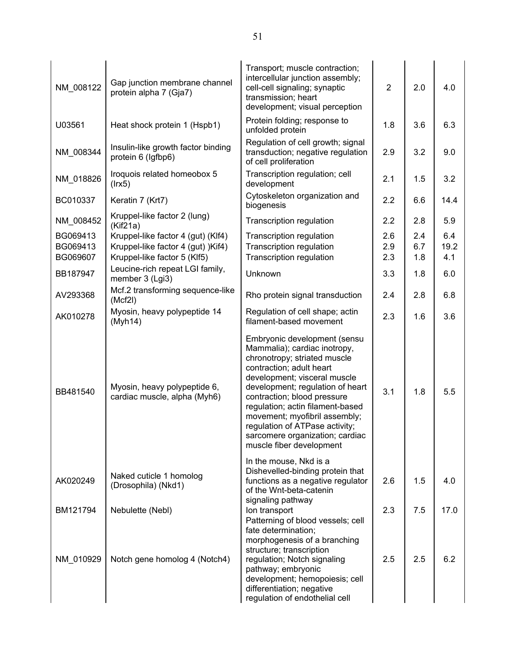| NM_008122                        | Gap junction membrane channel<br>protein alpha 7 (Gja7)                                                  | Transport; muscle contraction;<br>intercellular junction assembly;<br>cell-cell signaling; synaptic<br>transmission; heart<br>development; visual perception                                                                                                                                                                                                                                      | $\overline{2}$    | 2.0               | 4.0                |
|----------------------------------|----------------------------------------------------------------------------------------------------------|---------------------------------------------------------------------------------------------------------------------------------------------------------------------------------------------------------------------------------------------------------------------------------------------------------------------------------------------------------------------------------------------------|-------------------|-------------------|--------------------|
| U03561                           | Heat shock protein 1 (Hspb1)                                                                             | Protein folding; response to<br>unfolded protein                                                                                                                                                                                                                                                                                                                                                  | 1.8               | 3.6               | 6.3                |
| NM_008344                        | Insulin-like growth factor binding<br>protein 6 (Igfbp6)                                                 | Regulation of cell growth; signal<br>transduction; negative regulation<br>of cell proliferation                                                                                                                                                                                                                                                                                                   | 2.9               | 3.2               | 9.0                |
| NM_018826                        | Iroquois related homeobox 5<br>$($ lrx5 $)$                                                              | Transcription regulation; cell<br>development                                                                                                                                                                                                                                                                                                                                                     | 2.1               | 1.5               | 3.2                |
| BC010337                         | Keratin 7 (Krt7)                                                                                         | Cytoskeleton organization and<br>biogenesis                                                                                                                                                                                                                                                                                                                                                       | 2.2               | 6.6               | 14.4               |
| NM_008452                        | Kruppel-like factor 2 (lung)<br>(Kif21a)                                                                 | Transcription regulation                                                                                                                                                                                                                                                                                                                                                                          | 2.2               | 2.8               | 5.9                |
| BG069413<br>BG069413<br>BG069607 | Kruppel-like factor 4 (gut) (Klf4)<br>Kruppel-like factor 4 (gut) )Kif4)<br>Kruppel-like factor 5 (Klf5) | Transcription regulation<br>Transcription regulation<br><b>Transcription regulation</b>                                                                                                                                                                                                                                                                                                           | 2.6<br>2.9<br>2.3 | 2.4<br>6.7<br>1.8 | 6.4<br>19.2<br>4.1 |
| BB187947                         | Leucine-rich repeat LGI family,<br>member 3 (Lgi3)                                                       | Unknown                                                                                                                                                                                                                                                                                                                                                                                           | 3.3               | 1.8               | 6.0                |
| AV293368                         | Mcf.2 transforming sequence-like<br>(Mcf2I)                                                              | Rho protein signal transduction                                                                                                                                                                                                                                                                                                                                                                   | 2.4               | 2.8               | 6.8                |
| AK010278                         | Myosin, heavy polypeptide 14<br>(Myh14)                                                                  | Regulation of cell shape; actin<br>filament-based movement                                                                                                                                                                                                                                                                                                                                        | 2.3               | 1.6               | 3.6                |
| BB481540                         | Myosin, heavy polypeptide 6,<br>cardiac muscle, alpha (Myh6)                                             | Embryonic development (sensu<br>Mammalia); cardiac inotropy,<br>chronotropy; striated muscle<br>contraction; adult heart<br>development; visceral muscle<br>development; regulation of heart<br>contraction; blood pressure<br>regulation; actin filament-based<br>movement; myofibril assembly;<br>regulation of ATPase activity;<br>sarcomere organization; cardiac<br>muscle fiber development | 3.1               | 1.8               | 5.5                |
| AK020249                         | Naked cuticle 1 homolog<br>(Drosophila) (Nkd1)                                                           | In the mouse, Nkd is a<br>Dishevelled-binding protein that<br>functions as a negative regulator<br>of the Wnt-beta-catenin                                                                                                                                                                                                                                                                        | 2.6               | 1.5               | 4.0                |
| BM121794                         | Nebulette (Nebl)                                                                                         | signaling pathway<br>Ion transport<br>Patterning of blood vessels; cell<br>fate determination;                                                                                                                                                                                                                                                                                                    | 2.3               | 7.5               | 17.0               |
| NM_010929                        | Notch gene homolog 4 (Notch4)                                                                            | morphogenesis of a branching<br>structure; transcription<br>regulation; Notch signaling<br>pathway; embryonic<br>development; hemopoiesis; cell<br>differentiation; negative<br>regulation of endothelial cell                                                                                                                                                                                    | 2.5               | 2.5               | 6.2                |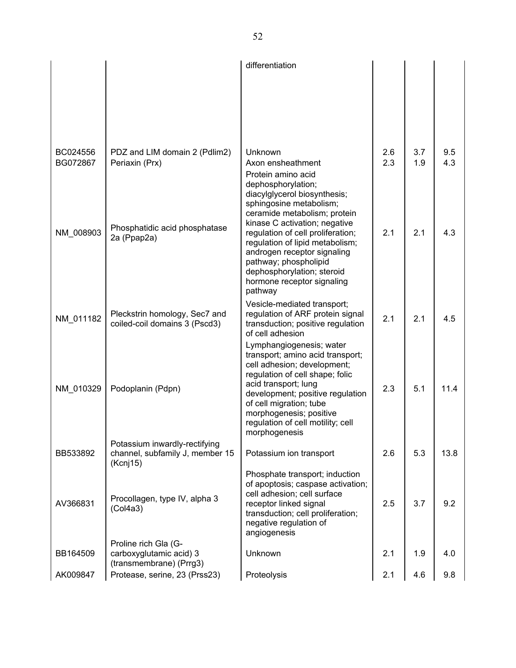|                      |                                                                  | differentiation                                                       |            |            |            |
|----------------------|------------------------------------------------------------------|-----------------------------------------------------------------------|------------|------------|------------|
|                      |                                                                  |                                                                       |            |            |            |
|                      |                                                                  |                                                                       |            |            |            |
|                      |                                                                  |                                                                       |            |            |            |
|                      |                                                                  |                                                                       |            |            |            |
| BC024556<br>BG072867 | PDZ and LIM domain 2 (Pdlim2)<br>Periaxin (Prx)                  | Unknown<br>Axon ensheathment                                          | 2.6<br>2.3 | 3.7<br>1.9 | 9.5<br>4.3 |
|                      |                                                                  | Protein amino acid                                                    |            |            |            |
|                      |                                                                  | dephosphorylation;<br>diacylglycerol biosynthesis;                    |            |            |            |
|                      |                                                                  | sphingosine metabolism;<br>ceramide metabolism; protein               |            |            |            |
| NM_008903            | Phosphatidic acid phosphatase                                    | kinase C activation; negative<br>regulation of cell proliferation;    | 2.1        | 2.1        | 4.3        |
|                      | 2a (Ppap2a)                                                      | regulation of lipid metabolism;<br>androgen receptor signaling        |            |            |            |
|                      |                                                                  | pathway; phospholipid<br>dephosphorylation; steroid                   |            |            |            |
|                      |                                                                  | hormone receptor signaling                                            |            |            |            |
|                      |                                                                  | pathway<br>Vesicle-mediated transport;                                |            |            |            |
| NM 011182            | Pleckstrin homology, Sec7 and<br>coiled-coil domains 3 (Pscd3)   | regulation of ARF protein signal<br>transduction; positive regulation | 2.1        | 2.1        | 4.5        |
|                      |                                                                  | of cell adhesion                                                      |            |            |            |
|                      |                                                                  | Lymphangiogenesis; water<br>transport; amino acid transport;          |            |            |            |
|                      |                                                                  | cell adhesion; development;<br>regulation of cell shape; folic        |            |            |            |
| NM 010329            | Podoplanin (Pdpn)                                                | acid transport; lung<br>development; positive regulation              | 2.3        | 5.1        | 11.4       |
|                      |                                                                  | of cell migration; tube<br>morphogenesis; positive                    |            |            |            |
|                      |                                                                  | regulation of cell motility; cell<br>morphogenesis                    |            |            |            |
| BB533892             | Potassium inwardly-rectifying<br>channel, subfamily J, member 15 | Potassium ion transport                                               | 2.6        | 5.3        | 13.8       |
|                      | (Kcnj15)                                                         |                                                                       |            |            |            |
|                      |                                                                  | Phosphate transport; induction<br>of apoptosis; caspase activation;   |            |            |            |
| AV366831             | Procollagen, type IV, alpha 3<br>(Col4a3)                        | cell adhesion; cell surface<br>receptor linked signal                 | 2.5        | 3.7        | 9.2        |
|                      |                                                                  | transduction; cell proliferation;<br>negative regulation of           |            |            |            |
|                      | Proline rich Gla (G-                                             | angiogenesis                                                          |            |            |            |
| BB164509             | carboxyglutamic acid) 3<br>(transmembrane) (Prrg3)               | Unknown                                                               | 2.1        | 1.9        | 4.0        |
| AK009847             | Protease, serine, 23 (Prss23)                                    | Proteolysis                                                           | 2.1        | 4.6        | 9.8        |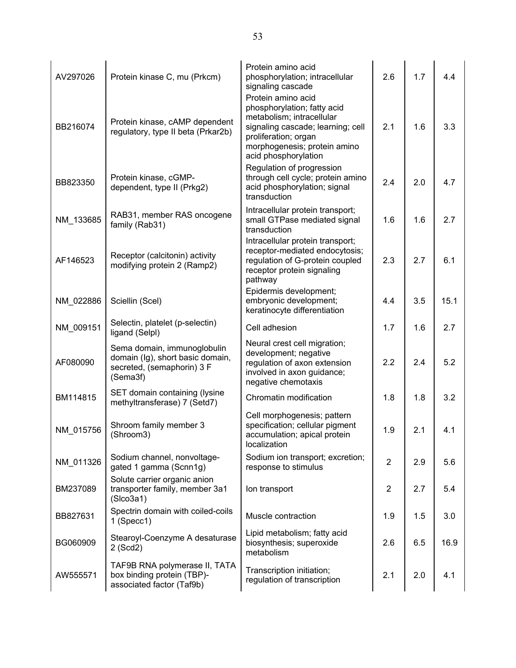| AV297026<br>BB216074 | Protein kinase C, mu (Prkcm)<br>Protein kinase, cAMP dependent<br>regulatory, type II beta (Prkar2b)      | Protein amino acid<br>phosphorylation; intracellular<br>signaling cascade<br>Protein amino acid<br>phosphorylation; fatty acid<br>metabolism; intracellular<br>signaling cascade; learning; cell<br>proliferation; organ<br>morphogenesis; protein amino | 2.6<br>2.1     | 1.7<br>1.6 | 4.4<br>3.3 |
|----------------------|-----------------------------------------------------------------------------------------------------------|----------------------------------------------------------------------------------------------------------------------------------------------------------------------------------------------------------------------------------------------------------|----------------|------------|------------|
| BB823350             | Protein kinase, cGMP-<br>dependent, type II (Prkg2)                                                       | acid phosphorylation<br>Regulation of progression<br>through cell cycle; protein amino<br>acid phosphorylation; signal<br>transduction                                                                                                                   | 2.4            | 2.0        | 4.7        |
| NM_133685            | RAB31, member RAS oncogene<br>family (Rab31)                                                              | Intracellular protein transport;<br>small GTPase mediated signal<br>transduction                                                                                                                                                                         | 1.6            | 1.6        | 2.7        |
| AF146523             | Receptor (calcitonin) activity<br>modifying protein 2 (Ramp2)                                             | Intracellular protein transport;<br>receptor-mediated endocytosis;<br>regulation of G-protein coupled<br>receptor protein signaling<br>pathway                                                                                                           | 2.3            | 2.7        | 6.1        |
| NM_022886            | Sciellin (Scel)                                                                                           | Epidermis development;<br>embryonic development;<br>keratinocyte differentiation                                                                                                                                                                         | 4.4            | 3.5        | 15.1       |
| NM_009151            | Selectin, platelet (p-selectin)<br>ligand (Selpl)                                                         | Cell adhesion                                                                                                                                                                                                                                            | 1.7            | 1.6        | 2.7        |
| AF080090             | Sema domain, immunoglobulin<br>domain (Ig), short basic domain,<br>secreted, (semaphorin) 3 F<br>(Sema3f) | Neural crest cell migration;<br>development; negative<br>regulation of axon extension<br>involved in axon guidance;<br>negative chemotaxis                                                                                                               | 2.2            | 2.4        | 5.2        |
| BM114815             | SET domain containing (lysine<br>methyltransferase) 7 (Setd7)                                             | Chromatin modification                                                                                                                                                                                                                                   | 1.8            | 1.8        | 3.2        |
| NM_015756            | Shroom family member 3<br>(Shroom3)                                                                       | Cell morphogenesis; pattern<br>specification; cellular pigment<br>accumulation; apical protein<br>localization                                                                                                                                           | 1.9            | 2.1        | 4.1        |
| NM_011326            | Sodium channel, nonvoltage-<br>gated 1 gamma (Scnn1g)                                                     | Sodium ion transport; excretion;<br>response to stimulus                                                                                                                                                                                                 | $\overline{2}$ | 2.9        | 5.6        |
| BM237089             | Solute carrier organic anion<br>transporter family, member 3a1<br>(Slco3a1)                               | Ion transport                                                                                                                                                                                                                                            | $\overline{2}$ | 2.7        | 5.4        |
| BB827631             | Spectrin domain with coiled-coils<br>$1$ (Specc1)                                                         | Muscle contraction                                                                                                                                                                                                                                       | 1.9            | 1.5        | 3.0        |
| BG060909             | Stearoyl-Coenzyme A desaturase<br>2 (Scd2)                                                                | Lipid metabolism; fatty acid<br>biosynthesis; superoxide<br>metabolism                                                                                                                                                                                   | 2.6            | 6.5        | 16.9       |
| AW555571             | TAF9B RNA polymerase II, TATA<br>box binding protein (TBP)-<br>associated factor (Taf9b)                  | Transcription initiation;<br>regulation of transcription                                                                                                                                                                                                 | 2.1            | 2.0        | 4.1        |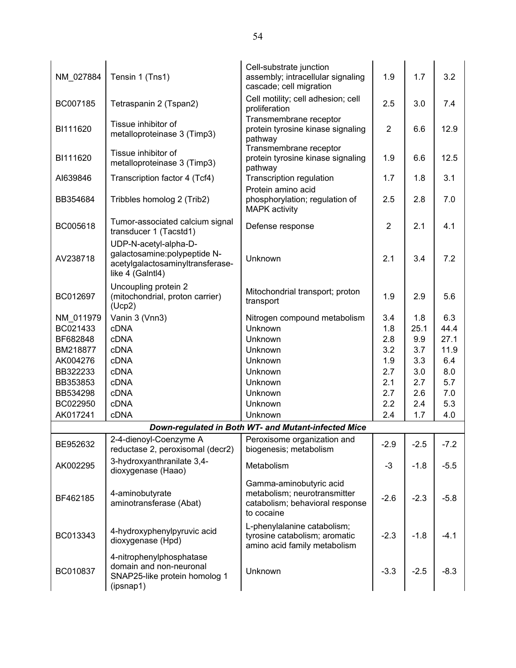| NM_027884 | Tensin 1 (Tns1)                                                                                                | Cell-substrate junction<br>assembly; intracellular signaling<br>cascade; cell migration                  | 1.9            | 1.7    | 3.2    |
|-----------|----------------------------------------------------------------------------------------------------------------|----------------------------------------------------------------------------------------------------------|----------------|--------|--------|
| BC007185  | Tetraspanin 2 (Tspan2)                                                                                         | Cell motility; cell adhesion; cell<br>proliferation                                                      | 2.5            | 3.0    | 7.4    |
| BI111620  | Tissue inhibitor of<br>metalloproteinase 3 (Timp3)                                                             | Transmembrane receptor<br>protein tyrosine kinase signaling<br>pathway                                   | $\overline{2}$ | 6.6    | 12.9   |
| BI111620  | Tissue inhibitor of<br>metalloproteinase 3 (Timp3)                                                             | Transmembrane receptor<br>protein tyrosine kinase signaling<br>pathway                                   | 1.9            | 6.6    | 12.5   |
| AI639846  | Transcription factor 4 (Tcf4)                                                                                  | Transcription regulation                                                                                 | 1.7            | 1.8    | 3.1    |
| BB354684  | Tribbles homolog 2 (Trib2)                                                                                     | Protein amino acid<br>phosphorylation; regulation of<br><b>MAPK</b> activity                             | 2.5            | 2.8    | 7.0    |
| BC005618  | Tumor-associated calcium signal<br>transducer 1 (Tacstd1)                                                      | Defense response                                                                                         | $\overline{2}$ | 2.1    | 4.1    |
| AV238718  | UDP-N-acetyl-alpha-D-<br>galactosamine: polypeptide N-<br>acetylgalactosaminyltransferase-<br>like 4 (Galntl4) | Unknown                                                                                                  | 2.1            | 3.4    | 7.2    |
| BC012697  | Uncoupling protein 2<br>(mitochondrial, proton carrier)<br>(Ucp2)                                              | Mitochondrial transport; proton<br>transport                                                             | 1.9            | 2.9    | 5.6    |
| NM 011979 | Vanin 3 (Vnn3)                                                                                                 | Nitrogen compound metabolism                                                                             | 3.4            | 1.8    | 6.3    |
| BC021433  | <b>cDNA</b>                                                                                                    | Unknown                                                                                                  | 1.8            | 25.1   | 44.4   |
| BF682848  | cDNA                                                                                                           | Unknown                                                                                                  | 2.8            | 9.9    | 27.1   |
| BM218877  | <b>cDNA</b>                                                                                                    | Unknown                                                                                                  | 3.2            | 3.7    | 11.9   |
| AK004276  | <b>cDNA</b>                                                                                                    | Unknown                                                                                                  | 1.9            | 3.3    | 6.4    |
| BB322233  | <b>cDNA</b>                                                                                                    | Unknown                                                                                                  | 2.7            | 3.0    | 8.0    |
| BB353853  | cDNA                                                                                                           | Unknown                                                                                                  | 2.1            | 2.7    | 5.7    |
| BB534298  | cDNA                                                                                                           | Unknown                                                                                                  | 2.7            | 2.6    | 7.0    |
| BC022950  | <b>cDNA</b>                                                                                                    | Unknown                                                                                                  | 2.2            | 2.4    | 5.3    |
| AK017241  | cDNA                                                                                                           | Unknown                                                                                                  | 2.4            | 1.7    | 4.0    |
|           |                                                                                                                | Down-regulated in Both WT- and Mutant-infected Mice                                                      |                |        |        |
| BE952632  | 2-4-dienoyl-Coenzyme A<br>reductase 2, peroxisomal (decr2)                                                     | Peroxisome organization and<br>biogenesis; metabolism                                                    | $-2.9$         | $-2.5$ | $-7.2$ |
| AK002295  | 3-hydroxyanthranilate 3,4-<br>dioxygenase (Haao)                                                               | Metabolism                                                                                               | $-3$           | $-1.8$ | $-5.5$ |
| BF462185  | 4-aminobutyrate<br>aminotransferase (Abat)                                                                     | Gamma-aminobutyric acid<br>metabolism; neurotransmitter<br>catabolism; behavioral response<br>to cocaine | $-2.6$         | $-2.3$ | $-5.8$ |
| BC013343  | 4-hydroxyphenylpyruvic acid<br>dioxygenase (Hpd)                                                               | L-phenylalanine catabolism;<br>tyrosine catabolism; aromatic<br>amino acid family metabolism             | $-2.3$         | $-1.8$ | $-4.1$ |
| BC010837  | 4-nitrophenylphosphatase<br>domain and non-neuronal<br>SNAP25-like protein homolog 1<br>(ipsnap1)              | Unknown                                                                                                  | $-3.3$         | $-2.5$ | $-8.3$ |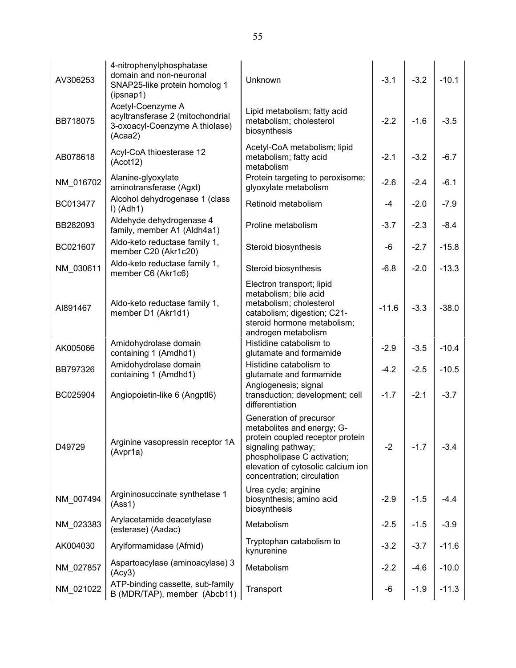| AV306253  | 4-nitrophenylphosphatase<br>domain and non-neuronal<br>SNAP25-like protein homolog 1<br>(ipsnap1)  | Unknown                                                                                                                                                                                                            | $-3.1$  | $-3.2$ | $-10.1$ |
|-----------|----------------------------------------------------------------------------------------------------|--------------------------------------------------------------------------------------------------------------------------------------------------------------------------------------------------------------------|---------|--------|---------|
| BB718075  | Acetyl-Coenzyme A<br>acyltransferase 2 (mitochondrial<br>3-oxoacyl-Coenzyme A thiolase)<br>(Acaa2) | Lipid metabolism; fatty acid<br>metabolism; cholesterol<br>biosynthesis                                                                                                                                            | $-2.2$  | $-1.6$ | $-3.5$  |
| AB078618  | Acyl-CoA thioesterase 12<br>(Acot12)                                                               | Acetyl-CoA metabolism; lipid<br>metabolism; fatty acid<br>metabolism                                                                                                                                               | $-2.1$  | $-3.2$ | $-6.7$  |
| NM_016702 | Alanine-glyoxylate<br>aminotransferase (Agxt)                                                      | Protein targeting to peroxisome;<br>glyoxylate metabolism                                                                                                                                                          | $-2.6$  | $-2.4$ | $-6.1$  |
| BC013477  | Alcohol dehydrogenase 1 (class<br>$I)$ (Adh1)                                                      | Retinoid metabolism                                                                                                                                                                                                | $-4$    | $-2.0$ | $-7.9$  |
| BB282093  | Aldehyde dehydrogenase 4<br>family, member A1 (Aldh4a1)                                            | Proline metabolism                                                                                                                                                                                                 | $-3.7$  | $-2.3$ | $-8.4$  |
| BC021607  | Aldo-keto reductase family 1,<br>member C20 (Akr1c20)                                              | Steroid biosynthesis                                                                                                                                                                                               | -6      | $-2.7$ | $-15.8$ |
| NM_030611 | Aldo-keto reductase family 1,<br>member C6 (Akr1c6)                                                | Steroid biosynthesis                                                                                                                                                                                               | $-6.8$  | $-2.0$ | $-13.3$ |
| AI891467  | Aldo-keto reductase family 1,<br>member D1 (Akr1d1)                                                | Electron transport; lipid<br>metabolism; bile acid<br>metabolism; cholesterol<br>catabolism; digestion; C21-<br>steroid hormone metabolism;<br>androgen metabolism                                                 | $-11.6$ | $-3.3$ | $-38.0$ |
| AK005066  | Amidohydrolase domain<br>containing 1 (Amdhd1)                                                     | Histidine catabolism to<br>glutamate and formamide                                                                                                                                                                 | $-2.9$  | $-3.5$ | $-10.4$ |
| BB797326  | Amidohydrolase domain<br>containing 1 (Amdhd1)                                                     | Histidine catabolism to<br>glutamate and formamide                                                                                                                                                                 | $-4.2$  | $-2.5$ | $-10.5$ |
| BC025904  | Angiopoietin-like 6 (Angptl6)                                                                      | Angiogenesis; signal<br>transduction; development; cell<br>differentiation                                                                                                                                         | $-1.7$  | $-2.1$ | $-3.7$  |
| D49729    | Arginine vasopressin receptor 1A<br>(Avpr1a)                                                       | Generation of precursor<br>metabolites and energy; G-<br>protein coupled receptor protein<br>signaling pathway;<br>phospholipase C activation;<br>elevation of cytosolic calcium ion<br>concentration; circulation | $-2$    | $-1.7$ | $-3.4$  |
| NM 007494 | Argininosuccinate synthetase 1<br>(Ass1)                                                           | Urea cycle; arginine<br>biosynthesis; amino acid<br>biosynthesis                                                                                                                                                   | $-2.9$  | $-1.5$ | $-4.4$  |
| NM_023383 | Arylacetamide deacetylase<br>(esterase) (Aadac)                                                    | Metabolism                                                                                                                                                                                                         | $-2.5$  | $-1.5$ | $-3.9$  |
| AK004030  | Arylformamidase (Afmid)                                                                            | Tryptophan catabolism to<br>kynurenine                                                                                                                                                                             | $-3.2$  | $-3.7$ | $-11.6$ |
| NM_027857 | Aspartoacylase (aminoacylase) 3<br>(Acy3)                                                          | Metabolism                                                                                                                                                                                                         | $-2.2$  | $-4.6$ | $-10.0$ |
| NM_021022 | ATP-binding cassette, sub-family<br>B (MDR/TAP), member (Abcb11)                                   | Transport                                                                                                                                                                                                          | -6      | $-1.9$ | $-11.3$ |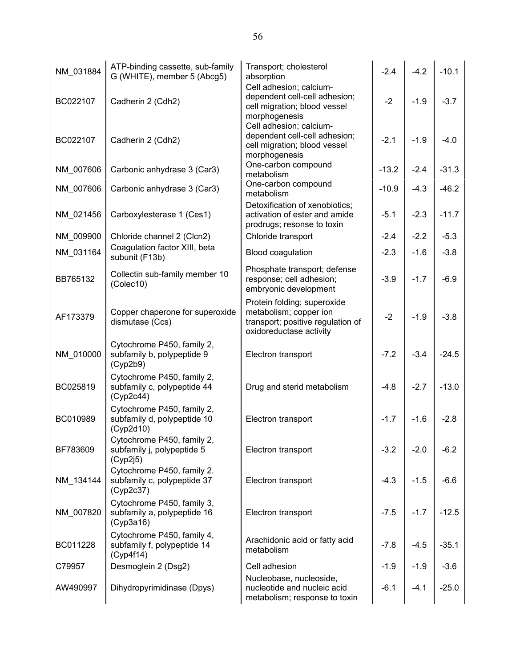| NM_031884 | ATP-binding cassette, sub-family<br>G (WHITE), member 5 (Abcg5)        | Transport; cholesterol<br>absorption                                                                                       | $-2.4$  | $-4.2$ | $-10.1$ |
|-----------|------------------------------------------------------------------------|----------------------------------------------------------------------------------------------------------------------------|---------|--------|---------|
| BC022107  | Cadherin 2 (Cdh2)                                                      | Cell adhesion; calcium-<br>dependent cell-cell adhesion;<br>cell migration; blood vessel                                   | $-2$    | $-1.9$ | $-3.7$  |
| BC022107  | Cadherin 2 (Cdh2)                                                      | morphogenesis<br>Cell adhesion; calcium-<br>dependent cell-cell adhesion;<br>cell migration; blood vessel<br>morphogenesis | $-2.1$  | $-1.9$ | $-4.0$  |
| NM 007606 | Carbonic anhydrase 3 (Car3)                                            | One-carbon compound<br>metabolism                                                                                          | $-13.2$ | $-2.4$ | $-31.3$ |
| NM_007606 | Carbonic anhydrase 3 (Car3)                                            | One-carbon compound<br>metabolism                                                                                          | $-10.9$ | $-4.3$ | $-46.2$ |
| NM_021456 | Carboxylesterase 1 (Ces1)                                              | Detoxification of xenobiotics;<br>activation of ester and amide<br>prodrugs; resonse to toxin                              | $-5.1$  | $-2.3$ | $-11.7$ |
| NM 009900 | Chloride channel 2 (Clcn2)                                             | Chloride transport                                                                                                         | $-2.4$  | $-2.2$ | $-5.3$  |
| NM_031164 | Coagulation factor XIII, beta<br>subunit (F13b)                        | Blood coagulation                                                                                                          | $-2.3$  | $-1.6$ | $-3.8$  |
| BB765132  | Collectin sub-family member 10<br>(Colec10)                            | Phosphate transport; defense<br>response; cell adhesion;<br>embryonic development                                          | $-3.9$  | $-1.7$ | $-6.9$  |
| AF173379  | Copper chaperone for superoxide<br>dismutase (Ccs)                     | Protein folding; superoxide<br>metabolism; copper ion<br>transport; positive regulation of<br>oxidoreductase activity      | $-2$    | $-1.9$ | $-3.8$  |
| NM_010000 | Cytochrome P450, family 2,<br>subfamily b, polypeptide 9<br>(Cyp2b9)   | Electron transport                                                                                                         | $-7.2$  | $-3.4$ | $-24.5$ |
| BC025819  | Cytochrome P450, family 2,<br>subfamily c, polypeptide 44<br>(Cyp2c44) | Drug and sterid metabolism                                                                                                 | $-4.8$  | $-2.7$ | $-13.0$ |
| BC010989  | Cytochrome P450, family 2,<br>subfamily d, polypeptide 10<br>(Cyp2d10) | Electron transport                                                                                                         | $-1.7$  | $-1.6$ | $-2.8$  |
| BF783609  | Cytochrome P450, family 2,<br>subfamily j, polypeptide 5<br>(Cyp2j5)   | Electron transport                                                                                                         | $-3.2$  | $-2.0$ | $-6.2$  |
| NM_134144 | Cytochrome P450, family 2.<br>subfamily c, polypeptide 37<br>(Cyp2c37) | Electron transport                                                                                                         | $-4.3$  | $-1.5$ | $-6.6$  |
| NM_007820 | Cytochrome P450, family 3,<br>subfamily a, polypeptide 16<br>(Cyp3a16) | Electron transport                                                                                                         | $-7.5$  | $-1.7$ | $-12.5$ |
| BC011228  | Cytochrome P450, family 4,<br>subfamily f, polypeptide 14<br>(Cyp4f14) | Arachidonic acid or fatty acid<br>metabolism                                                                               | $-7.8$  | $-4.5$ | $-35.1$ |
| C79957    | Desmoglein 2 (Dsg2)                                                    | Cell adhesion                                                                                                              | $-1.9$  | $-1.9$ | $-3.6$  |
| AW490997  | Dihydropyrimidinase (Dpys)                                             | Nucleobase, nucleoside,<br>nucleotide and nucleic acid<br>metabolism; response to toxin                                    | $-6.1$  | $-4.1$ | $-25.0$ |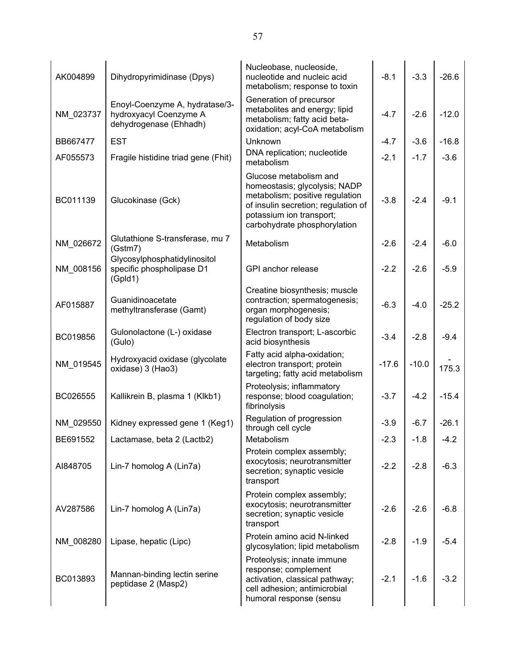| AK004899  | Dihydropyrimidinase (Dpys)                                                         | Nucleobase, nucleoside,<br>nucleotide and nucleic acid<br>metabolism; response to toxin                                                                                                       | $-8.1$  | $-3.3$  | $-26.6$ |
|-----------|------------------------------------------------------------------------------------|-----------------------------------------------------------------------------------------------------------------------------------------------------------------------------------------------|---------|---------|---------|
| NM_023737 | Enoyl-Coenzyme A, hydratase/3-<br>hydroxyacyl Coenzyme A<br>dehydrogenase (Ehhadh) | Generation of precursor<br>metabolites and energy; lipid<br>metabolism; fatty acid beta-<br>oxidation; acyl-CoA metabolism                                                                    | $-4.7$  | $-2.6$  | $-12.0$ |
| BB667477  | <b>EST</b>                                                                         | Unknown                                                                                                                                                                                       | $-4.7$  | $-3.6$  | $-16.8$ |
| AF055573  | Fragile histidine triad gene (Fhit)                                                | DNA replication; nucleotide<br>metabolism                                                                                                                                                     | $-2.1$  | $-1.7$  | $-3.6$  |
| BC011139  | Glucokinase (Gck)                                                                  | Glucose metabolism and<br>homeostasis; glycolysis; NADP<br>metabolism; positive regulation<br>of insulin secretion; regulation of<br>potassium ion transport;<br>carbohydrate phosphorylation | $-3.8$  | $-2.4$  | $-9.1$  |
| NM_026672 | Glutathione S-transferase, mu 7<br>(Gstm7)                                         | Metabolism                                                                                                                                                                                    | $-2.6$  | $-2.4$  | $-6.0$  |
| NM 008156 | Glycosylphosphatidylinositol<br>specific phospholipase D1<br>(GpId1)               | GPI anchor release                                                                                                                                                                            | $-2.2$  | $-2.6$  | $-5.9$  |
| AF015887  | Guanidinoacetate<br>methyltransferase (Gamt)                                       | Creatine biosynthesis; muscle<br>contraction; spermatogenesis;<br>organ morphogenesis;<br>regulation of body size                                                                             | $-6.3$  | $-4.0$  | $-25.2$ |
| BC019856  | Gulonolactone (L-) oxidase<br>(Gulo)                                               | Electron transport; L-ascorbic<br>acid biosynthesis                                                                                                                                           | $-3.4$  | $-2.8$  | $-9.4$  |
| NM_019545 | Hydroxyacid oxidase (glycolate<br>oxidase) 3 (Hao3)                                | Fatty acid alpha-oxidation;<br>electron transport; protein<br>targeting; fatty acid metabolism                                                                                                | $-17.6$ | $-10.0$ | 175.3   |
| BC026555  | Kallikrein B, plasma 1 (Klkb1)                                                     | Proteolysis; inflammatory<br>response; blood coagulation;<br>fibrinolysis                                                                                                                     | $-3.7$  | $-4.2$  | $-15.4$ |
| NM_029550 | Kidney expressed gene 1 (Keg1)                                                     | Regulation of progression<br>through cell cycle                                                                                                                                               | $-3.9$  | $-6.7$  | $-26.1$ |
| BE691552  | Lactamase, beta 2 (Lactb2)                                                         | Metabolism                                                                                                                                                                                    | $-2.3$  | $-1.8$  | $-4.2$  |
| AI848705  | Lin-7 homolog A (Lin7a)                                                            | Protein complex assembly;<br>exocytosis; neurotransmitter<br>secretion; synaptic vesicle<br>transport                                                                                         | $-2.2$  | $-2.8$  | $-6.3$  |
| AV287586  | Lin-7 homolog A (Lin7a)                                                            | Protein complex assembly;<br>exocytosis; neurotransmitter<br>secretion; synaptic vesicle<br>transport                                                                                         | $-2.6$  | $-2.6$  | $-6.8$  |
| NM 008280 | Lipase, hepatic (Lipc)                                                             | Protein amino acid N-linked<br>glycosylation; lipid metabolism                                                                                                                                | $-2.8$  | $-1.9$  | $-5.4$  |
| BC013893  | Mannan-binding lectin serine<br>peptidase 2 (Masp2)                                | Proteolysis; innate immune<br>response; complement<br>activation, classical pathway;<br>cell adhesion; antimicrobial<br>humoral response (sensu                                               | $-2.1$  | $-1.6$  | $-3.2$  |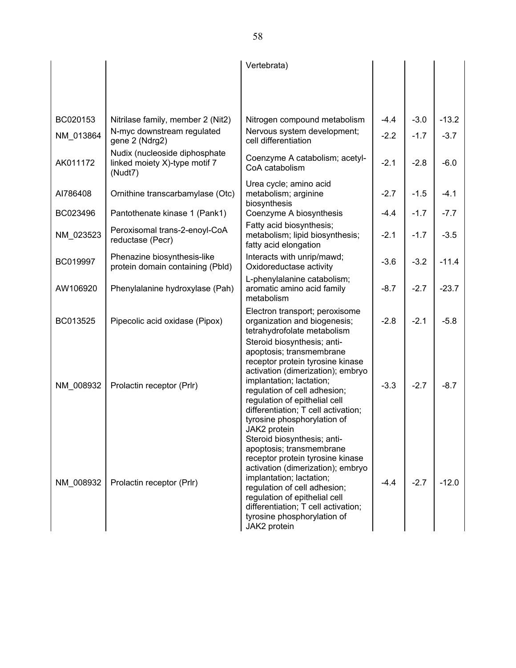|           |                                                                           | Vertebrata)                                                                                                                                                                                                                                                                                                                         |        |        |         |
|-----------|---------------------------------------------------------------------------|-------------------------------------------------------------------------------------------------------------------------------------------------------------------------------------------------------------------------------------------------------------------------------------------------------------------------------------|--------|--------|---------|
|           |                                                                           |                                                                                                                                                                                                                                                                                                                                     |        |        |         |
|           |                                                                           |                                                                                                                                                                                                                                                                                                                                     |        |        |         |
| BC020153  | Nitrilase family, member 2 (Nit2)                                         | Nitrogen compound metabolism                                                                                                                                                                                                                                                                                                        | $-4.4$ | $-3.0$ | $-13.2$ |
| NM_013864 | N-myc downstream regulated<br>gene 2 (Ndrg2)                              | Nervous system development;<br>cell differentiation                                                                                                                                                                                                                                                                                 | $-2.2$ | $-1.7$ | $-3.7$  |
| AK011172  | Nudix (nucleoside diphosphate<br>linked moiety X)-type motif 7<br>(Nudt7) | Coenzyme A catabolism; acetyl-<br>CoA catabolism                                                                                                                                                                                                                                                                                    | $-2.1$ | $-2.8$ | $-6.0$  |
| AI786408  | Ornithine transcarbamylase (Otc)                                          | Urea cycle; amino acid<br>metabolism; arginine<br>biosynthesis                                                                                                                                                                                                                                                                      | $-2.7$ | $-1.5$ | $-4.1$  |
| BC023496  | Pantothenate kinase 1 (Pank1)                                             | Coenzyme A biosynthesis                                                                                                                                                                                                                                                                                                             | $-4.4$ | $-1.7$ | $-7.7$  |
| NM 023523 | Peroxisomal trans-2-enoyl-CoA<br>reductase (Pecr)                         | Fatty acid biosynthesis;<br>metabolism; lipid biosynthesis;<br>fatty acid elongation                                                                                                                                                                                                                                                | $-2.1$ | $-1.7$ | $-3.5$  |
| BC019997  | Phenazine biosynthesis-like<br>protein domain containing (Pbld)           | Interacts with unrip/mawd;<br>Oxidoreductase activity                                                                                                                                                                                                                                                                               | $-3.6$ | $-3.2$ | $-11.4$ |
| AW106920  | Phenylalanine hydroxylase (Pah)                                           | L-phenylalanine catabolism;<br>aromatic amino acid family<br>metabolism                                                                                                                                                                                                                                                             | $-8.7$ | $-2.7$ | $-23.7$ |
| BC013525  | Pipecolic acid oxidase (Pipox)                                            | Electron transport; peroxisome<br>organization and biogenesis;<br>tetrahydrofolate metabolism                                                                                                                                                                                                                                       | $-2.8$ | $-2.1$ | $-5.8$  |
| NM 008932 | Prolactin receptor (Prlr)                                                 | Steroid biosynthesis; anti-<br>apoptosis; transmembrane<br>receptor protein tyrosine kinase<br>activation (dimerization); embryo<br>implantation; lactation;<br>regulation of cell adhesion;<br>regulation of epithelial cell<br>differentiation; T cell activation;<br>tyrosine phosphorylation of                                 | $-3.3$ | $-2.7$ | $-8.7$  |
| NM 008932 | Prolactin receptor (Prlr)                                                 | JAK2 protein<br>Steroid biosynthesis; anti-<br>apoptosis; transmembrane<br>receptor protein tyrosine kinase<br>activation (dimerization); embryo<br>implantation; lactation;<br>regulation of cell adhesion;<br>regulation of epithelial cell<br>differentiation; T cell activation;<br>tyrosine phosphorylation of<br>JAK2 protein | $-4.4$ | $-2.7$ | $-12.0$ |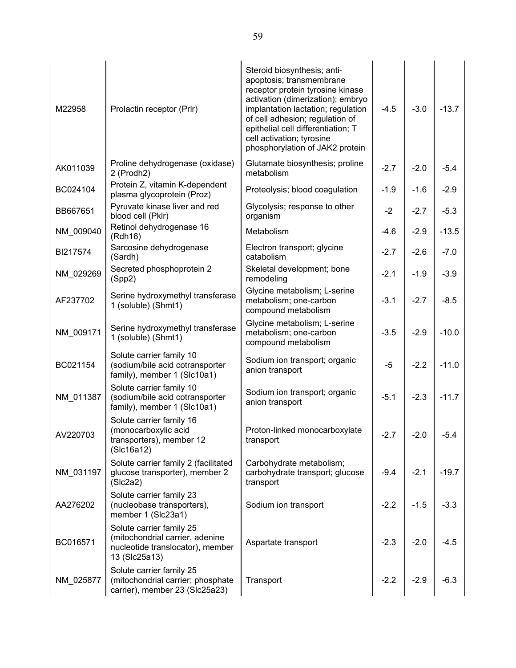| M22958    | Prolactin receptor (Prlr)                                                                                        | Steroid biosynthesis; anti-<br>apoptosis; transmembrane<br>receptor protein tyrosine kinase<br>activation (dimerization); embryo<br>implantation lactation; regulation<br>of cell adhesion; regulation of<br>epithelial cell differentiation; T<br>cell activation; tyrosine<br>phosphorylation of JAK2 protein | $-4.5$ | $-3.0$ | $-13.7$ |
|-----------|------------------------------------------------------------------------------------------------------------------|-----------------------------------------------------------------------------------------------------------------------------------------------------------------------------------------------------------------------------------------------------------------------------------------------------------------|--------|--------|---------|
| AK011039  | Proline dehydrogenase (oxidase)<br>2 (Prodh2)                                                                    | Glutamate biosynthesis; proline<br>metabolism                                                                                                                                                                                                                                                                   | $-2.7$ | $-2.0$ | $-5.4$  |
| BC024104  | Protein Z, vitamin K-dependent<br>plasma glycoprotein (Proz)                                                     | Proteolysis; blood coagulation                                                                                                                                                                                                                                                                                  | $-1.9$ | $-1.6$ | $-2.9$  |
| BB667651  | Pyruvate kinase liver and red<br>blood cell (Pklr)                                                               | Glycolysis; response to other<br>organism                                                                                                                                                                                                                                                                       | $-2$   | $-2.7$ | $-5.3$  |
| NM_009040 | Retinol dehydrogenase 16<br>(Rdh16)                                                                              | Metabolism                                                                                                                                                                                                                                                                                                      | $-4.6$ | $-2.9$ | $-13.5$ |
| BI217574  | Sarcosine dehydrogenase<br>(Sardh)                                                                               | Electron transport; glycine<br>catabolism                                                                                                                                                                                                                                                                       | $-2.7$ | $-2.6$ | $-7.0$  |
| NM_029269 | Secreted phosphoprotein 2<br>(Spp2)                                                                              | Skeletal development; bone<br>remodeling                                                                                                                                                                                                                                                                        | $-2.1$ | $-1.9$ | $-3.9$  |
| AF237702  | Serine hydroxymethyl transferase<br>1 (soluble) (Shmt1)                                                          | Glycine metabolism; L-serine<br>metabolism; one-carbon<br>compound metabolism                                                                                                                                                                                                                                   | $-3.1$ | $-2.7$ | $-8.5$  |
| NM_009171 | Serine hydroxymethyl transferase<br>1 (soluble) (Shmt1)                                                          | Glycine metabolism; L-serine<br>metabolism; one-carbon<br>compound metabolism                                                                                                                                                                                                                                   | $-3.5$ | $-2.9$ | $-10.0$ |
| BC021154  | Solute carrier family 10<br>(sodium/bile acid cotransporter<br>family), member 1 (Slc10a1)                       | Sodium ion transport; organic<br>anion transport                                                                                                                                                                                                                                                                | $-5$   | $-2.2$ | $-11.0$ |
| NM_011387 | Solute carrier family 10<br>(sodium/bile acid cotransporter<br>family), member 1 (Slc10a1)                       | Sodium ion transport; organic<br>anion transport                                                                                                                                                                                                                                                                | $-5.1$ | $-2.3$ | $-11.7$ |
| AV220703  | Solute carrier family 16<br>(monocarboxylic acid<br>transporters), member 12<br>(Slc16a12)                       | Proton-linked monocarboxylate<br>transport                                                                                                                                                                                                                                                                      | $-2.7$ | $-2.0$ | $-5.4$  |
| NM_031197 | Solute carrier family 2 (facilitated<br>glucose transporter), member 2<br>(Slc2a2)                               | Carbohydrate metabolism;<br>carbohydrate transport; glucose<br>transport                                                                                                                                                                                                                                        | $-9.4$ | $-2.1$ | $-19.7$ |
| AA276202  | Solute carrier family 23<br>(nucleobase transporters),<br>member 1 (Slc23a1)                                     | Sodium ion transport                                                                                                                                                                                                                                                                                            | $-2.2$ | $-1.5$ | $-3.3$  |
| BC016571  | Solute carrier family 25<br>(mitochondrial carrier, adenine<br>nucleotide translocator), member<br>13 (Slc25a13) | Aspartate transport                                                                                                                                                                                                                                                                                             | $-2.3$ | $-2.0$ | $-4.5$  |
| NM_025877 | Solute carrier family 25<br>(mitochondrial carrier; phosphate<br>carrier), member 23 (Slc25a23)                  | Transport                                                                                                                                                                                                                                                                                                       | $-2.2$ | $-2.9$ | $-6.3$  |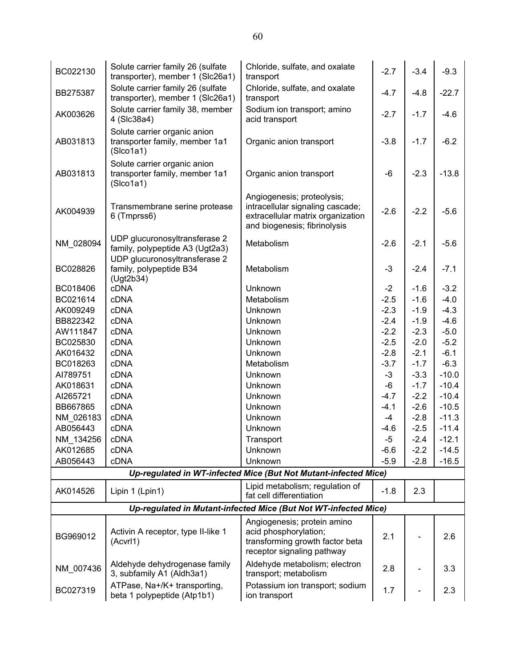| BC022130  | Solute carrier family 26 (sulfate<br>transporter), member 1 (Slc26a1)       | Chloride, sulfate, and oxalate<br>transport                                                                                         | $-2.7$ | $-3.4$ | $-9.3$  |
|-----------|-----------------------------------------------------------------------------|-------------------------------------------------------------------------------------------------------------------------------------|--------|--------|---------|
| BB275387  | Solute carrier family 26 (sulfate<br>transporter), member 1 (Slc26a1)       | Chloride, sulfate, and oxalate<br>transport                                                                                         | $-4.7$ | $-4.8$ | $-22.7$ |
| AK003626  | Solute carrier family 38, member<br>4 (Slc38a4)                             | Sodium ion transport; amino<br>acid transport                                                                                       | $-2.7$ | $-1.7$ | $-4.6$  |
| AB031813  | Solute carrier organic anion<br>transporter family, member 1a1<br>(Slco1a1) | Organic anion transport                                                                                                             | $-3.8$ | $-1.7$ | $-6.2$  |
| AB031813  | Solute carrier organic anion<br>transporter family, member 1a1<br>(Slco1a1) | Organic anion transport                                                                                                             | -6     | $-2.3$ | $-13.8$ |
| AK004939  | Transmembrane serine protease<br>6 (Tmprss6)                                | Angiogenesis; proteolysis;<br>intracellular signaling cascade;<br>extracellular matrix organization<br>and biogenesis; fibrinolysis | $-2.6$ | $-2.2$ | $-5.6$  |
| NM_028094 | UDP glucuronosyltransferase 2<br>family, polypeptide A3 (Ugt2a3)            | Metabolism                                                                                                                          | $-2.6$ | $-2.1$ | $-5.6$  |
| BC028826  | UDP glucuronosyltransferase 2<br>family, polypeptide B34<br>(Ugt2b34)       | Metabolism                                                                                                                          | $-3$   | $-2.4$ | $-7.1$  |
| BC018406  | <b>cDNA</b>                                                                 | Unknown                                                                                                                             | $-2$   | $-1.6$ | $-3.2$  |
| BC021614  | <b>cDNA</b>                                                                 | Metabolism                                                                                                                          | $-2.5$ | $-1.6$ | $-4.0$  |
| AK009249  | cDNA                                                                        | Unknown                                                                                                                             | $-2.3$ | $-1.9$ | $-4.3$  |
| BB822342  | <b>cDNA</b>                                                                 | Unknown                                                                                                                             | $-2.4$ | $-1.9$ | $-4.6$  |
| AW111847  | cDNA                                                                        | Unknown                                                                                                                             | $-2.2$ | $-2.3$ | $-5.0$  |
| BC025830  | <b>cDNA</b>                                                                 | Unknown                                                                                                                             | $-2.5$ | $-2.0$ | $-5.2$  |
| AK016432  | <b>cDNA</b>                                                                 | Unknown                                                                                                                             | $-2.8$ | $-2.1$ | $-6.1$  |
| BC018263  | cDNA                                                                        | Metabolism                                                                                                                          | $-3.7$ | $-1.7$ | $-6.3$  |
| AI789751  | <b>cDNA</b>                                                                 | Unknown                                                                                                                             | $-3$   | $-3.3$ | $-10.0$ |
| AK018631  | <b>cDNA</b>                                                                 | Unknown                                                                                                                             | -6     | $-1.7$ | $-10.4$ |
| AI265721  | cDNA                                                                        | Unknown                                                                                                                             | $-4.7$ | $-2.2$ | $-10.4$ |
| BB667865  | <b>cDNA</b>                                                                 | Unknown                                                                                                                             | $-4.1$ | $-2.6$ | $-10.5$ |
| NM 026183 | <b>cDNA</b>                                                                 | Unknown                                                                                                                             | $-4$   | $-2.8$ | $-11.3$ |
| AB056443  | <b>cDNA</b>                                                                 | Unknown                                                                                                                             | $-4.6$ | $-2.5$ | $-11.4$ |
| NM 134256 | <b>cDNA</b>                                                                 | Transport                                                                                                                           | $-5$   | $-2.4$ | $-12.1$ |
| AK012685  | <b>cDNA</b>                                                                 | Unknown                                                                                                                             | $-6.6$ | $-2.2$ | $-14.5$ |
| AB056443  | <b>cDNA</b>                                                                 | Unknown                                                                                                                             | $-5.9$ | $-2.8$ | $-16.5$ |
|           |                                                                             | Up-regulated in WT-infected Mice (But Not Mutant-infected Mice)                                                                     |        |        |         |
| AK014526  | Lipin 1 (Lpin1)                                                             | Lipid metabolism; regulation of<br>fat cell differentiation                                                                         | $-1.8$ | 2.3    |         |
|           |                                                                             | Up-regulated in Mutant-infected Mice (But Not WT-infected Mice)                                                                     |        |        |         |
| BG969012  | Activin A receptor, type II-like 1<br>(Acvrl1)                              | Angiogenesis; protein amino<br>acid phosphorylation;<br>transforming growth factor beta<br>receptor signaling pathway               | 2.1    |        | 2.6     |
| NM 007436 | Aldehyde dehydrogenase family<br>3, subfamily A1 (Aldh3a1)                  | Aldehyde metabolism; electron<br>transport; metabolism                                                                              | 2.8    |        | 3.3     |
| BC027319  | ATPase, Na+/K+ transporting,<br>beta 1 polypeptide (Atp1b1)                 | Potassium ion transport; sodium<br>ion transport                                                                                    | 1.7    |        | 2.3     |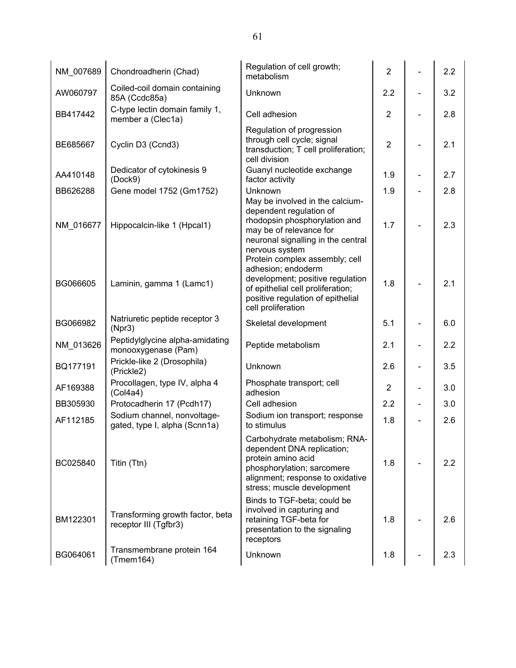| NM 007689 | Chondroadherin (Chad)                                        | Regulation of cell growth;<br>metabolism                                                                                                                                          | $\overline{2}$ | 2.2 |
|-----------|--------------------------------------------------------------|-----------------------------------------------------------------------------------------------------------------------------------------------------------------------------------|----------------|-----|
| AW060797  | Coiled-coil domain containing<br>85A (Ccdc85a)               | Unknown                                                                                                                                                                           | 2.2            | 3.2 |
| BB417442  | C-type lectin domain family 1,<br>member a (Clec1a)          | Cell adhesion                                                                                                                                                                     | $\overline{2}$ | 2.8 |
| BE685667  | Cyclin D3 (Ccnd3)                                            | Regulation of progression<br>through cell cycle; signal<br>transduction; T cell proliferation;<br>cell division                                                                   | $\overline{2}$ | 2.1 |
| AA410148  | Dedicator of cytokinesis 9<br>(Dock9)                        | Guanyl nucleotide exchange<br>factor activity                                                                                                                                     | 1.9            | 2.7 |
| BB626288  | Gene model 1752 (Gm1752)                                     | Unknown<br>May be involved in the calcium-                                                                                                                                        | 1.9            | 2.8 |
| NM 016677 | Hippocalcin-like 1 (Hpcal1)                                  | dependent regulation of<br>rhodopsin phosphorylation and<br>may be of relevance for<br>neuronal signalling in the central<br>nervous system<br>Protein complex assembly; cell     | 1.7            | 2.3 |
| BG066605  | Laminin, gamma 1 (Lamc1)                                     | adhesion; endoderm<br>development; positive regulation<br>of epithelial cell proliferation;<br>positive regulation of epithelial<br>cell proliferation                            | 1.8            | 2.1 |
| BG066982  | Natriuretic peptide receptor 3<br>(Npr3)                     | Skeletal development                                                                                                                                                              | 5.1            | 6.0 |
| NM_013626 | Peptidylglycine alpha-amidating<br>monooxygenase (Pam)       | Peptide metabolism                                                                                                                                                                | 2.1            | 2.2 |
| BQ177191  | Prickle-like 2 (Drosophila)<br>(Prickle2)                    | Unknown                                                                                                                                                                           | 2.6            | 3.5 |
| AF169388  | Procollagen, type IV, alpha 4<br>(Col4a4)                    | Phosphate transport; cell<br>adhesion                                                                                                                                             | $\overline{2}$ | 3.0 |
| BB305930  | Protocadherin 17 (Pcdh17)                                    | Cell adhesion                                                                                                                                                                     | 2.2            | 3.0 |
| AF112185  | Sodium channel, nonvoltage-<br>gated, type I, alpha (Scnn1a) | Sodium ion transport; response<br>to stimulus                                                                                                                                     | 1.8            | 2.6 |
| BC025840  | Titin (Ttn)                                                  | Carbohydrate metabolism; RNA-<br>dependent DNA replication;<br>protein amino acid<br>phosphorylation; sarcomere<br>alignment; response to oxidative<br>stress; muscle development | 1.8            | 2.2 |
| BM122301  | Transforming growth factor, beta<br>receptor III (Tgfbr3)    | Binds to TGF-beta; could be<br>involved in capturing and<br>retaining TGF-beta for<br>presentation to the signaling                                                               | 1.8            | 2.6 |
|           | Transmembrane protein 164                                    | receptors                                                                                                                                                                         |                |     |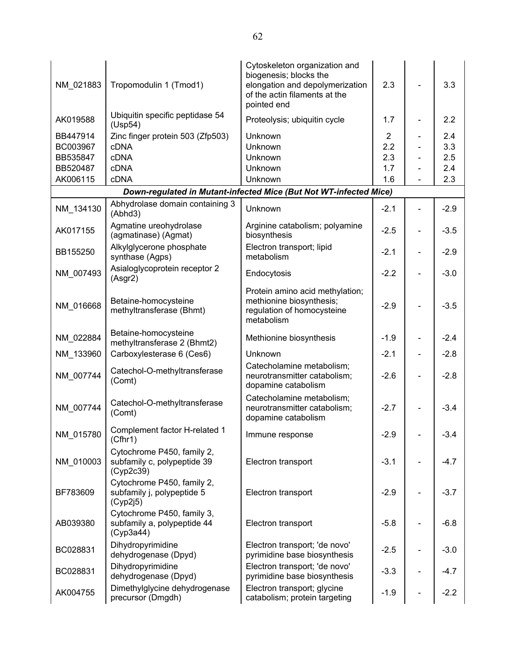| NM 021883 | Tropomodulin 1 (Tmod1)                                                 | Cytoskeleton organization and<br>biogenesis; blocks the<br>elongation and depolymerization<br>of the actin filaments at the<br>pointed end | 2.3            |   | 3.3    |
|-----------|------------------------------------------------------------------------|--------------------------------------------------------------------------------------------------------------------------------------------|----------------|---|--------|
| AK019588  | Ubiquitin specific peptidase 54<br>(Usp54)                             | Proteolysis; ubiquitin cycle                                                                                                               | 1.7            |   | 2.2    |
| BB447914  | Zinc finger protein 503 (Zfp503)                                       | Unknown                                                                                                                                    | $\overline{c}$ |   | 2.4    |
| BC003967  | <b>cDNA</b>                                                            | Unknown                                                                                                                                    | 2.2            |   | 3.3    |
| BB535847  | <b>cDNA</b>                                                            | Unknown                                                                                                                                    | 2.3            |   | 2.5    |
| BB520487  | cDNA                                                                   | Unknown                                                                                                                                    | 1.7            |   | 2.4    |
| AK006115  | <b>cDNA</b>                                                            | Unknown                                                                                                                                    | 1.6            |   | 2.3    |
|           |                                                                        | Down-regulated in Mutant-infected Mice (But Not WT-infected Mice)                                                                          |                |   |        |
| NM_134130 | Abhydrolase domain containing 3<br>(Abhd3)                             | Unknown                                                                                                                                    | $-2.1$         |   | $-2.9$ |
| AK017155  | Agmatine ureohydrolase<br>(agmatinase) (Agmat)                         | Arginine catabolism; polyamine<br>biosynthesis                                                                                             | $-2.5$         |   | $-3.5$ |
| BB155250  | Alkylglycerone phosphate<br>synthase (Agps)                            | Electron transport; lipid<br>metabolism                                                                                                    | $-2.1$         | - | $-2.9$ |
| NM_007493 | Asialoglycoprotein receptor 2<br>(Asgr2)                               | Endocytosis                                                                                                                                | $-2.2$         |   | $-3.0$ |
| NM_016668 | Betaine-homocysteine<br>methyltransferase (Bhmt)                       | Protein amino acid methylation;<br>methionine biosynthesis;<br>regulation of homocysteine<br>metabolism                                    | $-2.9$         |   | $-3.5$ |
| NM_022884 | Betaine-homocysteine<br>methyltransferase 2 (Bhmt2)                    | Methionine biosynthesis                                                                                                                    | $-1.9$         |   | $-2.4$ |
| NM_133960 | Carboxylesterase 6 (Ces6)                                              | Unknown                                                                                                                                    | $-2.1$         |   | $-2.8$ |
| NM_007744 | Catechol-O-methyltransferase<br>(Comt)                                 | Catecholamine metabolism;<br>neurotransmitter catabolism;<br>dopamine catabolism                                                           | $-2.6$         |   | $-2.8$ |
| NM 007744 | Catechol-O-methyltransferase<br>(Comt)                                 | Catecholamine metabolism;<br>neurotransmitter catabolism;<br>dopamine catabolism                                                           | $-2.7$         |   | $-3.4$ |
| NM_015780 | Complement factor H-related 1<br>(Cfhr1)                               | Immune response                                                                                                                            | $-2.9$         |   | $-3.4$ |
| NM 010003 | Cytochrome P450, family 2,<br>subfamily c, polypeptide 39<br>(Cyp2c39) | Electron transport                                                                                                                         | $-3.1$         |   | $-4.7$ |
| BF783609  | Cytochrome P450, family 2,<br>subfamily j, polypeptide 5<br>(Cyp2j5)   | Electron transport                                                                                                                         | $-2.9$         |   | $-3.7$ |
| AB039380  | Cytochrome P450, family 3,<br>subfamily a, polypeptide 44<br>(Cyp3a44) | Electron transport                                                                                                                         | $-5.8$         |   | $-6.8$ |
| BC028831  | Dihydropyrimidine<br>dehydrogenase (Dpyd)                              | Electron transport; 'de novo'<br>pyrimidine base biosynthesis                                                                              | $-2.5$         |   | $-3.0$ |
| BC028831  | Dihydropyrimidine<br>dehydrogenase (Dpyd)                              | Electron transport; 'de novo'<br>pyrimidine base biosynthesis                                                                              | $-3.3$         |   | $-4.7$ |
| AK004755  | Dimethylglycine dehydrogenase<br>precursor (Dmgdh)                     | Electron transport; glycine<br>catabolism; protein targeting                                                                               | $-1.9$         |   | $-2.2$ |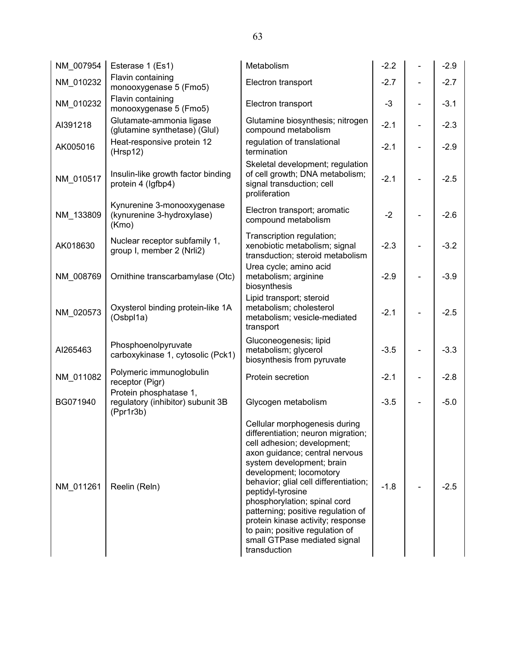| NM 007954 | Esterase 1 (Es1)                                                         | Metabolism                                                                                                                                                                                                                                                                                                                                                                                                                                               | $-2.2$ |                          | $-2.9$ |
|-----------|--------------------------------------------------------------------------|----------------------------------------------------------------------------------------------------------------------------------------------------------------------------------------------------------------------------------------------------------------------------------------------------------------------------------------------------------------------------------------------------------------------------------------------------------|--------|--------------------------|--------|
| NM_010232 | Flavin containing<br>monooxygenase 5 (Fmo5)                              | Electron transport                                                                                                                                                                                                                                                                                                                                                                                                                                       | $-2.7$ |                          | $-2.7$ |
| NM_010232 | Flavin containing<br>monooxygenase 5 (Fmo5)                              | Electron transport                                                                                                                                                                                                                                                                                                                                                                                                                                       | $-3$   |                          | $-3.1$ |
| AI391218  | Glutamate-ammonia ligase<br>(glutamine synthetase) (Glul)                | Glutamine biosynthesis; nitrogen<br>compound metabolism                                                                                                                                                                                                                                                                                                                                                                                                  | $-2.1$ | $\overline{\phantom{0}}$ | $-2.3$ |
| AK005016  | Heat-responsive protein 12<br>(Hrsp12)                                   | regulation of translational<br>termination                                                                                                                                                                                                                                                                                                                                                                                                               | $-2.1$ |                          | $-2.9$ |
| NM_010517 | Insulin-like growth factor binding<br>protein 4 (Igfbp4)                 | Skeletal development; regulation<br>of cell growth; DNA metabolism;<br>signal transduction; cell<br>proliferation                                                                                                                                                                                                                                                                                                                                        | $-2.1$ |                          | $-2.5$ |
| NM_133809 | Kynurenine 3-monooxygenase<br>(kynurenine 3-hydroxylase)<br>(Kmo)        | Electron transport; aromatic<br>compound metabolism                                                                                                                                                                                                                                                                                                                                                                                                      | $-2$   |                          | $-2.6$ |
| AK018630  | Nuclear receptor subfamily 1,<br>group I, member 2 (Nrli2)               | Transcription regulation;<br>xenobiotic metabolism; signal<br>transduction; steroid metabolism                                                                                                                                                                                                                                                                                                                                                           | $-2.3$ |                          | $-3.2$ |
| NM 008769 | Ornithine transcarbamylase (Otc)                                         | Urea cycle; amino acid<br>metabolism; arginine<br>biosynthesis                                                                                                                                                                                                                                                                                                                                                                                           | $-2.9$ |                          | $-3.9$ |
| NM_020573 | Oxysterol binding protein-like 1A<br>(Osbpl1a)                           | Lipid transport; steroid<br>metabolism; cholesterol<br>metabolism; vesicle-mediated<br>transport                                                                                                                                                                                                                                                                                                                                                         | $-2.1$ |                          | $-2.5$ |
| AI265463  | Phosphoenolpyruvate<br>carboxykinase 1, cytosolic (Pck1)                 | Gluconeogenesis; lipid<br>metabolism; glycerol<br>biosynthesis from pyruvate                                                                                                                                                                                                                                                                                                                                                                             | $-3.5$ |                          | $-3.3$ |
| NM 011082 | Polymeric immunoglobulin<br>receptor (Pigr)                              | Protein secretion                                                                                                                                                                                                                                                                                                                                                                                                                                        | $-2.1$ |                          | $-2.8$ |
| BG071940  | Protein phosphatase 1,<br>regulatory (inhibitor) subunit 3B<br>(Ppr1r3b) | Glycogen metabolism                                                                                                                                                                                                                                                                                                                                                                                                                                      | $-3.5$ | -                        | $-5.0$ |
| NM 011261 | Reelin (Reln)                                                            | Cellular morphogenesis during<br>differentiation; neuron migration;<br>cell adhesion; development;<br>axon guidance; central nervous<br>system development; brain<br>development; locomotory<br>behavior; glial cell differentiation;<br>peptidyl-tyrosine<br>phosphorylation; spinal cord<br>patterning; positive regulation of<br>protein kinase activity; response<br>to pain; positive regulation of<br>small GTPase mediated signal<br>transduction | $-1.8$ |                          | $-2.5$ |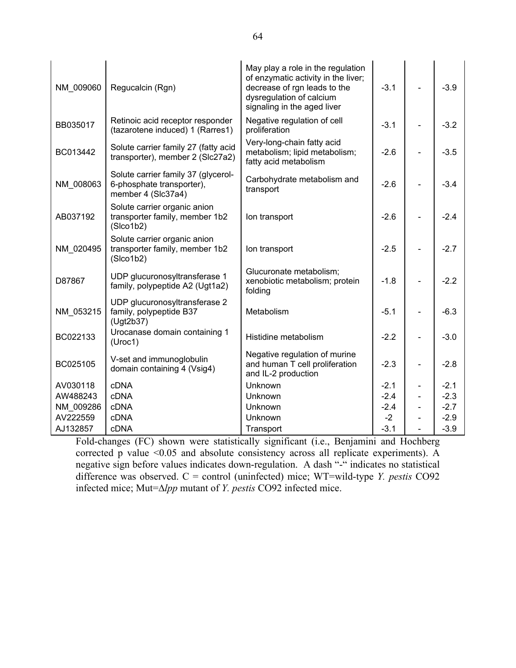| NM 009060 | Regucalcin (Rgn)                                                                       | May play a role in the regulation<br>of enzymatic activity in the liver;<br>decrease of rgn leads to the<br>dysregulation of calcium<br>signaling in the aged liver | $-3.1$ | L,                       | $-3.9$ |
|-----------|----------------------------------------------------------------------------------------|---------------------------------------------------------------------------------------------------------------------------------------------------------------------|--------|--------------------------|--------|
| BB035017  | Retinoic acid receptor responder<br>(tazarotene induced) 1 (Rarres1)                   | Negative regulation of cell<br>proliferation                                                                                                                        | $-3.1$ |                          | $-3.2$ |
| BC013442  | Solute carrier family 27 (fatty acid<br>transporter), member 2 (Slc27a2)               | Very-long-chain fatty acid<br>metabolism; lipid metabolism;<br>fatty acid metabolism                                                                                | $-2.6$ |                          | $-3.5$ |
| NM_008063 | Solute carrier family 37 (glycerol-<br>6-phosphate transporter),<br>member 4 (Slc37a4) | Carbohydrate metabolism and<br>transport                                                                                                                            | $-2.6$ |                          | $-3.4$ |
| AB037192  | Solute carrier organic anion<br>transporter family, member 1b2<br>(Slco1b2)            | Ion transport                                                                                                                                                       | $-2.6$ |                          | $-2.4$ |
| NM 020495 | Solute carrier organic anion<br>transporter family, member 1b2<br>(Slco1b2)            | lon transport                                                                                                                                                       | $-2.5$ |                          | $-2.7$ |
| D87867    | UDP glucuronosyltransferase 1<br>family, polypeptide A2 (Ugt1a2)                       | Glucuronate metabolism;<br>xenobiotic metabolism; protein<br>folding                                                                                                | $-1.8$ |                          | $-2.2$ |
| NM 053215 | UDP glucuronosyltransferase 2<br>family, polypeptide B37<br>(Ugt2b37)                  | Metabolism                                                                                                                                                          | $-5.1$ |                          | $-6.3$ |
| BC022133  | Urocanase domain containing 1<br>(Uroc1)                                               | Histidine metabolism                                                                                                                                                | $-2.2$ |                          | $-3.0$ |
| BC025105  | V-set and immunoglobulin<br>domain containing 4 (Vsig4)                                | Negative regulation of murine<br>and human T cell proliferation<br>and IL-2 production                                                                              | $-2.3$ | $\overline{\phantom{0}}$ | $-2.8$ |
| AV030118  | cDNA                                                                                   | Unknown                                                                                                                                                             | $-2.1$ |                          | $-2.1$ |
| AW488243  | cDNA                                                                                   | Unknown                                                                                                                                                             | $-2.4$ |                          | $-2.3$ |
| NM 009286 | cDNA                                                                                   | Unknown                                                                                                                                                             | $-2.4$ |                          | $-2.7$ |
| AV222559  | <b>cDNA</b>                                                                            | Unknown                                                                                                                                                             | $-2$   |                          | $-2.9$ |
| AJ132857  | cDNA                                                                                   | Transport                                                                                                                                                           | $-3.1$ |                          | $-3.9$ |

Fold-changes (FC) shown were statistically significant (i.e., Benjamini and Hochberg corrected p value <0.05 and absolute consistency across all replicate experiments). A negative sign before values indicates down-regulation. A dash "-" indicates no statistical difference was observed.  $C =$  control (uninfected) mice; WT=wild-type *Y. pestis* CO92 infected mice; Mut=∆lpp mutant of Y. pestis CO92 infected mice.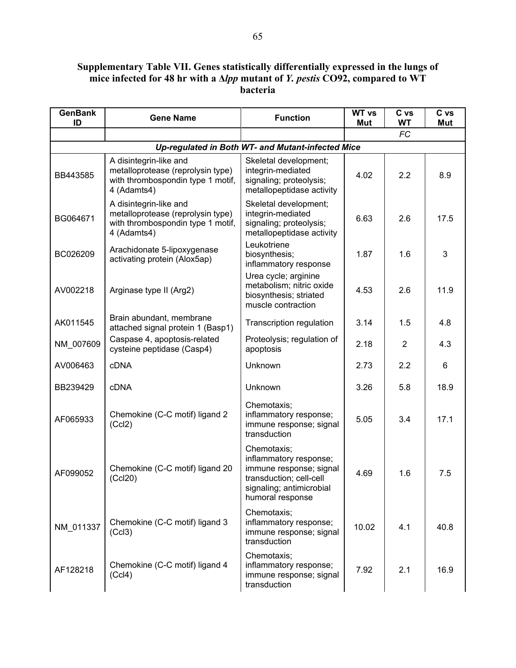### Supplementary Table VII. Genes statistically differentially expressed in the lungs of mice infected for 48 hr with a ∆lpp mutant of *Y. pestis* CO92, compared to WT bacteria

| <b>GenBank</b><br>ID | <b>Gene Name</b>                                                                                                | <b>Function</b>                                                                                                                             | <b>WT vs</b><br>Mut | C vs<br>WT     | C vs<br>Mut |
|----------------------|-----------------------------------------------------------------------------------------------------------------|---------------------------------------------------------------------------------------------------------------------------------------------|---------------------|----------------|-------------|
|                      |                                                                                                                 |                                                                                                                                             |                     | <b>FC</b>      |             |
|                      |                                                                                                                 | Up-regulated in Both WT- and Mutant-infected Mice                                                                                           |                     |                |             |
| BB443585             | A disintegrin-like and<br>metalloprotease (reprolysin type)<br>with thrombospondin type 1 motif,<br>4 (Adamts4) | Skeletal development;<br>integrin-mediated<br>signaling; proteolysis;<br>metallopeptidase activity                                          | 4.02                | 2.2            | 8.9         |
| BG064671             | A disintegrin-like and<br>metalloprotease (reprolysin type)<br>with thrombospondin type 1 motif,<br>4 (Adamts4) | Skeletal development;<br>integrin-mediated<br>signaling; proteolysis;<br>metallopeptidase activity                                          | 6.63                | 2.6            | 17.5        |
| BC026209             | Arachidonate 5-lipoxygenase<br>activating protein (Alox5ap)                                                     | Leukotriene<br>biosynthesis;<br>inflammatory response                                                                                       | 1.87                | 1.6            | 3           |
| AV002218             | Arginase type II (Arg2)                                                                                         | Urea cycle; arginine<br>metabolism; nitric oxide<br>biosynthesis; striated<br>muscle contraction                                            | 4.53                | 2.6            | 11.9        |
| AK011545             | Brain abundant, membrane<br>attached signal protein 1 (Basp1)                                                   | Transcription regulation                                                                                                                    | 3.14                | 1.5            | 4.8         |
| NM_007609            | Caspase 4, apoptosis-related<br>cysteine peptidase (Casp4)                                                      | Proteolysis; regulation of<br>apoptosis                                                                                                     | 2.18                | $\overline{2}$ | 4.3         |
| AV006463             | <b>cDNA</b>                                                                                                     | Unknown                                                                                                                                     | 2.73                | 2.2            | 6           |
| BB239429             | <b>cDNA</b>                                                                                                     | Unknown                                                                                                                                     | 3.26                | 5.8            | 18.9        |
| AF065933             | Chemokine (C-C motif) ligand 2<br>(Ccl2)                                                                        | Chemotaxis;<br>inflammatory response;<br>immune response; signal<br>transduction                                                            | 5.05                | 3.4            | 17.1        |
| AF099052             | Chemokine (C-C motif) ligand 20<br>(CcI20)                                                                      | Chemotaxis;<br>inflammatory response;<br>immune response; signal<br>transduction; cell-cell<br>signaling; antimicrobial<br>humoral response | 4.69                | 1.6            | 7.5         |
| NM 011337            | Chemokine (C-C motif) ligand 3<br>(Cc13)                                                                        | Chemotaxis;<br>inflammatory response;<br>immune response; signal<br>transduction                                                            | 10.02               | 4.1            | 40.8        |
| AF128218             | Chemokine (C-C motif) ligand 4<br>(Cc <sub>14</sub> )                                                           | Chemotaxis;<br>inflammatory response;<br>immune response; signal<br>transduction                                                            | 7.92                | 2.1            | 16.9        |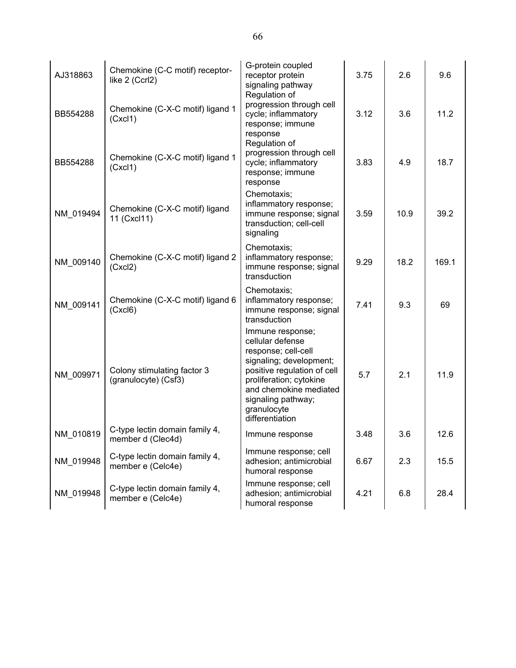| AJ318863  | Chemokine (C-C motif) receptor-<br>like 2 (Ccrl2)   | G-protein coupled<br>receptor protein<br>signaling pathway<br>Regulation of                                                                                                                                                        | 3.75 | 2.6  | 9.6   |
|-----------|-----------------------------------------------------|------------------------------------------------------------------------------------------------------------------------------------------------------------------------------------------------------------------------------------|------|------|-------|
| BB554288  | Chemokine (C-X-C motif) ligand 1<br>(Cxcl1)         | progression through cell<br>cycle; inflammatory<br>response; immune<br>response                                                                                                                                                    | 3.12 | 3.6  | 11.2  |
| BB554288  | Chemokine (C-X-C motif) ligand 1<br>(Cxcl1)         | Regulation of<br>progression through cell<br>cycle; inflammatory<br>response; immune<br>response                                                                                                                                   | 3.83 | 4.9  | 18.7  |
| NM_019494 | Chemokine (C-X-C motif) ligand<br>11 (Cxcl11)       | Chemotaxis;<br>inflammatory response;<br>immune response; signal<br>transduction; cell-cell<br>signaling                                                                                                                           | 3.59 | 10.9 | 39.2  |
| NM_009140 | Chemokine (C-X-C motif) ligand 2<br>(Cxcl2)         | Chemotaxis;<br>inflammatory response;<br>immune response; signal<br>transduction                                                                                                                                                   | 9.29 | 18.2 | 169.1 |
| NM_009141 | Chemokine (C-X-C motif) ligand 6<br>(Cxcl6)         | Chemotaxis;<br>inflammatory response;<br>immune response; signal<br>transduction                                                                                                                                                   | 7.41 | 9.3  | 69    |
| NM_009971 | Colony stimulating factor 3<br>(granulocyte) (Csf3) | Immune response;<br>cellular defense<br>response; cell-cell<br>signaling; development;<br>positive regulation of cell<br>proliferation; cytokine<br>and chemokine mediated<br>signaling pathway;<br>granulocyte<br>differentiation | 5.7  | 2.1  | 11.9  |
| NM 010819 | C-type lectin domain family 4,<br>member d (Clec4d) | Immune response                                                                                                                                                                                                                    | 3.48 | 3.6  | 12.6  |
| NM_019948 | C-type lectin domain family 4,<br>member e (Celc4e) | Immune response; cell<br>adhesion; antimicrobial<br>humoral response                                                                                                                                                               | 6.67 | 2.3  | 15.5  |
| NM 019948 | C-type lectin domain family 4,<br>member e (Celc4e) | Immune response; cell<br>adhesion; antimicrobial<br>humoral response                                                                                                                                                               | 4.21 | 6.8  | 28.4  |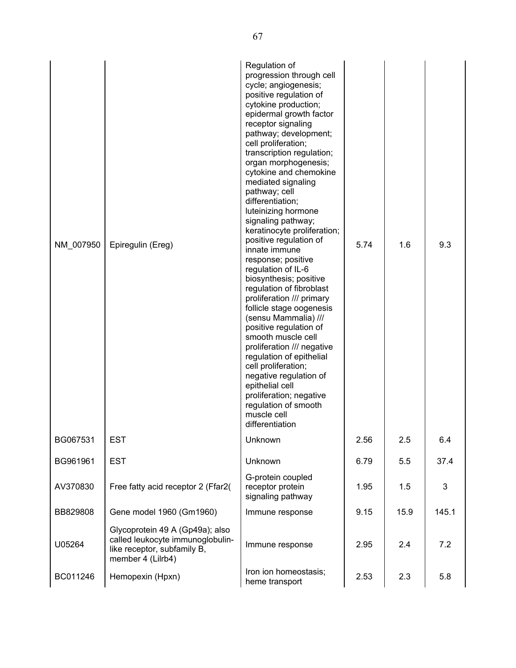| NM 007950 | Epiregulin (Ereg)                                                                                                       | Regulation of<br>progression through cell<br>cycle; angiogenesis;<br>positive regulation of<br>cytokine production;<br>epidermal growth factor<br>receptor signaling<br>pathway; development;<br>cell proliferation;<br>transcription regulation;<br>organ morphogenesis;<br>cytokine and chemokine<br>mediated signaling<br>pathway; cell<br>differentiation;<br>luteinizing hormone<br>signaling pathway;<br>keratinocyte proliferation;<br>positive regulation of<br>innate immune<br>response; positive<br>regulation of IL-6<br>biosynthesis; positive<br>regulation of fibroblast<br>proliferation /// primary<br>follicle stage oogenesis<br>(sensu Mammalia) ///<br>positive regulation of<br>smooth muscle cell<br>proliferation /// negative<br>regulation of epithelial<br>cell proliferation;<br>negative regulation of<br>epithelial cell<br>proliferation; negative<br>regulation of smooth<br>muscle cell<br>differentiation | 5.74 | 1.6  | 9.3   |
|-----------|-------------------------------------------------------------------------------------------------------------------------|---------------------------------------------------------------------------------------------------------------------------------------------------------------------------------------------------------------------------------------------------------------------------------------------------------------------------------------------------------------------------------------------------------------------------------------------------------------------------------------------------------------------------------------------------------------------------------------------------------------------------------------------------------------------------------------------------------------------------------------------------------------------------------------------------------------------------------------------------------------------------------------------------------------------------------------------|------|------|-------|
| BG067531  | <b>EST</b>                                                                                                              | Unknown                                                                                                                                                                                                                                                                                                                                                                                                                                                                                                                                                                                                                                                                                                                                                                                                                                                                                                                                     | 2.56 | 2.5  | 6.4   |
| BG961961  | <b>EST</b>                                                                                                              | Unknown                                                                                                                                                                                                                                                                                                                                                                                                                                                                                                                                                                                                                                                                                                                                                                                                                                                                                                                                     | 6.79 | 5.5  | 37.4  |
| AV370830  | Free fatty acid receptor 2 (Ffar2)                                                                                      | G-protein coupled<br>receptor protein<br>signaling pathway                                                                                                                                                                                                                                                                                                                                                                                                                                                                                                                                                                                                                                                                                                                                                                                                                                                                                  | 1.95 | 1.5  | 3     |
| BB829808  | Gene model 1960 (Gm1960)                                                                                                | Immune response                                                                                                                                                                                                                                                                                                                                                                                                                                                                                                                                                                                                                                                                                                                                                                                                                                                                                                                             | 9.15 | 15.9 | 145.1 |
| U05264    | Glycoprotein 49 A (Gp49a); also<br>called leukocyte immunoglobulin-<br>like receptor, subfamily B,<br>member 4 (Lilrb4) | Immune response                                                                                                                                                                                                                                                                                                                                                                                                                                                                                                                                                                                                                                                                                                                                                                                                                                                                                                                             | 2.95 | 2.4  | 7.2   |
| BC011246  | Hemopexin (Hpxn)                                                                                                        | Iron ion homeostasis;<br>heme transport                                                                                                                                                                                                                                                                                                                                                                                                                                                                                                                                                                                                                                                                                                                                                                                                                                                                                                     | 2.53 | 2.3  | 5.8   |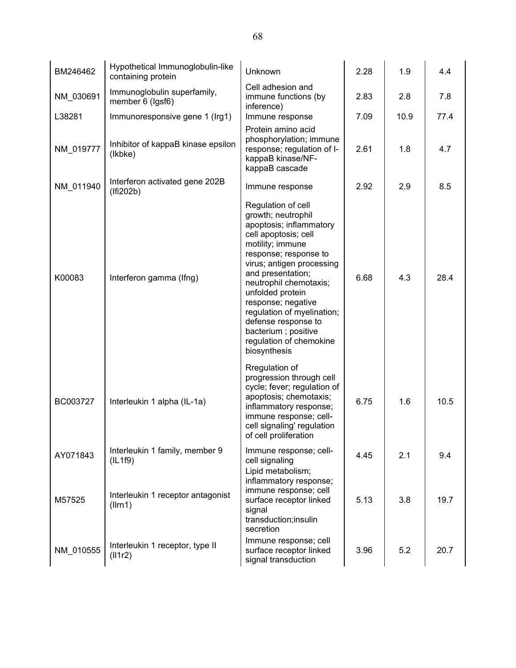| BM246462  | Hypothetical Immunoglobulin-like<br>containing protein | Unknown                                                                                                                                                                                                                                                                                                                                                                               | 2.28 | 1.9  | 4.4  |
|-----------|--------------------------------------------------------|---------------------------------------------------------------------------------------------------------------------------------------------------------------------------------------------------------------------------------------------------------------------------------------------------------------------------------------------------------------------------------------|------|------|------|
| NM_030691 | Immunoglobulin superfamily,<br>member 6 (Igsf6)        | Cell adhesion and<br>immune functions (by<br>inference)                                                                                                                                                                                                                                                                                                                               | 2.83 | 2.8  | 7.8  |
| L38281    | Immunoresponsive gene 1 (Irg1)                         | Immune response                                                                                                                                                                                                                                                                                                                                                                       | 7.09 | 10.9 | 77.4 |
| NM_019777 | Inhibitor of kappaB kinase epsilon<br>(Ikbke)          | Protein amino acid<br>phosphorylation; immune<br>response; regulation of I-<br>kappaB kinase/NF-<br>kappaB cascade                                                                                                                                                                                                                                                                    | 2.61 | 1.8  | 4.7  |
| NM_011940 | Interferon activated gene 202B<br>(Ifi202b)            | Immune response                                                                                                                                                                                                                                                                                                                                                                       | 2.92 | 2.9  | 8.5  |
| K00083    | Interferon gamma (Ifng)                                | Regulation of cell<br>growth; neutrophil<br>apoptosis; inflammatory<br>cell apoptosis; cell<br>motility; immune<br>response; response to<br>virus; antigen processing<br>and presentation;<br>neutrophil chemotaxis;<br>unfolded protein<br>response; negative<br>regulation of myelination;<br>defense response to<br>bacterium; positive<br>regulation of chemokine<br>biosynthesis | 6.68 | 4.3  | 28.4 |
| BC003727  | Interleukin 1 alpha (IL-1a)                            | Rregulation of<br>progression through cell<br>cycle; fever; regulation of<br>apoptosis; chemotaxis;<br>inflammatory response;<br>immune response; cell-<br>cell signaling' regulation<br>of cell proliferation                                                                                                                                                                        | 6.75 | 1.6  | 10.5 |
| AY071843  | Interleukin 1 family, member 9<br>(IL1f9)              | Immune response; cell-<br>cell signaling                                                                                                                                                                                                                                                                                                                                              | 4.45 | 2.1  | 9.4  |
| M57525    | Interleukin 1 receptor antagonist<br>(Ilrn1)           | Lipid metabolism;<br>inflammatory response;<br>immune response; cell<br>surface receptor linked<br>signal<br>transduction;insulin<br>secretion                                                                                                                                                                                                                                        | 5.13 | 3.8  | 19.7 |
| NM_010555 | Interleukin 1 receptor, type II<br>(111r2)             | Immune response; cell<br>surface receptor linked<br>signal transduction                                                                                                                                                                                                                                                                                                               | 3.96 | 5.2  | 20.7 |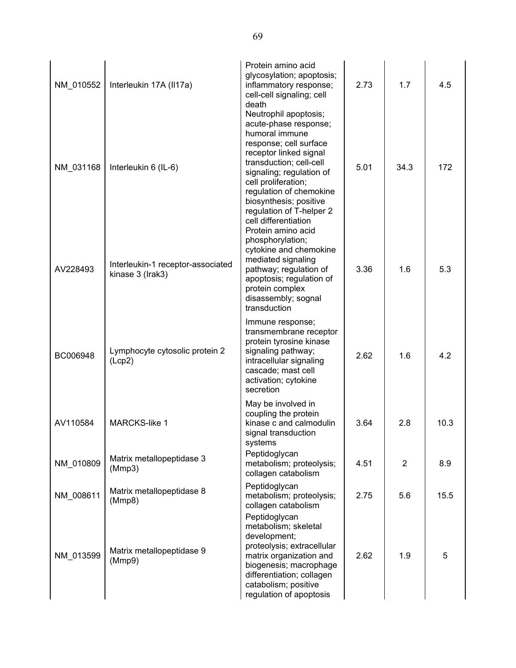| NM_010552 | Interleukin 17A (II17a)                               | Protein amino acid<br>glycosylation; apoptosis;<br>inflammatory response;<br>cell-cell signaling; cell<br>death                                                                                                                                                                                                                   | 2.73 | 1.7            | 4.5  |
|-----------|-------------------------------------------------------|-----------------------------------------------------------------------------------------------------------------------------------------------------------------------------------------------------------------------------------------------------------------------------------------------------------------------------------|------|----------------|------|
| NM_031168 | Interleukin 6 (IL-6)                                  | Neutrophil apoptosis;<br>acute-phase response;<br>humoral immune<br>response; cell surface<br>receptor linked signal<br>transduction; cell-cell<br>signaling; regulation of<br>cell proliferation;<br>regulation of chemokine<br>biosynthesis; positive<br>regulation of T-helper 2<br>cell differentiation<br>Protein amino acid | 5.01 | 34.3           | 172  |
| AV228493  | Interleukin-1 receptor-associated<br>kinase 3 (Irak3) | phosphorylation;<br>cytokine and chemokine<br>mediated signaling<br>pathway; regulation of<br>apoptosis; regulation of<br>protein complex<br>disassembly; sognal<br>transduction                                                                                                                                                  | 3.36 | 1.6            | 5.3  |
| BC006948  | Lymphocyte cytosolic protein 2<br>(Lcp2)              | Immune response;<br>transmembrane receptor<br>protein tyrosine kinase<br>signaling pathway;<br>intracellular signaling<br>cascade; mast cell<br>activation; cytokine<br>secretion                                                                                                                                                 | 2.62 | 1.6            | 4.2  |
| AV110584  | <b>MARCKS-like 1</b>                                  | May be involved in<br>coupling the protein<br>kinase c and calmodulin<br>signal transduction<br>systems                                                                                                                                                                                                                           | 3.64 | 2.8            | 10.3 |
| NM_010809 | Matrix metallopeptidase 3<br>(Mmp3)                   | Peptidoglycan<br>metabolism; proteolysis;<br>collagen catabolism                                                                                                                                                                                                                                                                  | 4.51 | $\overline{2}$ | 8.9  |
| NM 008611 | Matrix metallopeptidase 8<br>(Mmp8)                   | Peptidoglycan<br>metabolism; proteolysis;<br>collagen catabolism                                                                                                                                                                                                                                                                  | 2.75 | 5.6            | 15.5 |
| NM_013599 | Matrix metallopeptidase 9<br>(Mmp9)                   | Peptidoglycan<br>metabolism; skeletal<br>development;<br>proteolysis; extracellular<br>matrix organization and<br>biogenesis; macrophage<br>differentiation; collagen<br>catabolism; positive<br>regulation of apoptosis                                                                                                          | 2.62 | 1.9            | 5    |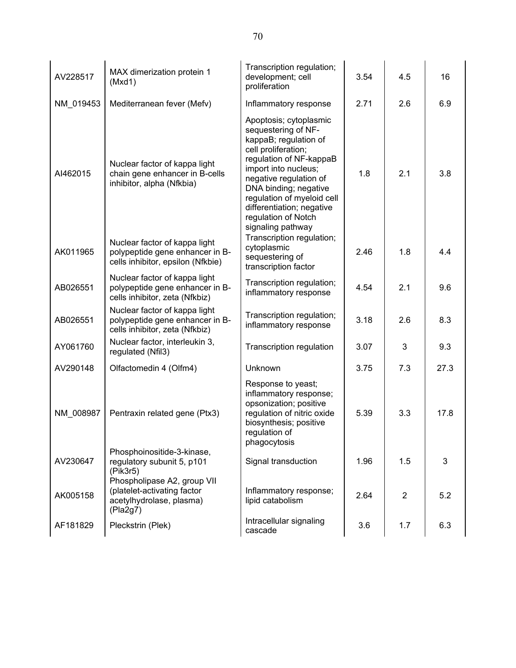| AV228517  | MAX dimerization protein 1<br>(Mxd1)                                                                  | Transcription regulation;<br>development; cell<br>proliferation                                                                                                                                                                                                                                            | 3.54 | 4.5            | 16   |
|-----------|-------------------------------------------------------------------------------------------------------|------------------------------------------------------------------------------------------------------------------------------------------------------------------------------------------------------------------------------------------------------------------------------------------------------------|------|----------------|------|
| NM_019453 | Mediterranean fever (Mefv)                                                                            | Inflammatory response                                                                                                                                                                                                                                                                                      | 2.71 | 2.6            | 6.9  |
| AI462015  | Nuclear factor of kappa light<br>chain gene enhancer in B-cells<br>inhibitor, alpha (Nfkbia)          | Apoptosis; cytoplasmic<br>sequestering of NF-<br>kappaB; regulation of<br>cell proliferation;<br>regulation of NF-kappaB<br>import into nucleus;<br>negative regulation of<br>DNA binding; negative<br>regulation of myeloid cell<br>differentiation; negative<br>regulation of Notch<br>signaling pathway | 1.8  | 2.1            | 3.8  |
| AK011965  | Nuclear factor of kappa light<br>polypeptide gene enhancer in B-<br>cells inhibitor, epsilon (Nfkbie) | Transcription regulation;<br>cytoplasmic<br>sequestering of<br>transcription factor                                                                                                                                                                                                                        | 2.46 | 1.8            | 4.4  |
| AB026551  | Nuclear factor of kappa light<br>polypeptide gene enhancer in B-<br>cells inhibitor, zeta (Nfkbiz)    | Transcription regulation;<br>inflammatory response                                                                                                                                                                                                                                                         | 4.54 | 2.1            | 9.6  |
| AB026551  | Nuclear factor of kappa light<br>polypeptide gene enhancer in B-<br>cells inhibitor, zeta (Nfkbiz)    | Transcription regulation;<br>inflammatory response                                                                                                                                                                                                                                                         | 3.18 | 2.6            | 8.3  |
| AY061760  | Nuclear factor, interleukin 3,<br>regulated (Nfil3)                                                   | Transcription regulation                                                                                                                                                                                                                                                                                   | 3.07 | 3              | 9.3  |
| AV290148  | Olfactomedin 4 (Olfm4)                                                                                | Unknown                                                                                                                                                                                                                                                                                                    | 3.75 | 7.3            | 27.3 |
| NM 008987 | Pentraxin related gene (Ptx3)                                                                         | Response to yeast;<br>inflammatory response;<br>opsonization; positive<br>regulation of nitric oxide<br>biosynthesis; positive<br>regulation of<br>phagocytosis                                                                                                                                            | 5.39 | 3.3            | 17.8 |
| AV230647  | Phosphoinositide-3-kinase,<br>regulatory subunit 5, p101<br>(Pik3r5)                                  | Signal transduction                                                                                                                                                                                                                                                                                        | 1.96 | 1.5            | 3    |
| AK005158  | Phospholipase A2, group VII<br>(platelet-activating factor<br>acetylhydrolase, plasma)<br>(Pla2g7)    | Inflammatory response;<br>lipid catabolism                                                                                                                                                                                                                                                                 | 2.64 | $\overline{2}$ | 5.2  |
| AF181829  | Pleckstrin (Plek)                                                                                     | Intracellular signaling<br>cascade                                                                                                                                                                                                                                                                         | 3.6  | 1.7            | 6.3  |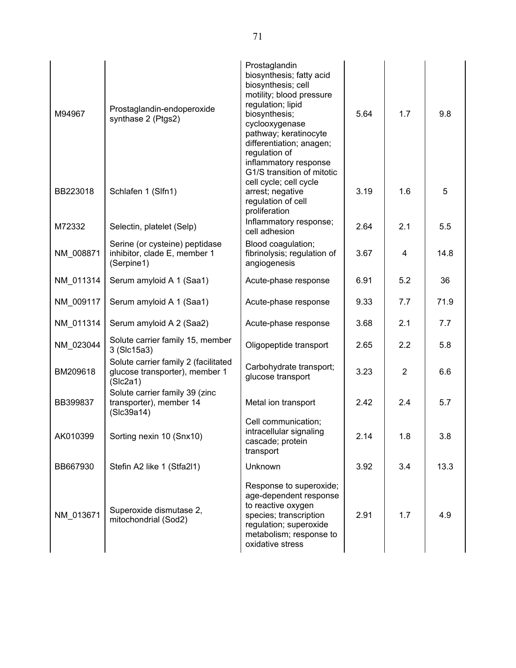| M94967    | Prostaglandin-endoperoxide<br>synthase 2 (Ptgs2)                                   | Prostaglandin<br>biosynthesis; fatty acid<br>biosynthesis; cell<br>motility; blood pressure<br>regulation; lipid<br>biosynthesis;<br>cyclooxygenase<br>pathway; keratinocyte<br>differentiation; anagen;<br>regulation of<br>inflammatory response<br>G1/S transition of mitotic | 5.64 | 1.7 | 9.8  |
|-----------|------------------------------------------------------------------------------------|----------------------------------------------------------------------------------------------------------------------------------------------------------------------------------------------------------------------------------------------------------------------------------|------|-----|------|
| BB223018  | Schlafen 1 (Slfn1)                                                                 | cell cycle; cell cycle<br>arrest; negative<br>regulation of cell<br>proliferation                                                                                                                                                                                                | 3.19 | 1.6 | 5    |
| M72332    | Selectin, platelet (Selp)                                                          | Inflammatory response;<br>cell adhesion                                                                                                                                                                                                                                          | 2.64 | 2.1 | 5.5  |
| NM_008871 | Serine (or cysteine) peptidase<br>inhibitor, clade E, member 1<br>(Serpine1)       | Blood coagulation;<br>fibrinolysis; regulation of<br>angiogenesis                                                                                                                                                                                                                | 3.67 | 4   | 14.8 |
| NM_011314 | Serum amyloid A 1 (Saa1)                                                           | Acute-phase response                                                                                                                                                                                                                                                             | 6.91 | 5.2 | 36   |
| NM_009117 | Serum amyloid A 1 (Saa1)                                                           | Acute-phase response                                                                                                                                                                                                                                                             | 9.33 | 7.7 | 71.9 |
| NM_011314 | Serum amyloid A 2 (Saa2)                                                           | Acute-phase response                                                                                                                                                                                                                                                             | 3.68 | 2.1 | 7.7  |
| NM_023044 | Solute carrier family 15, member<br>3 (Slc15a3)                                    | Oligopeptide transport                                                                                                                                                                                                                                                           | 2.65 | 2.2 | 5.8  |
| BM209618  | Solute carrier family 2 (facilitated<br>glucose transporter), member 1<br>(Slc2a1) | Carbohydrate transport;<br>glucose transport                                                                                                                                                                                                                                     | 3.23 | 2   | 6.6  |
| BB399837  | Solute carrier family 39 (zinc<br>transporter), member 14<br>(Slc39a14)            | Metal ion transport                                                                                                                                                                                                                                                              | 2.42 | 2.4 | 5.7  |
| AK010399  | Sorting nexin 10 (Snx10)                                                           | Cell communication;<br>intracellular signaling<br>cascade; protein<br>transport                                                                                                                                                                                                  | 2.14 | 1.8 | 3.8  |
| BB667930  | Stefin A2 like 1 (Stfa2l1)                                                         | Unknown                                                                                                                                                                                                                                                                          | 3.92 | 3.4 | 13.3 |
| NM_013671 | Superoxide dismutase 2,<br>mitochondrial (Sod2)                                    | Response to superoxide;<br>age-dependent response<br>to reactive oxygen<br>species; transcription<br>regulation; superoxide<br>metabolism; response to<br>oxidative stress                                                                                                       | 2.91 | 1.7 | 4.9  |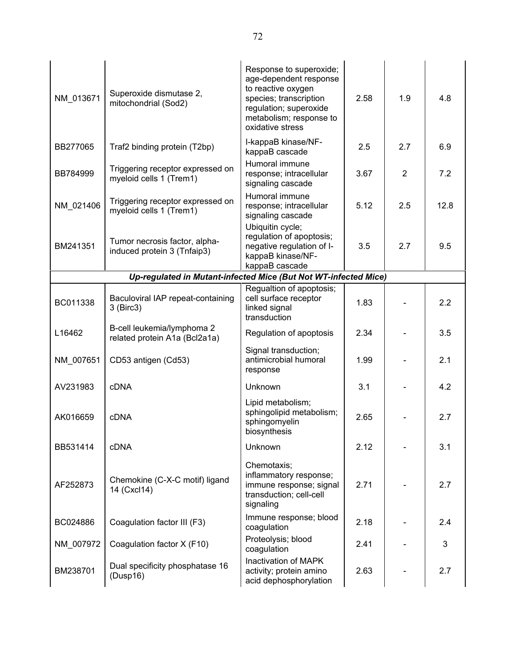| NM_013671 | Superoxide dismutase 2,<br>mitochondrial (Sod2)                 | Response to superoxide;<br>age-dependent response<br>to reactive oxygen<br>species; transcription<br>regulation; superoxide<br>metabolism; response to<br>oxidative stress | 2.58 | 1.9 | 4.8  |
|-----------|-----------------------------------------------------------------|----------------------------------------------------------------------------------------------------------------------------------------------------------------------------|------|-----|------|
| BB277065  | Traf2 binding protein (T2bp)                                    | I-kappaB kinase/NF-<br>kappaB cascade                                                                                                                                      | 2.5  | 2.7 | 6.9  |
| BB784999  | Triggering receptor expressed on<br>myeloid cells 1 (Trem1)     | Humoral immune<br>response; intracellular<br>signaling cascade                                                                                                             | 3.67 | 2   | 7.2  |
| NM_021406 | Triggering receptor expressed on<br>myeloid cells 1 (Trem1)     | Humoral immune<br>response; intracellular<br>signaling cascade                                                                                                             | 5.12 | 2.5 | 12.8 |
| BM241351  | Tumor necrosis factor, alpha-<br>induced protein 3 (Tnfaip3)    | Ubiquitin cycle;<br>regulation of apoptosis;<br>negative regulation of I-<br>kappaB kinase/NF-<br>kappaB cascade                                                           | 3.5  | 2.7 | 9.5  |
|           | Up-regulated in Mutant-infected Mice (But Not WT-infected Mice) |                                                                                                                                                                            |      |     |      |
| BC011338  | Baculoviral IAP repeat-containing<br>3 (Birc3)                  | Regualtion of apoptosis;<br>cell surface receptor<br>linked signal<br>transduction                                                                                         | 1.83 |     | 2.2  |
| L16462    | B-cell leukemia/lymphoma 2<br>related protein A1a (Bcl2a1a)     | Regulation of apoptosis                                                                                                                                                    | 2.34 |     | 3.5  |
| NM_007651 | CD53 antigen (Cd53)                                             | Signal transduction;<br>antimicrobial humoral<br>response                                                                                                                  | 1.99 |     | 2.1  |
| AV231983  | <b>cDNA</b>                                                     | Unknown                                                                                                                                                                    | 3.1  |     | 4.2  |
| AK016659  | <b>cDNA</b>                                                     | Lipid metabolism;<br>sphingolipid metabolism;<br>sphingomyelin<br>biosynthesis                                                                                             | 2.65 |     | 2.7  |
| BB531414  | cDNA                                                            | Unknown                                                                                                                                                                    | 2.12 |     | 3.1  |
| AF252873  | Chemokine (C-X-C motif) ligand<br>14 (Cxcl14)                   | Chemotaxis;<br>inflammatory response;<br>immune response; signal<br>transduction; cell-cell<br>signaling                                                                   | 2.71 |     | 2.7  |
| BC024886  | Coagulation factor III (F3)                                     | Immune response; blood<br>coagulation                                                                                                                                      | 2.18 |     | 2.4  |
| NM 007972 | Coagulation factor X (F10)                                      | Proteolysis; blood<br>coagulation                                                                                                                                          | 2.41 |     | 3    |
| BM238701  | Dual specificity phosphatase 16<br>(Dusp16)                     | Inactivation of MAPK<br>activity; protein amino<br>acid dephosphorylation                                                                                                  | 2.63 |     | 2.7  |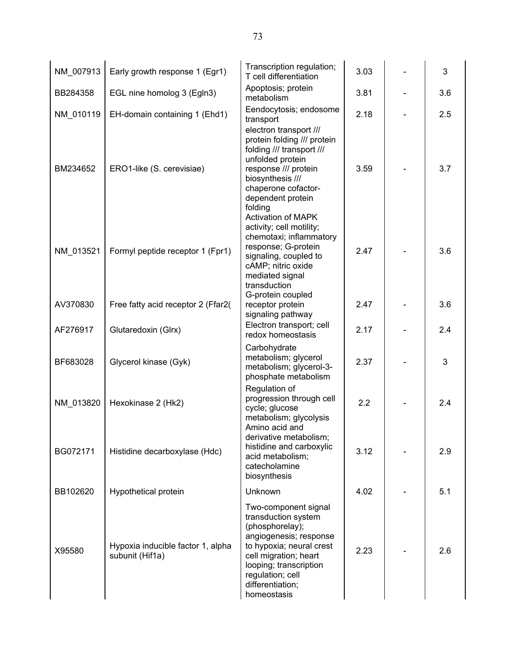| NM_007913 | Early growth response 1 (Egr1)                       | Transcription regulation;<br>T cell differentiation                                                                                                                                                                            | 3.03 | 3   |
|-----------|------------------------------------------------------|--------------------------------------------------------------------------------------------------------------------------------------------------------------------------------------------------------------------------------|------|-----|
| BB284358  | EGL nine homolog 3 (Egln3)                           | Apoptosis; protein<br>metabolism                                                                                                                                                                                               | 3.81 | 3.6 |
| NM_010119 | EH-domain containing 1 (Ehd1)                        | Eendocytosis; endosome<br>transport                                                                                                                                                                                            | 2.18 | 2.5 |
| BM234652  | ERO1-like (S. cerevisiae)                            | electron transport ///<br>protein folding /// protein<br>folding /// transport ///<br>unfolded protein<br>response /// protein<br>biosynthesis ///<br>chaperone cofactor-<br>dependent protein<br>folding                      | 3.59 | 3.7 |
| NM_013521 | Formyl peptide receptor 1 (Fpr1)                     | <b>Activation of MAPK</b><br>activity; cell motility;<br>chemotaxi; inflammatory<br>response; G-protein<br>signaling, coupled to<br>cAMP; nitric oxide<br>mediated signal<br>transduction                                      | 2.47 | 3.6 |
| AV370830  | Free fatty acid receptor 2 (Ffar2(                   | G-protein coupled<br>receptor protein<br>signaling pathway                                                                                                                                                                     | 2.47 | 3.6 |
| AF276917  | Glutaredoxin (Glrx)                                  | Electron transport; cell<br>redox homeostasis                                                                                                                                                                                  | 2.17 | 2.4 |
| BF683028  | Glycerol kinase (Gyk)                                | Carbohydrate<br>metabolism; glycerol<br>metabolism; glycerol-3-<br>phosphate metabolism                                                                                                                                        | 2.37 | 3   |
| NM_013820 | Hexokinase 2 (Hk2)                                   | Regulation of<br>progression through cell<br>cycle; glucose<br>metabolism; glycolysis                                                                                                                                          | 2.2  | 2.4 |
| BG072171  | Histidine decarboxylase (Hdc)                        | Amino acid and<br>derivative metabolism;<br>histidine and carboxylic<br>acid metabolism;<br>catecholamine<br>biosynthesis                                                                                                      | 3.12 | 2.9 |
| BB102620  | Hypothetical protein                                 | Unknown                                                                                                                                                                                                                        | 4.02 | 5.1 |
| X95580    | Hypoxia inducible factor 1, alpha<br>subunit (Hif1a) | Two-component signal<br>transduction system<br>(phosphorelay);<br>angiogenesis; response<br>to hypoxia; neural crest<br>cell migration; heart<br>looping; transcription<br>regulation; cell<br>differentiation;<br>homeostasis | 2.23 | 2.6 |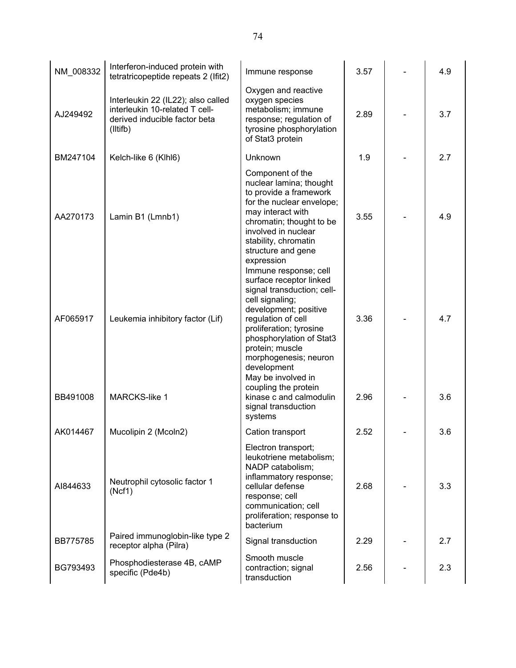| NM_008332 | Interferon-induced protein with<br>tetratricopeptide repeats 2 (Ifit2)                                            | Immune response                                                                                                                                                                                                                                                                          | 3.57 | 4.9 |
|-----------|-------------------------------------------------------------------------------------------------------------------|------------------------------------------------------------------------------------------------------------------------------------------------------------------------------------------------------------------------------------------------------------------------------------------|------|-----|
| AJ249492  | Interleukin 22 (IL22); also called<br>interleukin 10-related T cell-<br>derived inducible factor beta<br>(litifb) | Oxygen and reactive<br>oxygen species<br>metabolism; immune<br>response; regulation of<br>tyrosine phosphorylation<br>of Stat3 protein                                                                                                                                                   | 2.89 | 3.7 |
| BM247104  | Kelch-like 6 (Klhl6)                                                                                              | Unknown                                                                                                                                                                                                                                                                                  | 1.9  | 2.7 |
| AA270173  | Lamin B1 (Lmnb1)                                                                                                  | Component of the<br>nuclear lamina; thought<br>to provide a framework<br>for the nuclear envelope;<br>may interact with<br>chromatin; thought to be<br>involved in nuclear<br>stability, chromatin<br>structure and gene<br>expression                                                   | 3.55 | 4.9 |
| AF065917  | Leukemia inhibitory factor (Lif)                                                                                  | Immune response; cell<br>surface receptor linked<br>signal transduction; cell-<br>cell signaling;<br>development; positive<br>regulation of cell<br>proliferation; tyrosine<br>phosphorylation of Stat3<br>protein; muscle<br>morphogenesis; neuron<br>development<br>May be involved in | 3.36 | 4.7 |
| BB491008  | <b>MARCKS-like 1</b>                                                                                              | coupling the protein<br>kinase c and calmodulin<br>signal transduction<br>systems                                                                                                                                                                                                        | 2.96 | 3.6 |
| AK014467  | Mucolipin 2 (Mcoln2)                                                                                              | Cation transport                                                                                                                                                                                                                                                                         | 2.52 | 3.6 |
| AI844633  | Neutrophil cytosolic factor 1<br>(Ncf1)                                                                           | Electron transport;<br>leukotriene metabolism;<br>NADP catabolism;<br>inflammatory response;<br>cellular defense<br>response; cell<br>communication; cell<br>proliferation; response to<br>bacterium                                                                                     | 2.68 | 3.3 |
| BB775785  | Paired immunoglobin-like type 2<br>receptor alpha (Pilra)                                                         | Signal transduction                                                                                                                                                                                                                                                                      | 2.29 | 2.7 |
| BG793493  | Phosphodiesterase 4B, cAMP<br>specific (Pde4b)                                                                    | Smooth muscle<br>contraction; signal<br>transduction                                                                                                                                                                                                                                     | 2.56 | 2.3 |